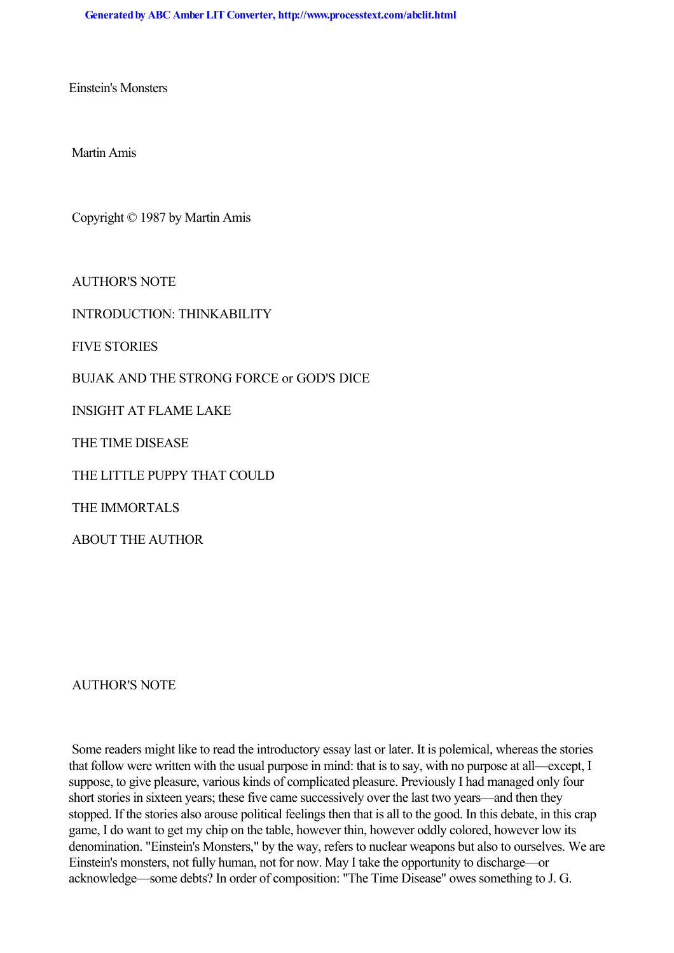Einstein's Monsters

Martin Amis

Copyright © 1987 by Martin Amis

AUTHOR'S NOTE

INTRODUCTION: THINKABILITY

FIVE STORIES

BUJAK AND THE STRONG FORCE or GOD'S DICE

INSIGHT AT FLAME LAKE

THE TIME DISEASE

THE LITTLE PUPPY THAT COULD

THE IMMORTALS

ABOUT THE AUTHOR

AUTHOR'S NOTE

 Some readers might like to read the introductory essay last or later. It is polemical, whereas the stories that follow were written with the usual purpose in mind: that is to say, with no purpose at all—except, I suppose, to give pleasure, various kinds of complicated pleasure. Previously I had managed only four short stories in sixteen years; these five came successively over the last two years—and then they stopped. If the stories also arouse political feelings then that is all to the good. In this debate, in this crap game, I do want to get my chip on the table, however thin, however oddly colored, however low its denomination. "Einstein's Monsters," by the way, refers to nuclear weapons but also to ourselves. We are Einstein's monsters, not fully human, not for now. May I take the opportunity to discharge—or acknowledge—some debts? In order of composition: "The Time Disease" owes something to J. G.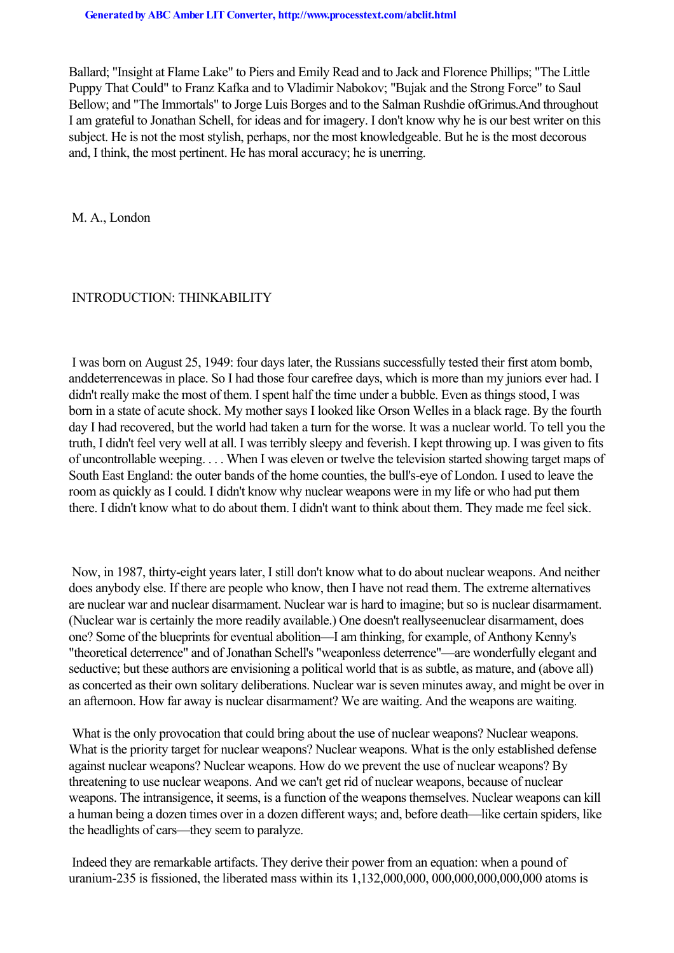Ballard; "Insight at Flame Lake" to Piers and Emily Read and to Jack and Florence Phillips; "The Little Puppy That Could" to Franz Kafka and to Vladimir Nabokov; "Bujak and the Strong Force" to Saul Bellow; and "The Immortals" to Jorge Luis Borges and to the Salman Rushdie ofGrimus.And throughout I am grateful to Jonathan Schell, for ideas and for imagery. I don't know why he is our best writer on this subject. He is not the most stylish, perhaps, nor the most knowledgeable. But he is the most decorous and, I think, the most pertinent. He has moral accuracy; he is unerring.

M. A., London

# INTRODUCTION: THINKABILITY

 I was born on August 25, 1949: four days later, the Russians successfully tested their first atom bomb, anddeterrencewas in place. So I had those four carefree days, which is more than my juniors ever had. I didn't really make the most of them. I spent half the time under a bubble. Even as things stood, I was born in a state of acute shock. My mother says I looked like Orson Welles in a black rage. By the fourth day I had recovered, but the world had taken a turn for the worse. It was a nuclear world. To tell you the truth, I didn't feel very well at all. I was terribly sleepy and feverish. I kept throwing up. I was given to fits of uncontrollable weeping. . . . When I was eleven or twelve the television started showing target maps of South East England: the outer bands of the home counties, the bull's-eye of London. I used to leave the room as quickly as I could. I didn't know why nuclear weapons were in my life or who had put them there. I didn't know what to do about them. I didn't want to think about them. They made me feel sick.

 Now, in 1987, thirty-eight years later, I still don't know what to do about nuclear weapons. And neither does anybody else. If there are people who know, then I have not read them. The extreme alternatives are nuclear war and nuclear disarmament. Nuclear war is hard to imagine; but so is nuclear disarmament. (Nuclear war is certainly the more readily available.) One doesn't reallyseenuclear disarmament, does one? Some of the blueprints for eventual abolition—I am thinking, for example, of Anthony Kenny's "theoretical deterrence" and of Jonathan Schell's "weaponless deterrence"—are wonderfully elegant and seductive; but these authors are envisioning a political world that is as subtle, as mature, and (above all) as concerted as their own solitary deliberations. Nuclear war is seven minutes away, and might be over in an afternoon. How far away is nuclear disarmament? We are waiting. And the weapons are waiting.

 What is the only provocation that could bring about the use of nuclear weapons? Nuclear weapons. What is the priority target for nuclear weapons? Nuclear weapons. What is the only established defense against nuclear weapons? Nuclear weapons. How do we prevent the use of nuclear weapons? By threatening to use nuclear weapons. And we can't get rid of nuclear weapons, because of nuclear weapons. The intransigence, it seems, is a function of the weapons themselves. Nuclear weapons can kill a human being a dozen times over in a dozen different ways; and, before death—like certain spiders, like the headlights of cars—they seem to paralyze.

 Indeed they are remarkable artifacts. They derive their power from an equation: when a pound of uranium-235 is fissioned, the liberated mass within its 1,132,000,000, 000,000,000,000,000 atoms is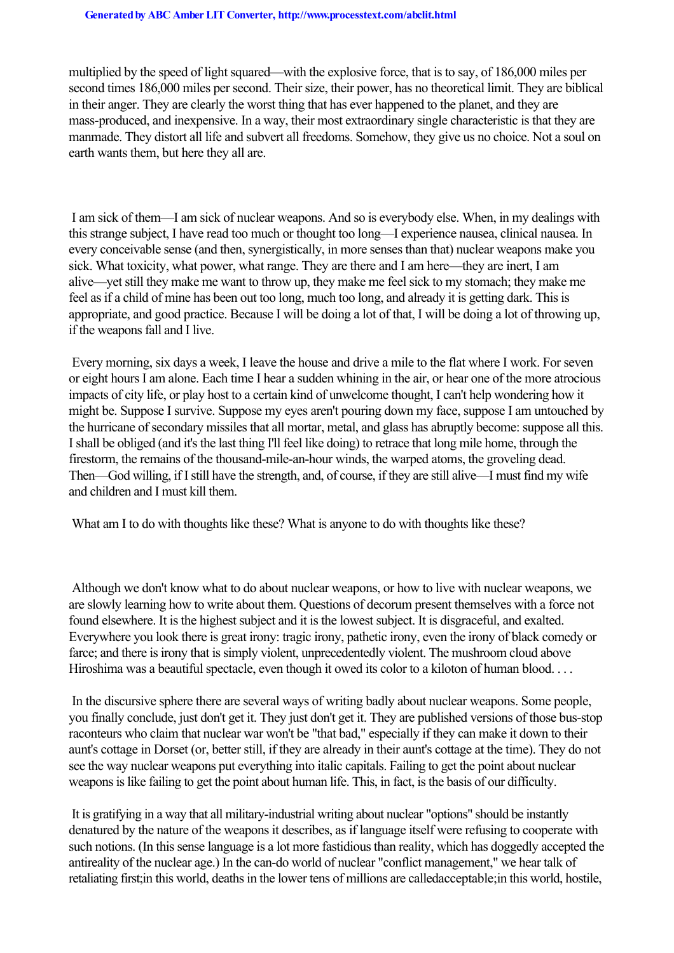multiplied by the speed of light squared—with the explosive force, that is to say, of 186,000 miles per second times 186,000 miles per second. Their size, their power, has no theoretical limit. They are biblical in their anger. They are clearly the worst thing that has ever happened to the planet, and they are mass-produced, and inexpensive. In a way, their most extraordinary single characteristic is that they are manmade. They distort all life and subvert all freedoms. Somehow, they give us no choice. Not a soul on earth wants them, but here they all are.

 I am sick of them—I am sick of nuclear weapons. And so is everybody else. When, in my dealings with this strange subject, I have read too much or thought too long—I experience nausea, clinical nausea. In every conceivable sense (and then, synergistically, in more senses than that) nuclear weapons make you sick. What toxicity, what power, what range. They are there and I am here—they are inert, I am alive—yet still they make me want to throw up, they make me feel sick to my stomach; they make me feel as if a child of mine has been out too long, much too long, and already it is getting dark. This is appropriate, and good practice. Because I will be doing a lot of that, I will be doing a lot of throwing up, if the weapons fall and I live.

 Every morning, six days a week, I leave the house and drive a mile to the flat where I work. For seven or eight hours I am alone. Each time I hear a sudden whining in the air, or hear one of the more atrocious impacts of city life, or play host to a certain kind of unwelcome thought, I can't help wondering how it might be. Suppose I survive. Suppose my eyes aren't pouring down my face, suppose I am untouched by the hurricane of secondary missiles that all mortar, metal, and glass has abruptly become: suppose all this. I shall be obliged (and it's the last thing I'll feel like doing) to retrace that long mile home, through the firestorm, the remains of the thousand-mile-an-hour winds, the warped atoms, the groveling dead. Then—God willing, if I still have the strength, and, of course, if they are still alive—I must find my wife and children and I must kill them.

What am I to do with thoughts like these? What is anyone to do with thoughts like these?

 Although we don't know what to do about nuclear weapons, or how to live with nuclear weapons, we are slowly learning how to write about them. Questions of decorum present themselves with a force not found elsewhere. It is the highest subject and it is the lowest subject. It is disgraceful, and exalted. Everywhere you look there is great irony: tragic irony, pathetic irony, even the irony of black comedy or farce; and there is irony that is simply violent, unprecedentedly violent. The mushroom cloud above Hiroshima was a beautiful spectacle, even though it owed its color to a kiloton of human blood. . . .

 In the discursive sphere there are several ways of writing badly about nuclear weapons. Some people, you finally conclude, just don't get it. They just don't get it. They are published versions of those bus-stop raconteurs who claim that nuclear war won't be "that bad," especially if they can make it down to their aunt's cottage in Dorset (or, better still, if they are already in their aunt's cottage at the time). They do not see the way nuclear weapons put everything into italic capitals. Failing to get the point about nuclear weapons is like failing to get the point about human life. This, in fact, is the basis of our difficulty.

 It is gratifying in a way that all military-industrial writing about nuclear "options" should be instantly denatured by the nature of the weapons it describes, as if language itself were refusing to cooperate with such notions. (In this sense language is a lot more fastidious than reality, which has doggedly accepted the antireality of the nuclear age.) In the can-do world of nuclear "conflict management," we hear talk of retaliating first;in this world, deaths in the lower tens of millions are calledacceptable;in this world, hostile,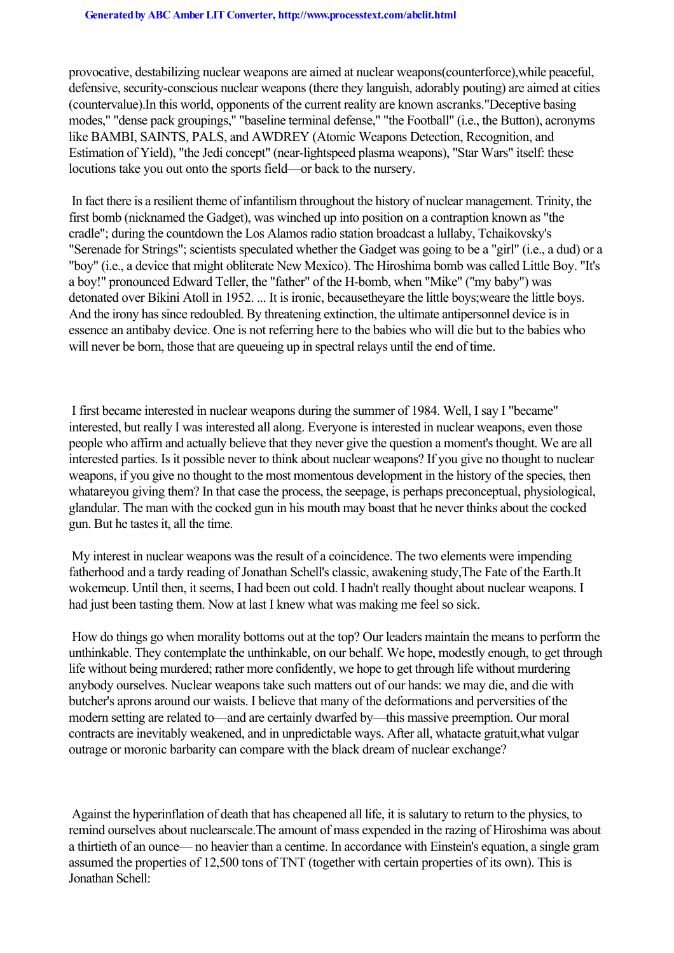provocative, destabilizing nuclear weapons are aimed at nuclear weapons(counterforce),while peaceful, defensive, security-conscious nuclear weapons (there they languish, adorably pouting) are aimed at cities (countervalue).In this world, opponents of the current reality are known ascranks."Deceptive basing modes," "dense pack groupings," "baseline terminal defense," "the Football" (i.e., the Button), acronyms like BAMBI, SAINTS, PALS, and AWDREY (Atomic Weapons Detection, Recognition, and Estimation of Yield), "the Jedi concept" (near-lightspeed plasma weapons), "Star Wars" itself: these locutions take you out onto the sports field—or back to the nursery.

 In fact there is a resilient theme of infantilism throughout the history of nuclear management. Trinity, the first bomb (nicknamed the Gadget), was winched up into position on a contraption known as "the cradle"; during the countdown the Los Alamos radio station broadcast a lullaby, Tchaikovsky's "Serenade for Strings"; scientists speculated whether the Gadget was going to be a "girl" (i.e., a dud) or a "boy" (i.e., a device that might obliterate New Mexico). The Hiroshima bomb was called Little Boy. "It's a boy!" pronounced Edward Teller, the "father" of the H-bomb, when "Mike" ("my baby") was detonated over Bikini Atoll in 1952. ... It is ironic, becausetheyare the little boys;weare the little boys. And the irony has since redoubled. By threatening extinction, the ultimate antipersonnel device is in essence an antibaby device. One is not referring here to the babies who will die but to the babies who will never be born, those that are queueing up in spectral relays until the end of time.

 I first became interested in nuclear weapons during the summer of 1984. Well, I say I "became" interested, but really I was interested all along. Everyone is interested in nuclear weapons, even those people who affirm and actually believe that they never give the question a moment's thought. We are all interested parties. Is it possible never to think about nuclear weapons? If you give no thought to nuclear weapons, if you give no thought to the most momentous development in the history of the species, then whatareyou giving them? In that case the process, the seepage, is perhaps preconceptual, physiological, glandular. The man with the cocked gun in his mouth may boast that he never thinks about the cocked gun. But he tastes it, all the time.

 My interest in nuclear weapons was the result of a coincidence. The two elements were impending fatherhood and a tardy reading of Jonathan Schell's classic, awakening study,The Fate of the Earth.It wokemeup. Until then, it seems, I had been out cold. I hadn't really thought about nuclear weapons. I had just been tasting them. Now at last I knew what was making me feel so sick.

 How do things go when morality bottoms out at the top? Our leaders maintain the means to perform the unthinkable. They contemplate the unthinkable, on our behalf. We hope, modestly enough, to get through life without being murdered; rather more confidently, we hope to get through life without murdering anybody ourselves. Nuclear weapons take such matters out of our hands: we may die, and die with butcher's aprons around our waists. I believe that many of the deformations and perversities of the modern setting are related to—and are certainly dwarfed by—this massive preemption. Our moral contracts are inevitably weakened, and in unpredictable ways. After all, whatacte gratuit,what vulgar outrage or moronic barbarity can compare with the black dream of nuclear exchange?

 Against the hyperinflation of death that has cheapened all life, it is salutary to return to the physics, to remind ourselves about nuclearscale.The amount of mass expended in the razing of Hiroshima was about a thirtieth of an ounce— no heavier than a centime. In accordance with Einstein's equation, a single gram assumed the properties of 12,500 tons of TNT (together with certain properties of its own). This is Jonathan Schell: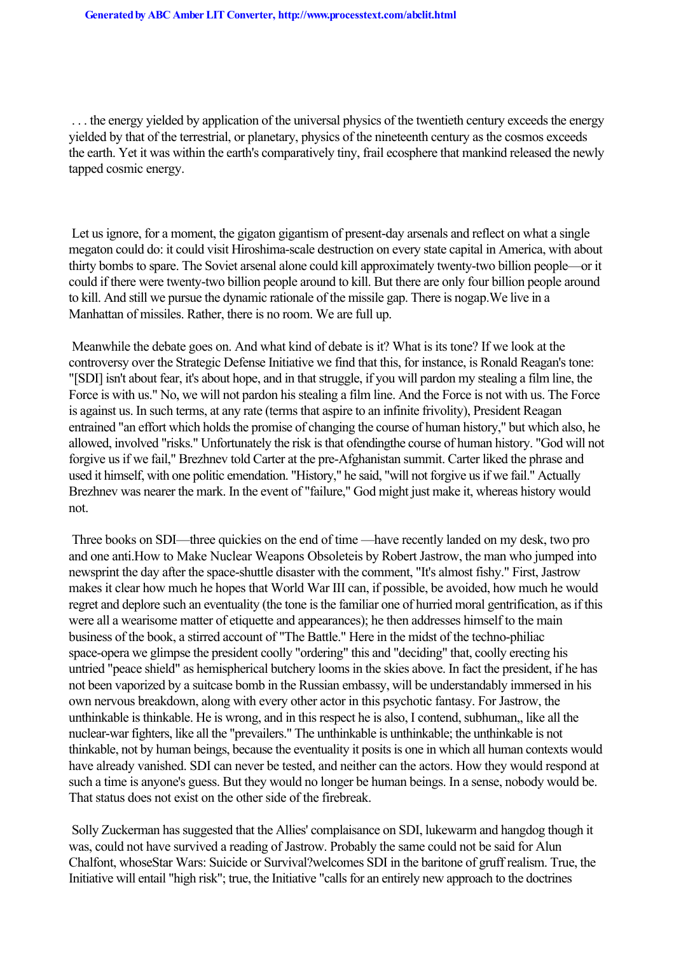. . . the energy yielded by application of the universal physics of the twentieth century exceeds the energy yielded by that of the terrestrial, or planetary, physics of the nineteenth century as the cosmos exceeds the earth. Yet it was within the earth's comparatively tiny, frail ecosphere that mankind released the newly tapped cosmic energy

 Let us ignore, for a moment, the gigaton gigantism of present-day arsenals and reflect on what a single megaton could do: it could visit Hiroshima-scale destruction on every state capital in America, with about thirty bombs to spare. The Soviet arsenal alone could kill approximately twenty-two billion people—or it could if there were twenty-two billion people around to kill. But there are only four billion people around to kill. And still we pursue the dynamic rationale of the missile gap. There is nogap.We live in a Manhattan of missiles. Rather, there is no room. We are full up.

 Meanwhile the debate goes on. And what kind of debate is it? What is its tone? If we look at the controversy over the Strategic Defense Initiative we find that this, for instance, is Ronald Reagan's tone: "[SDI] isn't about fear, it's about hope, and in that struggle, if you will pardon my stealing a film line, the Force is with us." No, we will not pardon his stealing a film line. And the Force is not with us. The Force is against us. In such terms, at any rate (terms that aspire to an infinite frivolity), President Reagan entrained "an effort which holds the promise of changing the course of human history," but which also, he allowed, involved "risks." Unfortunately the risk is that ofendingthe course of human history. "God will not forgive us if we fail," Brezhnev told Carter at the pre-Afghanistan summit. Carter liked the phrase and used it himself, with one politic emendation. "History," he said, "will not forgive us if we fail." Actually Brezhnev was nearer the mark. In the event of "failure," God might just make it, whereas history would not.

 Three books on SDI—three quickies on the end of time —have recently landed on my desk, two pro and one anti.How to Make Nuclear Weapons Obsoleteis by Robert Jastrow, the man who jumped into newsprint the day after the space-shuttle disaster with the comment, "It's almost fishy." First, Jastrow makes it clear how much he hopes that World War III can, if possible, be avoided, how much he would regret and deplore such an eventuality (the tone is the familiar one of hurried moral gentrification, as if this were all a wearisome matter of etiquette and appearances); he then addresses himself to the main business of the book, a stirred account of "The Battle." Here in the midst of the techno-philiac space-opera we glimpse the president coolly "ordering" this and "deciding" that, coolly erecting his untried "peace shield" as hemispherical butchery looms in the skies above. In fact the president, if he has not been vaporized by a suitcase bomb in the Russian embassy, will be understandably immersed in his own nervous breakdown, along with every other actor in this psychotic fantasy. For Jastrow, the unthinkable is thinkable. He is wrong, and in this respect he is also, I contend, subhuman,, like all the nuclear-war fighters, like all the "prevailers." The unthinkable is unthinkable; the unthinkable is not thinkable, not by human beings, because the eventuality it posits is one in which all human contexts would have already vanished. SDI can never be tested, and neither can the actors. How they would respond at such a time is anyone's guess. But they would no longer be human beings. In a sense, nobody would be. That status does not exist on the other side of the firebreak.

 Solly Zuckerman has suggested that the Allies' complaisance on SDI, lukewarm and hangdog though it was, could not have survived a reading of Jastrow. Probably the same could not be said for Alun Chalfont, whoseStar Wars: Suicide or Survival?welcomes SDI in the baritone of gruff realism. True, the Initiative will entail "high risk"; true, the Initiative "calls for an entirely new approach to the doctrines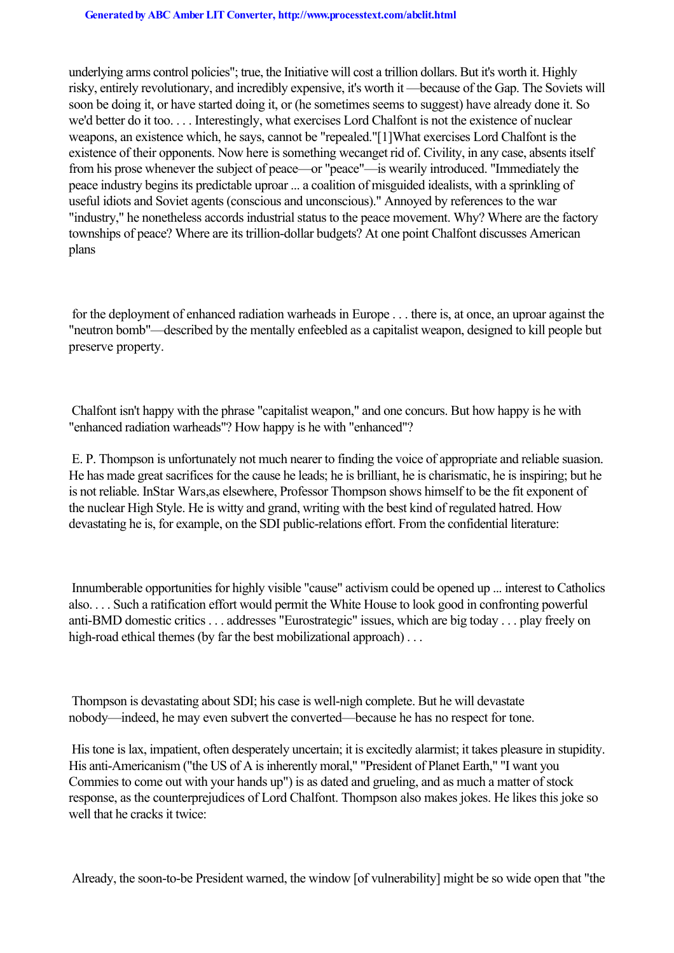underlying arms control policies"; true, the Initiative will cost a trillion dollars. But it's worth it. Highly risky, entirely revolutionary, and incredibly expensive, it's worth it —because of the Gap. The Soviets will soon be doing it, or have started doing it, or (he sometimes seems to suggest) have already done it. So we'd better do it too. . . . Interestingly, what exercises Lord Chalfont is not the existence of nuclear weapons, an existence which, he says, cannot be "repealed."[1]What exercises Lord Chalfont is the existence of their opponents. Now here is something wecanget rid of. Civility, in any case, absents itself from his prose whenever the subject of peace—or "peace"—is wearily introduced. "Immediately the peace industry begins its predictable uproar ... a coalition of misguided idealists, with a sprinkling of useful idiots and Soviet agents (conscious and unconscious)." Annoyed by references to the war "industry," he nonetheless accords industrial status to the peace movement. Why? Where are the factory townships of peace? Where are its trillion-dollar budgets? At one point Chalfont discusses American plans

 for the deployment of enhanced radiation warheads in Europe . . . there is, at once, an uproar against the "neutron bomb"—described by the mentally enfeebled as a capitalist weapon, designed to kill people but preserve property.

 Chalfont isn't happy with the phrase "capitalist weapon," and one concurs. But how happy is he with "enhanced radiation warheads"? How happy is he with "enhanced"?

 E. P. Thompson is unfortunately not much nearer to finding the voice of appropriate and reliable suasion. He has made great sacrifices for the cause he leads; he is brilliant, he is charismatic, he is inspiring; but he is not reliable. InStar Wars,as elsewhere, Professor Thompson shows himself to be the fit exponent of the nuclear High Style. He is witty and grand, writing with the best kind of regulated hatred. How devastating he is, for example, on the SDI public-relations effort. From the confidential literature:

 Innumberable opportunities for highly visible "cause" activism could be opened up ... interest to Catholics also. . . . Such a ratification effort would permit the White House to look good in confronting powerful anti-BMD domestic critics . . . addresses "Eurostrategic" issues, which are big today . . . play freely on high-road ethical themes (by far the best mobilizational approach)...

 Thompson is devastating about SDI; his case is well-nigh complete. But he will devastate nobody—indeed, he may even subvert the converted—because he has no respect for tone.

 His tone is lax, impatient, often desperately uncertain; it is excitedly alarmist; it takes pleasure in stupidity. His anti-Americanism ("the US of A is inherently moral," "President of Planet Earth," "I want you Commies to come out with your hands up") is as dated and grueling, and as much a matter of stock response, as the counterprejudices of Lord Chalfont. Thompson also makes jokes. He likes this joke so well that he cracks it twice:

Already, the soon-to-be President warned, the window [of vulnerability] might be so wide open that "the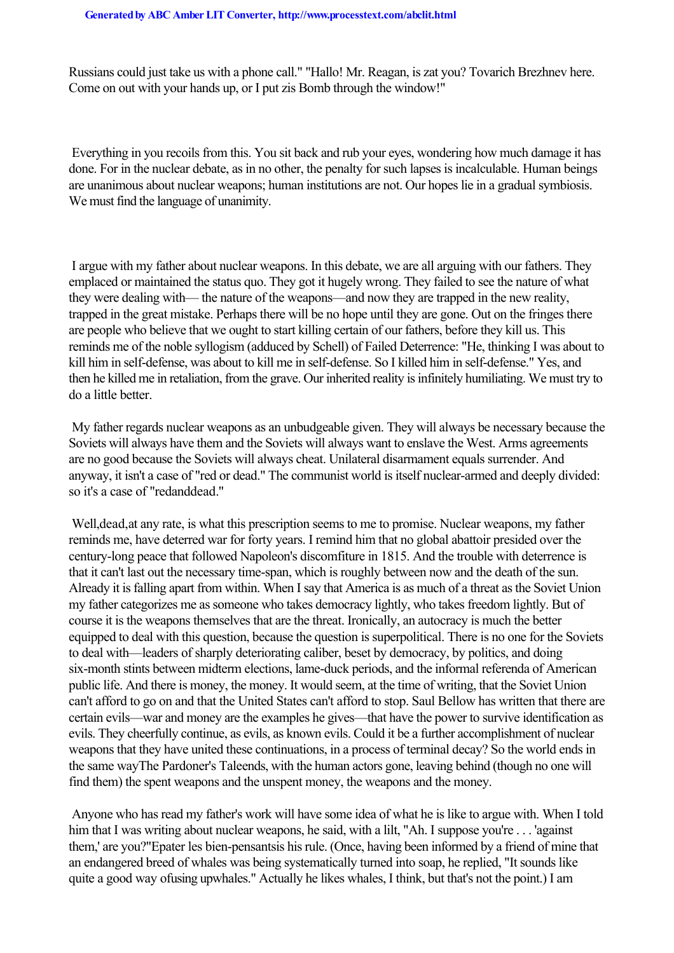Russians could just take us with a phone call." "Hallo! Mr. Reagan, is zat you? Tovarich Brezhnev here. Come on out with your hands up, or I put zis Bomb through the window!"

 Everything in you recoils from this. You sit back and rub your eyes, wondering how much damage it has done. For in the nuclear debate, as in no other, the penalty for such lapses is incalculable. Human beings are unanimous about nuclear weapons; human institutions are not. Our hopes lie in a gradual symbiosis. We must find the language of unanimity.

 I argue with my father about nuclear weapons. In this debate, we are all arguing with our fathers. They emplaced or maintained the status quo. They got it hugely wrong. They failed to see the nature of what they were dealing with— the nature of the weapons—and now they are trapped in the new reality, trapped in the great mistake. Perhaps there will be no hope until they are gone. Out on the fringes there are people who believe that we ought to start killing certain of our fathers, before they kill us. This reminds me of the noble syllogism (adduced by Schell) of Failed Deterrence: "He, thinking I was about to kill him in self-defense, was about to kill me in self-defense. So I killed him in self-defense." Yes, and then he killed me in retaliation, from the grave. Our inherited reality is infinitely humiliating. We must try to do a little better.

 My father regards nuclear weapons as an unbudgeable given. They will always be necessary because the Soviets will always have them and the Soviets will always want to enslave the West. Arms agreements are no good because the Soviets will always cheat. Unilateral disarmament equals surrender. And anyway, it isn't a case of "red or dead." The communist world is itself nuclear-armed and deeply divided: so it's a case of "redanddead."

 Well,dead,at any rate, is what this prescription seems to me to promise. Nuclear weapons, my father reminds me, have deterred war for forty years. I remind him that no global abattoir presided over the century-long peace that followed Napoleon's discomfiture in 1815. And the trouble with deterrence is that it can't last out the necessary time-span, which is roughly between now and the death of the sun. Already it is falling apart from within. When I say that America is as much of a threat as the Soviet Union my father categorizes me as someone who takes democracy lightly, who takes freedom lightly. But of course it is the weapons themselves that are the threat. Ironically, an autocracy is much the better equipped to deal with this question, because the question is superpolitical. There is no one for the Soviets to deal with—leaders of sharply deteriorating caliber, beset by democracy, by politics, and doing six-month stints between midterm elections, lame-duck periods, and the informal referenda of American public life. And there is money, the money. It would seem, at the time of writing, that the Soviet Union can't afford to go on and that the United States can't afford to stop. Saul Bellow has written that there are certain evils—war and money are the examples he gives—that have the power to survive identification as evils. They cheerfully continue, as evils, as known evils. Could it be a further accomplishment of nuclear weapons that they have united these continuations, in a process of terminal decay? So the world ends in the same wayThe Pardoner's Taleends, with the human actors gone, leaving behind (though no one will find them) the spent weapons and the unspent money, the weapons and the money.

 Anyone who has read my father's work will have some idea of what he is like to argue with. When I told him that I was writing about nuclear weapons, he said, with a lilt, "Ah. I suppose you're . . . 'against them,' are you?"Epater les bien-pensantsis his rule. (Once, having been informed by a friend of mine that an endangered breed of whales was being systematically turned into soap, he replied, "It sounds like quite a good way ofusing upwhales." Actually he likes whales, I think, but that's not the point.) I am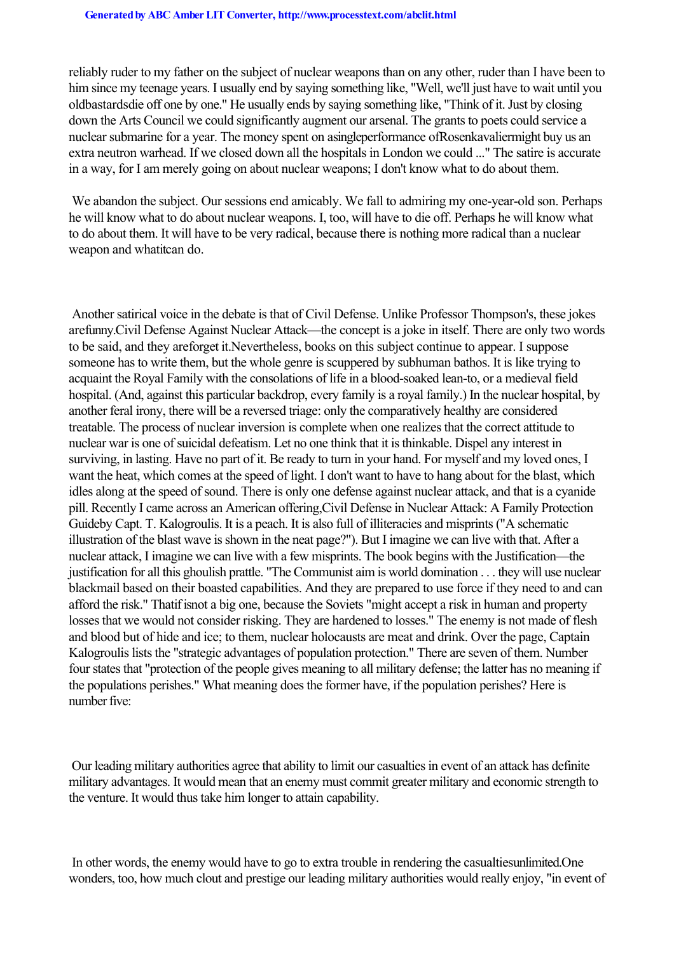reliably ruder to my father on the subject of nuclear weapons than on any other, ruder than I have been to him since my teenage years. I usually end by saying something like, "Well, we'll just have to wait until you oldbastardsdie off one by one." He usually ends by saying something like, "Think of it. Just by closing down the Arts Council we could significantly augment our arsenal. The grants to poets could service a nuclear submarine for a year. The money spent on asingleperformance ofRosenkavaliermight buy us an extra neutron warhead. If we closed down all the hospitals in London we could ..." The satire is accurate in a way, for I am merely going on about nuclear weapons; I don't know what to do about them.

 We abandon the subject. Our sessions end amicably. We fall to admiring my one-year-old son. Perhaps he will know what to do about nuclear weapons. I, too, will have to die off. Perhaps he will know what to do about them. It will have to be very radical, because there is nothing more radical than a nuclear weapon and whatitcan do.

 Another satirical voice in the debate is that of Civil Defense. Unlike Professor Thompson's, these jokes arefunny.Civil Defense Against Nuclear Attack—the concept is a joke in itself. There are only two words to be said, and they areforget it.Nevertheless, books on this subject continue to appear. I suppose someone has to write them, but the whole genre is scuppered by subhuman bathos. It is like trying to acquaint the Royal Family with the consolations of life in a blood-soaked lean-to, or a medieval field hospital. (And, against this particular backdrop, every family is a royal family.) In the nuclear hospital, by another feral irony, there will be a reversed triage: only the comparatively healthy are considered treatable. The process of nuclear inversion is complete when one realizes that the correct attitude to nuclear war is one of suicidal defeatism. Let no one think that it is thinkable. Dispel any interest in surviving, in lasting. Have no part of it. Be ready to turn in your hand. For myself and my loved ones, I want the heat, which comes at the speed of light. I don't want to have to hang about for the blast, which idles along at the speed of sound. There is only one defense against nuclear attack, and that is a cyanide pill. Recently I came across an American offering,Civil Defense in Nuclear Attack: A Family Protection Guideby Capt. T. Kalogroulis. It is a peach. It is also full of illiteracies and misprints ("A schematic illustration of the blast wave is shown in the neat page?"). But I imagine we can live with that. After a nuclear attack, I imagine we can live with a few misprints. The book begins with the Justification—the justification for all this ghoulish prattle. "The Communist aim is world domination . . . they will use nuclear blackmail based on their boasted capabilities. And they are prepared to use force if they need to and can afford the risk." Thatif isnot a big one, because the Soviets "might accept a risk in human and property losses that we would not consider risking. They are hardened to losses." The enemy is not made of flesh and blood but of hide and ice; to them, nuclear holocausts are meat and drink. Over the page, Captain Kalogroulis lists the "strategic advantages of population protection." There are seven of them. Number four states that "protection of the people gives meaning to all military defense; the latter has no meaning if the populations perishes." What meaning does the former have, if the population perishes? Here is number five:

 Our leading military authorities agree that ability to limit our casualties in event of an attack has definite military advantages. It would mean that an enemy must commit greater military and economic strength to the venture. It would thus take him longer to attain capability.

 In other words, the enemy would have to go to extra trouble in rendering the casualtiesunlimited.One wonders, too, how much clout and prestige our leading military authorities would really enjoy, "in event of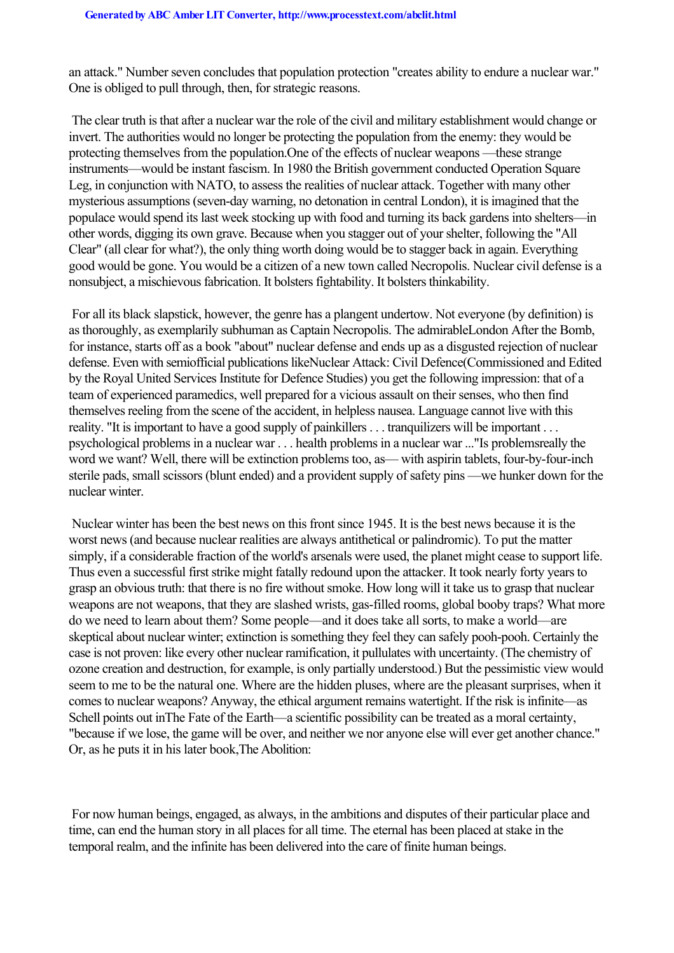an attack." Number seven concludes that population protection "creates ability to endure a nuclear war." One is obliged to pull through, then, for strategic reasons.

 The clear truth is that after a nuclear war the role of the civil and military establishment would change or invert. The authorities would no longer be protecting the population from the enemy: they would be protecting themselves from the population.One of the effects of nuclear weapons —these strange instruments—would be instant fascism. In 1980 the British government conducted Operation Square Leg, in conjunction with NATO, to assess the realities of nuclear attack. Together with many other mysterious assumptions (seven-day warning, no detonation in central London), it is imagined that the populace would spend its last week stocking up with food and turning its back gardens into shelters—in other words, digging its own grave. Because when you stagger out of your shelter, following the "All Clear" (all clear for what?), the only thing worth doing would be to stagger back in again. Everything good would be gone. You would be a citizen of a new town called Necropolis. Nuclear civil defense is a nonsubject, a mischievous fabrication. It bolsters fightability. It bolsters thinkability.

 For all its black slapstick, however, the genre has a plangent undertow. Not everyone (by definition) is as thoroughly, as exemplarily subhuman as Captain Necropolis. The admirableLondon After the Bomb, for instance, starts off as a book "about" nuclear defense and ends up as a disgusted rejection of nuclear defense. Even with semiofficial publications likeNuclear Attack: Civil Defence(Commissioned and Edited by the Royal United Services Institute for Defence Studies) you get the following impression: that of a team of experienced paramedics, well prepared for a vicious assault on their senses, who then find themselves reeling from the scene of the accident, in helpless nausea. Language cannot live with this reality. "It is important to have a good supply of painkillers . . . tranquilizers will be important . . . psychological problems in a nuclear war . . . health problems in a nuclear war ..."Is problemsreally the word we want? Well, there will be extinction problems too, as— with aspirin tablets, four-by-four-inch sterile pads, small scissors (blunt ended) and a provident supply of safety pins —we hunker down for the nuclear winter.

 Nuclear winter has been the best news on this front since 1945. It is the best news because it is the worst news (and because nuclear realities are always antithetical or palindromic). To put the matter simply, if a considerable fraction of the world's arsenals were used, the planet might cease to support life. Thus even a successful first strike might fatally redound upon the attacker. It took nearly forty years to grasp an obvious truth: that there is no fire without smoke. How long will it take us to grasp that nuclear weapons are not weapons, that they are slashed wrists, gas-filled rooms, global booby traps? What more do we need to learn about them? Some people—and it does take all sorts, to make a world—are skeptical about nuclear winter; extinction is something they feel they can safely pooh-pooh. Certainly the case is not proven: like every other nuclear ramification, it pullulates with uncertainty. (The chemistry of ozone creation and destruction, for example, is only partially understood.) But the pessimistic view would seem to me to be the natural one. Where are the hidden pluses, where are the pleasant surprises, when it comes to nuclear weapons? Anyway, the ethical argument remains watertight. If the risk is infinite—as Schell points out inThe Fate of the Earth—a scientific possibility can be treated as a moral certainty, "because if we lose, the game will be over, and neither we nor anyone else will ever get another chance." Or, as he puts it in his later book,The Abolition:

 For now human beings, engaged, as always, in the ambitions and disputes of their particular place and time, can end the human story in all places for all time. The eternal has been placed at stake in the temporal realm, and the infinite has been delivered into the care of finite human beings.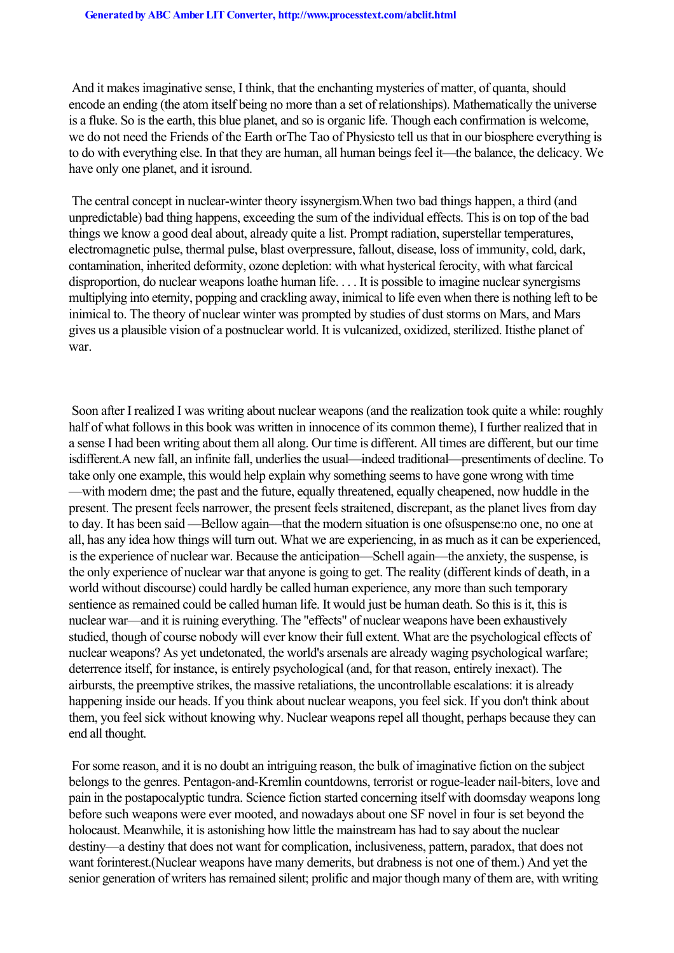And it makes imaginative sense, I think, that the enchanting mysteries of matter, of quanta, should encode an ending (the atom itself being no more than a set of relationships). Mathematically the universe is a fluke. So is the earth, this blue planet, and so is organic life. Though each confirmation is welcome, we do not need the Friends of the Earth orThe Tao of Physicsto tell us that in our biosphere everything is to do with everything else. In that they are human, all human beings feel it—the balance, the delicacy. We have only one planet, and it isround.

 The central concept in nuclear-winter theory issynergism.When two bad things happen, a third (and unpredictable) bad thing happens, exceeding the sum of the individual effects. This is on top of the bad things we know a good deal about, already quite a list. Prompt radiation, superstellar temperatures, electromagnetic pulse, thermal pulse, blast overpressure, fallout, disease, loss of immunity, cold, dark, contamination, inherited deformity, ozone depletion: with what hysterical ferocity, with what farcical disproportion, do nuclear weapons loathe human life. . . . It is possible to imagine nuclear synergisms multiplying into eternity, popping and crackling away, inimical to life even when there is nothing left to be inimical to. The theory of nuclear winter was prompted by studies of dust storms on Mars, and Mars gives us a plausible vision of a postnuclear world. It is vulcanized, oxidized, sterilized. Itisthe planet of war.

 Soon after I realized I was writing about nuclear weapons (and the realization took quite a while: roughly half of what follows in this book was written in innocence of its common theme), I further realized that in a sense I had been writing about them all along. Our time is different. All times are different, but our time isdifferent.A new fall, an infinite fall, underlies the usual—indeed traditional—presentiments of decline. To take only one example, this would help explain why something seems to have gone wrong with time —with modern dme; the past and the future, equally threatened, equally cheapened, now huddle in the present. The present feels narrower, the present feels straitened, discrepant, as the planet lives from day to day. It has been said —Bellow again—that the modern situation is one ofsuspense:no one, no one at all, has any idea how things will turn out. What we are experiencing, in as much as it can be experienced, is the experience of nuclear war. Because the anticipation—Schell again—the anxiety, the suspense, is the only experience of nuclear war that anyone is going to get. The reality (different kinds of death, in a world without discourse) could hardly be called human experience, any more than such temporary sentience as remained could be called human life. It would just be human death. So this is it, this is nuclear war—and it is ruining everything. The "effects" of nuclear weapons have been exhaustively studied, though of course nobody will ever know their full extent. What are the psychological effects of nuclear weapons? As yet undetonated, the world's arsenals are already waging psychological warfare; deterrence itself, for instance, is entirely psychological (and, for that reason, entirely inexact). The airbursts, the preemptive strikes, the massive retaliations, the uncontrollable escalations: it is already happening inside our heads. If you think about nuclear weapons, you feel sick. If you don't think about them, you feel sick without knowing why. Nuclear weapons repel all thought, perhaps because they can end all thought.

 For some reason, and it is no doubt an intriguing reason, the bulk of imaginative fiction on the subject belongs to the genres. Pentagon-and-Kremlin countdowns, terrorist or rogue-leader nail-biters, love and pain in the postapocalyptic tundra. Science fiction started concerning itself with doomsday weapons long before such weapons were ever mooted, and nowadays about one SF novel in four is set beyond the holocaust. Meanwhile, it is astonishing how little the mainstream has had to say about the nuclear destiny—a destiny that does not want for complication, inclusiveness, pattern, paradox, that does not want forinterest.(Nuclear weapons have many demerits, but drabness is not one of them.) And yet the senior generation of writers has remained silent; prolific and major though many of them are, with writing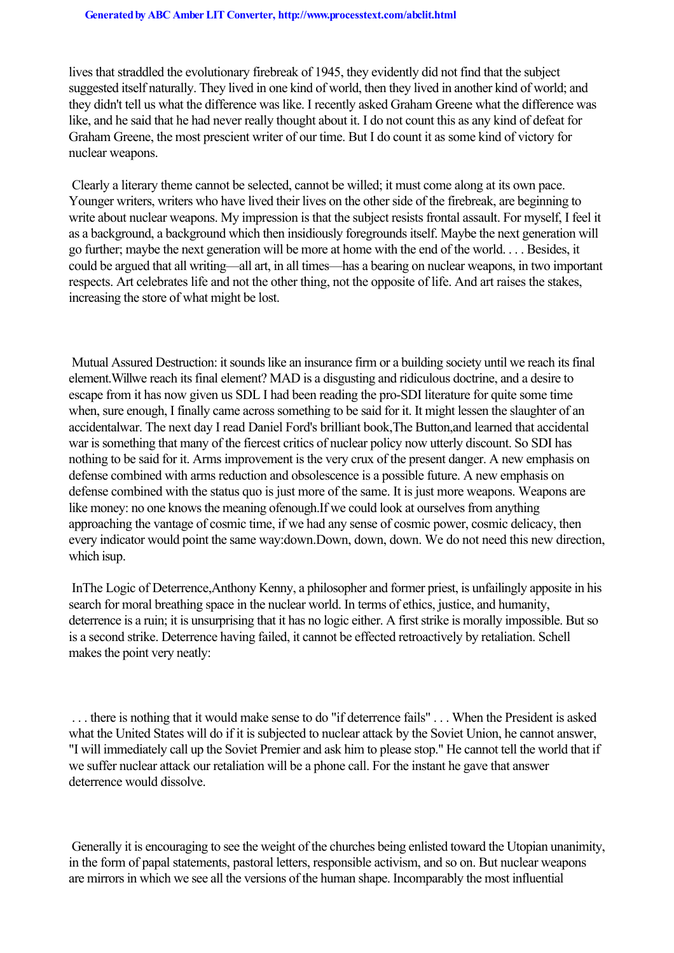lives that straddled the evolutionary firebreak of 1945, they evidently did not find that the subject suggested itself naturally. They lived in one kind of world, then they lived in another kind of world; and they didn't tell us what the difference was like. I recently asked Graham Greene what the difference was like, and he said that he had never really thought about it. I do not count this as any kind of defeat for Graham Greene, the most prescient writer of our time. But I do count it as some kind of victory for nuclear weapons.

 Clearly a literary theme cannot be selected, cannot be willed; it must come along at its own pace. Younger writers, writers who have lived their lives on the other side of the firebreak, are beginning to write about nuclear weapons. My impression is that the subject resists frontal assault. For myself, I feel it as a background, a background which then insidiously foregrounds itself. Maybe the next generation will go further; maybe the next generation will be more at home with the end of the world. . . . Besides, it could be argued that all writing—all art, in all times—has a bearing on nuclear weapons, in two important respects. Art celebrates life and not the other thing, not the opposite of life. And art raises the stakes, increasing the store of what might be lost.

 Mutual Assured Destruction: it sounds like an insurance firm or a building society until we reach its final element.Willwe reach its final element? MAD is a disgusting and ridiculous doctrine, and a desire to escape from it has now given us SDL I had been reading the pro-SDI literature for quite some time when, sure enough, I finally came across something to be said for it. It might lessen the slaughter of an accidentalwar. The next day I read Daniel Ford's brilliant book,The Button,and learned that accidental war is something that many of the fiercest critics of nuclear policy now utterly discount. So SDI has nothing to be said for it. Arms improvement is the very crux of the present danger. A new emphasis on defense combined with arms reduction and obsolescence is a possible future. A new emphasis on defense combined with the status quo is just more of the same. It is just more weapons. Weapons are like money: no one knows the meaning ofenough.If we could look at ourselves from anything approaching the vantage of cosmic time, if we had any sense of cosmic power, cosmic delicacy, then every indicator would point the same way:down.Down, down, down. We do not need this new direction, which isup.

 InThe Logic of Deterrence,Anthony Kenny, a philosopher and former priest, is unfailingly apposite in his search for moral breathing space in the nuclear world. In terms of ethics, justice, and humanity, deterrence is a ruin; it is unsurprising that it has no logic either. A first strike is morally impossible. But so is a second strike. Deterrence having failed, it cannot be effected retroactively by retaliation. Schell makes the point very neatly:

 . . . there is nothing that it would make sense to do "if deterrence fails" . . . When the President is asked what the United States will do if it is subjected to nuclear attack by the Soviet Union, he cannot answer, "I will immediately call up the Soviet Premier and ask him to please stop." He cannot tell the world that if we suffer nuclear attack our retaliation will be a phone call. For the instant he gave that answer deterrence would dissolve.

 Generally it is encouraging to see the weight of the churches being enlisted toward the Utopian unanimity, in the form of papal statements, pastoral letters, responsible activism, and so on. But nuclear weapons are mirrors in which we see all the versions of the human shape. Incomparably the most influential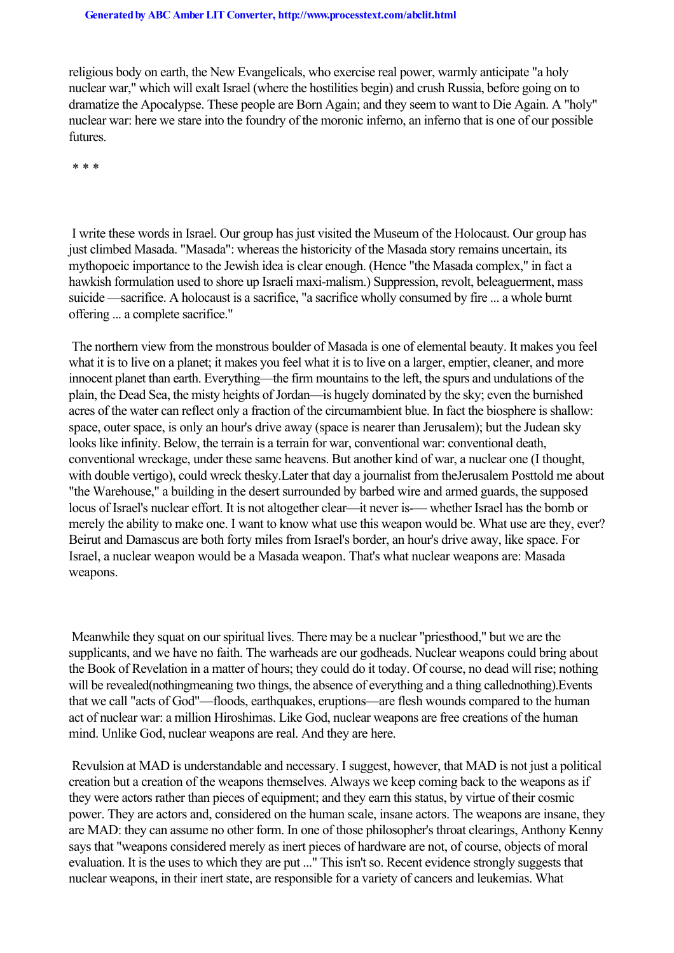religious body on earth, the New Evangelicals, who exercise real power, warmly anticipate "a holy nuclear war," which will exalt Israel (where the hostilities begin) and crush Russia, before going on to dramatize the Apocalypse. These people are Born Again; and they seem to want to Die Again. A "holy" nuclear war: here we stare into the foundry of the moronic inferno, an inferno that is one of our possible **futures** 

\* \* \*

 I write these words in Israel. Our group has just visited the Museum of the Holocaust. Our group has just climbed Masada. "Masada": whereas the historicity of the Masada story remains uncertain, its mythopoeic importance to the Jewish idea is clear enough. (Hence "the Masada complex," in fact a hawkish formulation used to shore up Israeli maxi-malism.) Suppression, revolt, beleaguerment, mass suicide —sacrifice. A holocaust is a sacrifice, "a sacrifice wholly consumed by fire ... a whole burnt offering ... a complete sacrifice."

 The northern view from the monstrous boulder of Masada is one of elemental beauty. It makes you feel what it is to live on a planet; it makes you feel what it is to live on a larger, emptier, cleaner, and more innocent planet than earth. Everything—the firm mountains to the left, the spurs and undulations of the plain, the Dead Sea, the misty heights of Jordan—is hugely dominated by the sky; even the burnished acres of the water can reflect only a fraction of the circumambient blue. In fact the biosphere is shallow: space, outer space, is only an hour's drive away (space is nearer than Jerusalem); but the Judean sky looks like infinity. Below, the terrain is a terrain for war, conventional war: conventional death, conventional wreckage, under these same heavens. But another kind of war, a nuclear one (I thought, with double vertigo), could wreck thesky.Later that day a journalist from theJerusalem Posttold me about "the Warehouse," a building in the desert surrounded by barbed wire and armed guards, the supposed locus of Israel's nuclear effort. It is not altogether clear—it never is-— whether Israel has the bomb or merely the ability to make one. I want to know what use this weapon would be. What use are they, ever? Beirut and Damascus are both forty miles from Israel's border, an hour's drive away, like space. For Israel, a nuclear weapon would be a Masada weapon. That's what nuclear weapons are: Masada weapons.

 Meanwhile they squat on our spiritual lives. There may be a nuclear "priesthood," but we are the supplicants, and we have no faith. The warheads are our godheads. Nuclear weapons could bring about the Book of Revelation in a matter of hours; they could do it today. Of course, no dead will rise; nothing will be revealed (nothing meaning two things, the absence of everything and a thing called nothing). Events that we call "acts of God"—floods, earthquakes, eruptions—are flesh wounds compared to the human act of nuclear war: a million Hiroshimas. Like God, nuclear weapons are free creations of the human mind. Unlike God, nuclear weapons are real. And they are here.

 Revulsion at MAD is understandable and necessary. I suggest, however, that MAD is not just a political creation but a creation of the weapons themselves. Always we keep coming back to the weapons as if they were actors rather than pieces of equipment; and they earn this status, by virtue of their cosmic power. They are actors and, considered on the human scale, insane actors. The weapons are insane, they are MAD: they can assume no other form. In one of those philosopher's throat clearings, Anthony Kenny says that "weapons considered merely as inert pieces of hardware are not, of course, objects of moral evaluation. It is the uses to which they are put ..." This isn't so. Recent evidence strongly suggests that nuclear weapons, in their inert state, are responsible for a variety of cancers and leukemias. What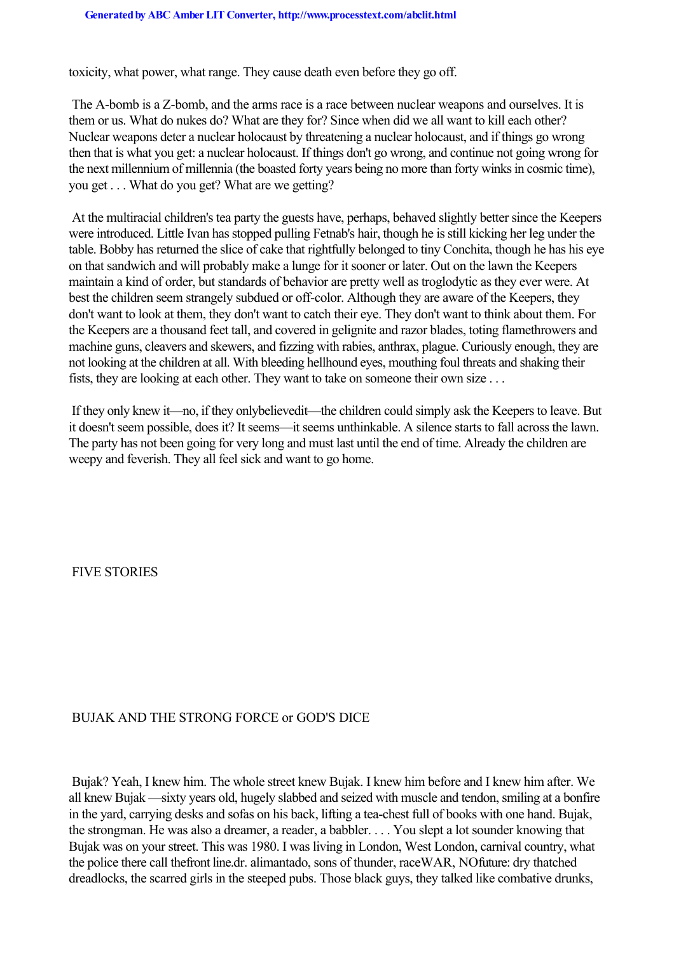toxicity, what power, what range. They cause death even before they go off.

 The A-bomb is a Z-bomb, and the arms race is a race between nuclear weapons and ourselves. It is them or us. What do nukes do? What are they for? Since when did we all want to kill each other? Nuclear weapons deter a nuclear holocaust by threatening a nuclear holocaust, and if things go wrong then that is what you get: a nuclear holocaust. If things don't go wrong, and continue not going wrong for the next millennium of millennia (the boasted forty years being no more than forty winks in cosmic time), you get . . . What do you get? What are we getting?

 At the multiracial children's tea party the guests have, perhaps, behaved slightly better since the Keepers were introduced. Little Ivan has stopped pulling Fetnab's hair, though he is still kicking her leg under the table. Bobby has returned the slice of cake that rightfully belonged to tiny Conchita, though he has his eye on that sandwich and will probably make a lunge for it sooner or later. Out on the lawn the Keepers maintain a kind of order, but standards of behavior are pretty well as troglodytic as they ever were. At best the children seem strangely subdued or off-color. Although they are aware of the Keepers, they don't want to look at them, they don't want to catch their eye. They don't want to think about them. For the Keepers are a thousand feet tall, and covered in gelignite and razor blades, toting flamethrowers and machine guns, cleavers and skewers, and fizzing with rabies, anthrax, plague. Curiously enough, they are not looking at the children at all. With bleeding hellhound eyes, mouthing foul threats and shaking their fists, they are looking at each other. They want to take on someone their own size . . .

 If they only knew it—no, if they onlybelievedit—the children could simply ask the Keepers to leave. But it doesn't seem possible, does it? It seems—it seems unthinkable. A silence starts to fall across the lawn. The party has not been going for very long and must last until the end of time. Already the children are weepy and feverish. They all feel sick and want to go home.

FIVE STORIES

## BUJAK AND THE STRONG FORCE or GOD'S DICE

 Bujak? Yeah, I knew him. The whole street knew Bujak. I knew him before and I knew him after. We all knew Bujak —sixty years old, hugely slabbed and seized with muscle and tendon, smiling at a bonfire in the yard, carrying desks and sofas on his back, lifting a tea-chest full of books with one hand. Bujak, the strongman. He was also a dreamer, a reader, a babbler. . . . You slept a lot sounder knowing that Bujak was on your street. This was 1980. I was living in London, West London, carnival country, what the police there call thefront line.dr. alimantado, sons of thunder, raceWAR, NOfuture: dry thatched dreadlocks, the scarred girls in the steeped pubs. Those black guys, they talked like combative drunks,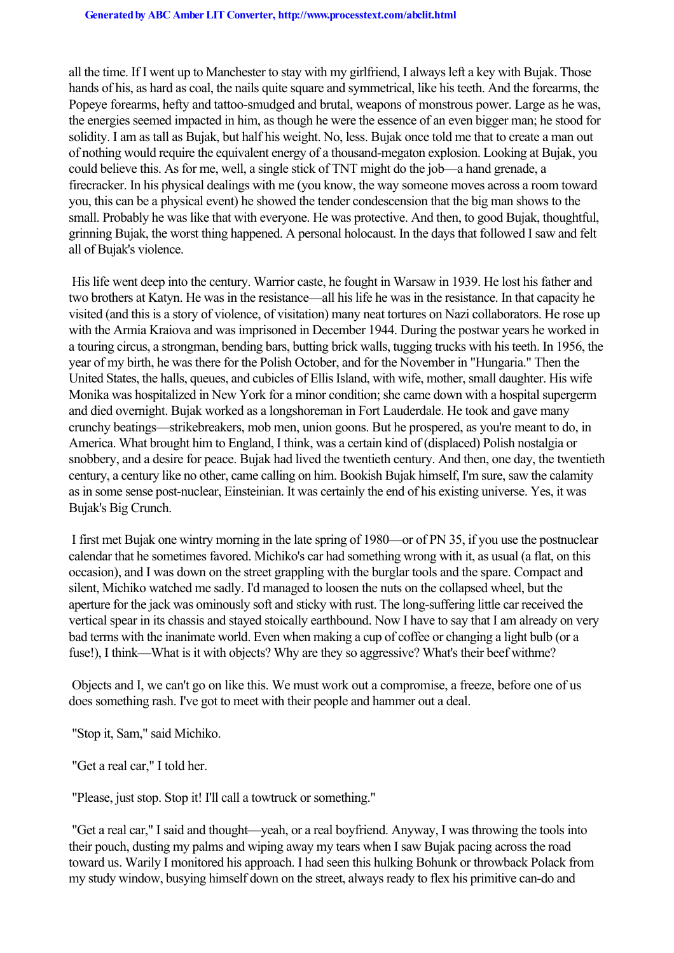all the time. If I went up to Manchester to stay with my girlfriend, I always left a key with Bujak. Those hands of his, as hard as coal, the nails quite square and symmetrical, like his teeth. And the forearms, the Popeye forearms, hefty and tattoo-smudged and brutal, weapons of monstrous power. Large as he was, the energies seemed impacted in him, as though he were the essence of an even bigger man; he stood for solidity. I am as tall as Bujak, but half his weight. No, less. Bujak once told me that to create a man out of nothing would require the equivalent energy of a thousand-megaton explosion. Looking at Bujak, you could believe this. As for me, well, a single stick of TNT might do the job—a hand grenade, a firecracker. In his physical dealings with me (you know, the way someone moves across a room toward you, this can be a physical event) he showed the tender condescension that the big man shows to the small. Probably he was like that with everyone. He was protective. And then, to good Bujak, thoughtful, grinning Bujak, the worst thing happened. A personal holocaust. In the days that followed I saw and felt all of Bujak's violence.

 His life went deep into the century. Warrior caste, he fought in Warsaw in 1939. He lost his father and two brothers at Katyn. He was in the resistance—all his life he was in the resistance. In that capacity he visited (and this is a story of violence, of visitation) many neat tortures on Nazi collaborators. He rose up with the Armia Kraiova and was imprisoned in December 1944. During the postwar years he worked in a touring circus, a strongman, bending bars, butting brick walls, tugging trucks with his teeth. In 1956, the year of my birth, he was there for the Polish October, and for the November in "Hungaria." Then the United States, the halls, queues, and cubicles of Ellis Island, with wife, mother, small daughter. His wife Monika was hospitalized in New York for a minor condition; she came down with a hospital supergerm and died overnight. Bujak worked as a longshoreman in Fort Lauderdale. He took and gave many crunchy beatings—strikebreakers, mob men, union goons. But he prospered, as you're meant to do, in America. What brought him to England, I think, was a certain kind of (displaced) Polish nostalgia or snobbery, and a desire for peace. Bujak had lived the twentieth century. And then, one day, the twentieth century, a century like no other, came calling on him. Bookish Bujak himself, I'm sure, saw the calamity as in some sense post-nuclear, Einsteinian. It was certainly the end of his existing universe. Yes, it was Bujak's Big Crunch.

 I first met Bujak one wintry morning in the late spring of 1980—or of PN 35, if you use the postnuclear calendar that he sometimes favored. Michiko's car had something wrong with it, as usual (a flat, on this occasion), and I was down on the street grappling with the burglar tools and the spare. Compact and silent, Michiko watched me sadly. I'd managed to loosen the nuts on the collapsed wheel, but the aperture for the jack was ominously soft and sticky with rust. The long-suffering little car received the vertical spear in its chassis and stayed stoically earthbound. Now I have to say that I am already on very bad terms with the inanimate world. Even when making a cup of coffee or changing a light bulb (or a fuse!), I think—What is it with objects? Why are they so aggressive? What's their beef withme?

 Objects and I, we can't go on like this. We must work out a compromise, a freeze, before one of us does something rash. I've got to meet with their people and hammer out a deal.

"Stop it, Sam," said Michiko.

"Get a real car," I told her.

"Please, just stop. Stop it! I'll call a towtruck or something."

 "Get a real car," I said and thought—yeah, or a real boyfriend. Anyway, I was throwing the tools into their pouch, dusting my palms and wiping away my tears when I saw Bujak pacing across the road toward us. Warily I monitored his approach. I had seen this hulking Bohunk or throwback Polack from my study window, busying himself down on the street, always ready to flex his primitive can-do and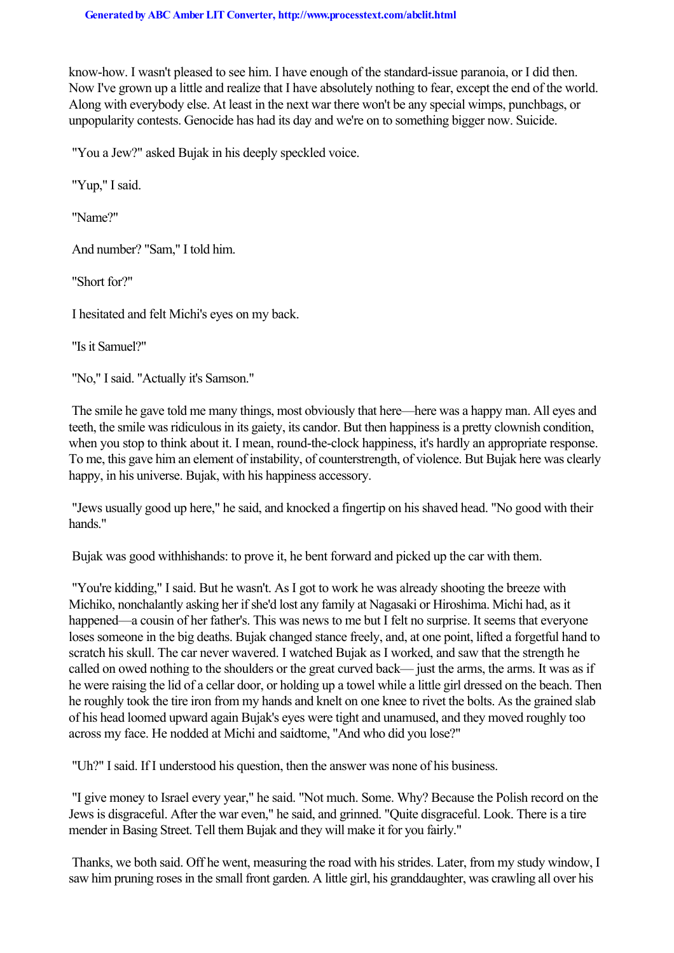know-how. I wasn't pleased to see him. I have enough of the standard-issue paranoia, or I did then. Now I've grown up a little and realize that I have absolutely nothing to fear, except the end of the world. Along with everybody else. At least in the next war there won't be any special wimps, punchbags, or unpopularity contests. Genocide has had its day and we're on to something bigger now. Suicide.

"You a Jew?" asked Bujak in his deeply speckled voice.

"Yup," I said.

"Name?"

And number? "Sam," I told him.

"Short for?"

I hesitated and felt Michi's eyes on my back.

"Is it Samuel?"

"No," I said. "Actually it's Samson."

 The smile he gave told me many things, most obviously that here—here was a happy man. All eyes and teeth, the smile was ridiculous in its gaiety, its candor. But then happiness is a pretty clownish condition, when you stop to think about it. I mean, round-the-clock happiness, it's hardly an appropriate response. To me, this gave him an element of instability, of counterstrength, of violence. But Bujak here was clearly happy, in his universe. Bujak, with his happiness accessory.

 "Jews usually good up here," he said, and knocked a fingertip on his shaved head. "No good with their hands."

Bujak was good withhishands: to prove it, he bent forward and picked up the car with them.

 "You're kidding," I said. But he wasn't. As I got to work he was already shooting the breeze with Michiko, nonchalantly asking her if she'd lost any family at Nagasaki or Hiroshima. Michi had, as it happened—a cousin of her father's. This was news to me but I felt no surprise. It seems that everyone loses someone in the big deaths. Bujak changed stance freely, and, at one point, lifted a forgetful hand to scratch his skull. The car never wavered. I watched Bujak as I worked, and saw that the strength he called on owed nothing to the shoulders or the great curved back— just the arms, the arms. It was as if he were raising the lid of a cellar door, or holding up a towel while a little girl dressed on the beach. Then he roughly took the tire iron from my hands and knelt on one knee to rivet the bolts. As the grained slab of his head loomed upward again Bujak's eyes were tight and unamused, and they moved roughly too across my face. He nodded at Michi and saidtome, "And who did you lose?"

"Uh?" I said. If I understood his question, then the answer was none of his business.

 "I give money to Israel every year," he said. "Not much. Some. Why? Because the Polish record on the Jews is disgraceful. After the war even," he said, and grinned. "Quite disgraceful. Look. There is a tire mender in Basing Street. Tell them Bujak and they will make it for you fairly."

 Thanks, we both said. Off he went, measuring the road with his strides. Later, from my study window, I saw him pruning roses in the small front garden. A little girl, his granddaughter, was crawling all over his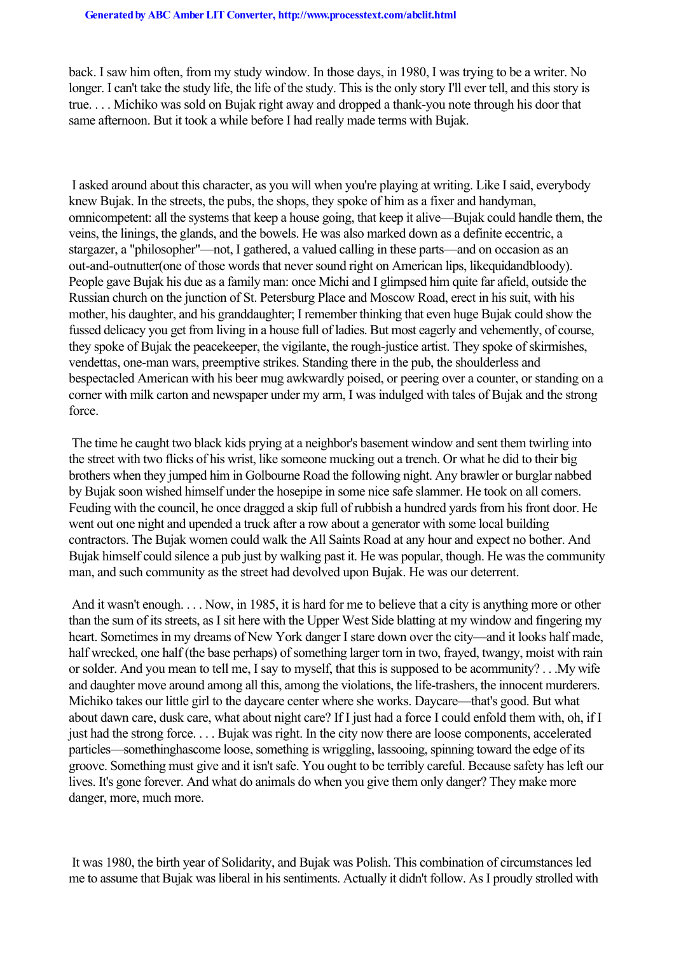back. I saw him often, from my study window. In those days, in 1980, I was trying to be a writer. No longer. I can't take the study life, the life of the study. This is the only story I'll ever tell, and this story is true. . . . Michiko was sold on Bujak right away and dropped a thank-you note through his door that same afternoon. But it took a while before I had really made terms with Bujak.

 I asked around about this character, as you will when you're playing at writing. Like I said, everybody knew Bujak. In the streets, the pubs, the shops, they spoke of him as a fixer and handyman, omnicompetent: all the systems that keep a house going, that keep it alive—Bujak could handle them, the veins, the linings, the glands, and the bowels. He was also marked down as a definite eccentric, a stargazer, a "philosopher"—not, I gathered, a valued calling in these parts—and on occasion as an out-and-outnutter(one of those words that never sound right on American lips, likequidandbloody). People gave Bujak his due as a family man: once Michi and I glimpsed him quite far afield, outside the Russian church on the junction of St. Petersburg Place and Moscow Road, erect in his suit, with his mother, his daughter, and his granddaughter; I remember thinking that even huge Bujak could show the fussed delicacy you get from living in a house full of ladies. But most eagerly and vehemently, of course, they spoke of Bujak the peacekeeper, the vigilante, the rough-justice artist. They spoke of skirmishes, vendettas, one-man wars, preemptive strikes. Standing there in the pub, the shoulderless and bespectacled American with his beer mug awkwardly poised, or peering over a counter, or standing on a corner with milk carton and newspaper under my arm, I was indulged with tales of Bujak and the strong force.

 The time he caught two black kids prying at a neighbor's basement window and sent them twirling into the street with two flicks of his wrist, like someone mucking out a trench. Or what he did to their big brothers when they jumped him in Golbourne Road the following night. Any brawler or burglar nabbed by Bujak soon wished himself under the hosepipe in some nice safe slammer. He took on all comers. Feuding with the council, he once dragged a skip full of rubbish a hundred yards from his front door. He went out one night and upended a truck after a row about a generator with some local building contractors. The Bujak women could walk the All Saints Road at any hour and expect no bother. And Bujak himself could silence a pub just by walking past it. He was popular, though. He was the community man, and such community as the street had devolved upon Bujak. He was our deterrent.

 And it wasn't enough. . . . Now, in 1985, it is hard for me to believe that a city is anything more or other than the sum of its streets, as I sit here with the Upper West Side blatting at my window and fingering my heart. Sometimes in my dreams of New York danger I stare down over the city—and it looks half made, half wrecked, one half (the base perhaps) of something larger torn in two, frayed, twangy, moist with rain or solder. And you mean to tell me, I say to myself, that this is supposed to be acommunity? . . .My wife and daughter move around among all this, among the violations, the life-trashers, the innocent murderers. Michiko takes our little girl to the daycare center where she works. Daycare—that's good. But what about dawn care, dusk care, what about night care? If I just had a force I could enfold them with, oh, if I just had the strong force. . . . Bujak was right. In the city now there are loose components, accelerated particles—somethinghascome loose, something is wriggling, lassooing, spinning toward the edge of its groove. Something must give and it isn't safe. You ought to be terribly careful. Because safety has left our lives. It's gone forever. And what do animals do when you give them only danger? They make more danger, more, much more.

 It was 1980, the birth year of Solidarity, and Bujak was Polish. This combination of circumstances led me to assume that Bujak was liberal in his sentiments. Actually it didn't follow. As I proudly strolled with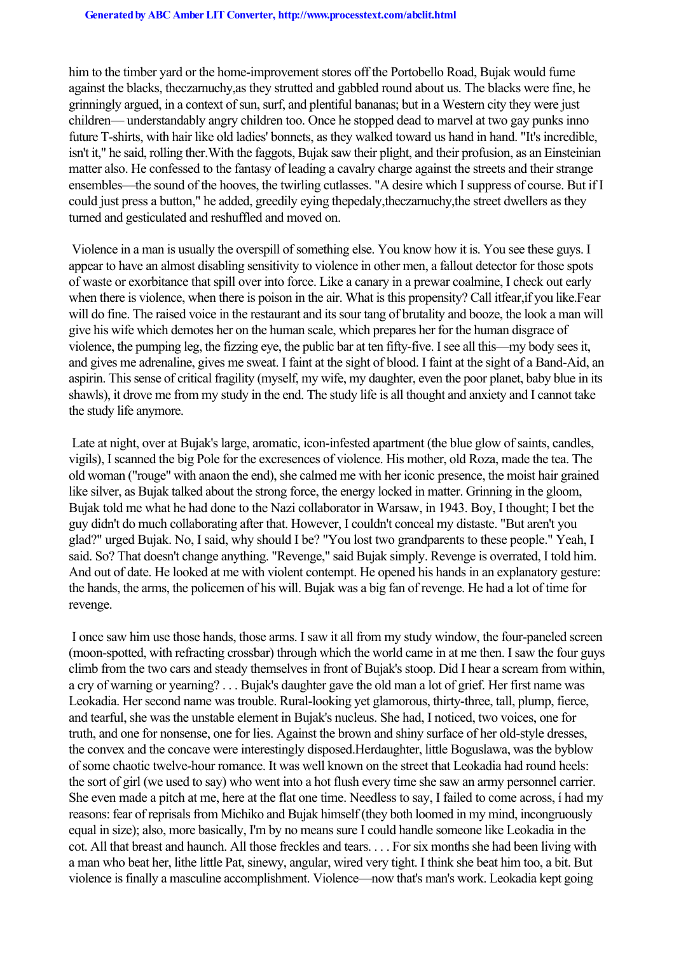him to the timber yard or the home-improvement stores off the Portobello Road, Bujak would fume against the blacks, theczarnuchy,as they strutted and gabbled round about us. The blacks were fine, he grinningly argued, in a context of sun, surf, and plentiful bananas; but in a Western city they were just children— understandably angry children too. Once he stopped dead to marvel at two gay punks inno future T-shirts, with hair like old ladies' bonnets, as they walked toward us hand in hand. "It's incredible, isn't it," he said, rolling ther.With the faggots, Bujak saw their plight, and their profusion, as an Einsteinian matter also. He confessed to the fantasy of leading a cavalry charge against the streets and their strange ensembles—the sound of the hooves, the twirling cutlasses. "A desire which I suppress of course. But if I could just press a button," he added, greedily eying thepedaly,theczarnuchy,the street dwellers as they turned and gesticulated and reshuffled and moved on.

 Violence in a man is usually the overspill of something else. You know how it is. You see these guys. I appear to have an almost disabling sensitivity to violence in other men, a fallout detector for those spots of waste or exorbitance that spill over into force. Like a canary in a prewar coalmine, I check out early when there is violence, when there is poison in the air. What is this propensity? Call itfear,if you like.Fear will do fine. The raised voice in the restaurant and its sour tang of brutality and booze, the look a man will give his wife which demotes her on the human scale, which prepares her for the human disgrace of violence, the pumping leg, the fizzing eye, the public bar at ten fifty-five. I see all this—my body sees it, and gives me adrenaline, gives me sweat. I faint at the sight of blood. I faint at the sight of a Band-Aid, an aspirin. This sense of critical fragility (myself, my wife, my daughter, even the poor planet, baby blue in its shawls), it drove me from my study in the end. The study life is all thought and anxiety and I cannot take the study life anymore.

 Late at night, over at Bujak's large, aromatic, icon-infested apartment (the blue glow of saints, candles, vigils), I scanned the big Pole for the excresences of violence. His mother, old Roza, made the tea. The old woman ("rouge" with anaon the end), she calmed me with her iconic presence, the moist hair grained like silver, as Bujak talked about the strong force, the energy locked in matter. Grinning in the gloom, Bujak told me what he had done to the Nazi collaborator in Warsaw, in 1943. Boy, I thought; I bet the guy didn't do much collaborating after that. However, I couldn't conceal my distaste. "But aren't you glad?" urged Bujak. No, I said, why should I be? "You lost two grandparents to these people." Yeah, I said. So? That doesn't change anything. "Revenge," said Bujak simply. Revenge is overrated, I told him. And out of date. He looked at me with violent contempt. He opened his hands in an explanatory gesture: the hands, the arms, the policemen of his will. Bujak was a big fan of revenge. He had a lot of time for revenge.

 I once saw him use those hands, those arms. I saw it all from my study window, the four-paneled screen (moon-spotted, with refracting crossbar) through which the world came in at me then. I saw the four guys climb from the two cars and steady themselves in front of Bujak's stoop. Did I hear a scream from within, a cry of warning or yearning? . . . Bujak's daughter gave the old man a lot of grief. Her first name was Leokadia. Her second name was trouble. Rural-looking yet glamorous, thirty-three, tall, plump, fierce, and tearful, she was the unstable element in Bujak's nucleus. She had, I noticed, two voices, one for truth, and one for nonsense, one for lies. Against the brown and shiny surface of her old-style dresses, the convex and the concave were interestingly disposed.Herdaughter, little Boguslawa, was the byblow of some chaotic twelve-hour romance. It was well known on the street that Leokadia had round heels: the sort of girl (we used to say) who went into a hot flush every time she saw an army personnel carrier. She even made a pitch at me, here at the flat one time. Needless to say, I failed to come across, í had my reasons: fear of reprisals from Michiko and Bujak himself (they both loomed in my mind, incongruously equal in size); also, more basically, I'm by no means sure I could handle someone like Leokadia in the cot. All that breast and haunch. All those freckles and tears. . . . For six months she had been living with a man who beat her, lithe little Pat, sinewy, angular, wired very tight. I think she beat him too, a bit. But violence is finally a masculine accomplishment. Violence—now that's man's work. Leokadia kept going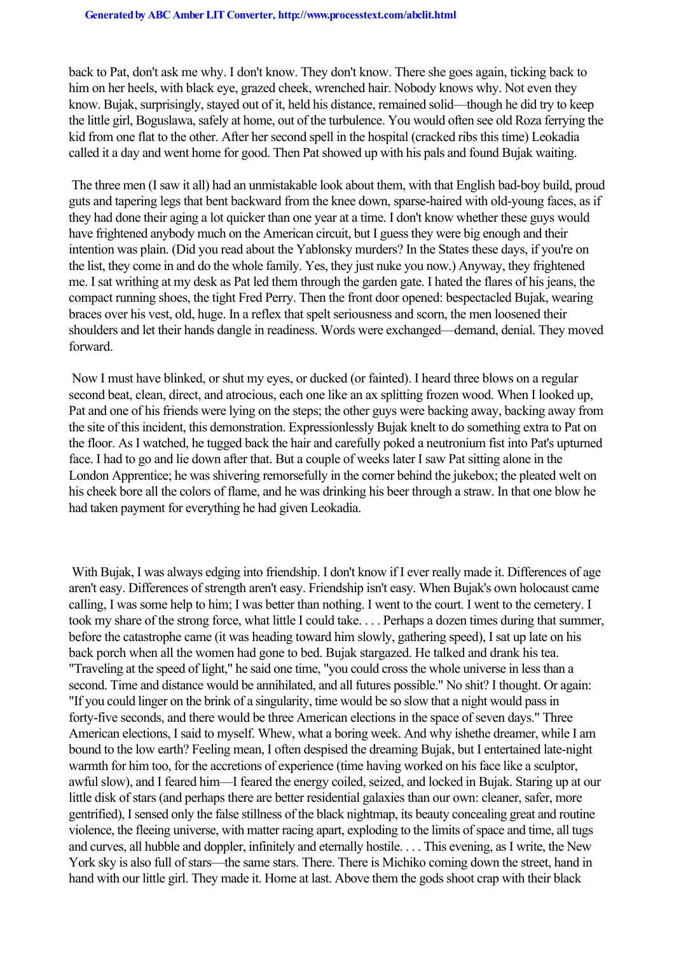back to Pat, don't ask me why. I don't know. They don't know. There she goes again, ticking back to him on her heels, with black eye, grazed cheek, wrenched hair. Nobody knows why. Not even they know. Bujak, surprisingly, stayed out of it, held his distance, remained solid—though he did try to keep the little girl, Boguslawa, safely at home, out of the turbulence. You would often see old Roza ferrying the kid from one flat to the other. After her second spell in the hospital (cracked ribs this time) Leokadia called it a day and went home for good. Then Pat showed up with his pals and found Bujak waiting.

 The three men (I saw it all) had an unmistakable look about them, with that English bad-boy build, proud guts and tapering legs that bent backward from the knee down, sparse-haired with old-young faces, as if they had done their aging a lot quicker than one year at a time. I don't know whether these guys would have frightened anybody much on the American circuit, but I guess they were big enough and their intention was plain. (Did you read about the Yablonsky murders? In the States these days, if you're on the list, they come in and do the whole family. Yes, they just nuke you now.) Anyway, they frightened me. I sat writhing at my desk as Pat led them through the garden gate. I hated the flares of his jeans, the compact running shoes, the tight Fred Perry. Then the front door opened: bespectacled Bujak, wearing braces over his vest, old, huge. In a reflex that spelt seriousness and scorn, the men loosened their shoulders and let their hands dangle in readiness. Words were exchanged—demand, denial. They moved forward.

 Now I must have blinked, or shut my eyes, or ducked (or fainted). I heard three blows on a regular second beat, clean, direct, and atrocious, each one like an ax splitting frozen wood. When I looked up, Pat and one of his friends were lying on the steps; the other guys were backing away, backing away from the site of this incident, this demonstration. Expressionlessly Bujak knelt to do something extra to Pat on the floor. As I watched, he tugged back the hair and carefully poked a neutronium fist into Pat's upturned face. I had to go and lie down after that. But a couple of weeks later I saw Pat sitting alone in the London Apprentice; he was shivering remorsefully in the corner behind the jukebox; the pleated welt on his cheek bore all the colors of flame, and he was drinking his beer through a straw. In that one blow he had taken payment for everything he had given Leokadia.

With Bujak, I was always edging into friendship. I don't know if I ever really made it. Differences of age aren't easy. Differences of strength aren't easy. Friendship isn't easy. When Bujak's own holocaust came calling, I was some help to him; I was better than nothing. I went to the court. I went to the cemetery. I took my share of the strong force, what little I could take. . . . Perhaps a dozen times during that summer, before the catastrophe came (it was heading toward him slowly, gathering speed), I sat up late on his back porch when all the women had gone to bed. Bujak stargazed. He talked and drank his tea. "Traveling at the speed of light," he said one time, "you could cross the whole universe in less than a second. Time and distance would be annihilated, and all futures possible." No shit? I thought. Or again: "If you could linger on the brink of a singularity, time would be so slow that a night would pass in forty-five seconds, and there would be three American elections in the space of seven days." Three American elections, I said to myself. Whew, what a boring week. And why ishethe dreamer, while I am bound to the low earth? Feeling mean, I often despised the dreaming Bujak, but I entertained late-night warmth for him too, for the accretions of experience (time having worked on his face like a sculptor, awful slow), and I feared him—I feared the energy coiled, seized, and locked in Bujak. Staring up at our little disk of stars (and perhaps there are better residential galaxies than our own: cleaner, safer, more gentrified), I sensed only the false stillness of the black nightmap, its beauty concealing great and routine violence, the fleeing universe, with matter racing apart, exploding to the limits of space and time, all tugs and curves, all hubble and doppler, infinitely and eternally hostile. . . . This evening, as I write, the New York sky is also full of stars—the same stars. There. There is Michiko coming down the street, hand in hand with our little girl. They made it. Home at last. Above them the gods shoot crap with their black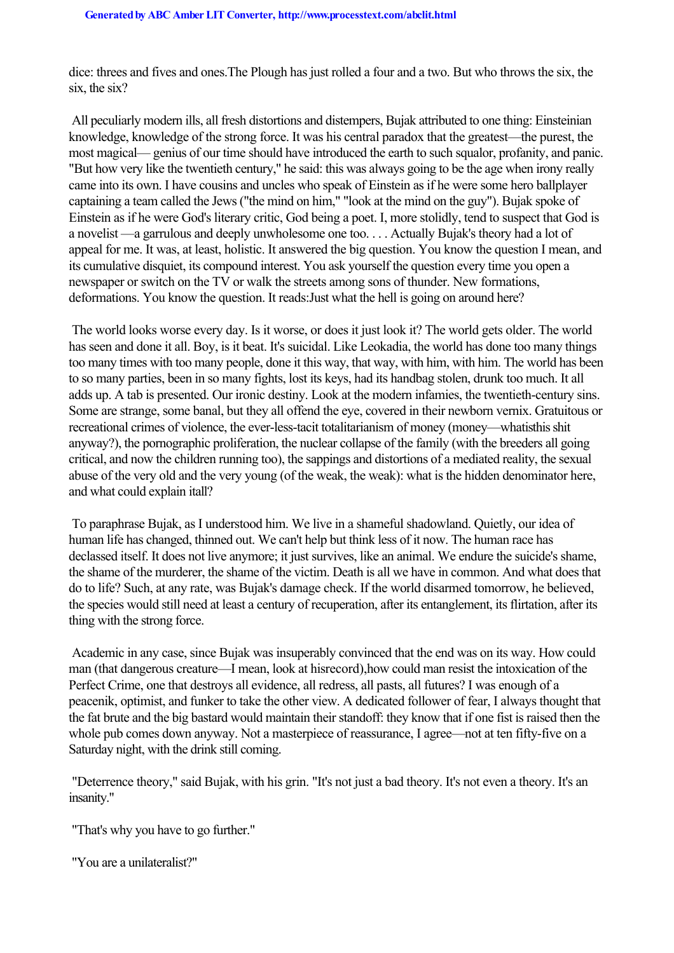dice: threes and fives and ones.The Plough has just rolled a four and a two. But who throws the six, the six, the six?

 All peculiarly modern ills, all fresh distortions and distempers, Bujak attributed to one thing: Einsteinian knowledge, knowledge of the strong force. It was his central paradox that the greatest—the purest, the most magical— genius of our time should have introduced the earth to such squalor, profanity, and panic. "But how very like the twentieth century," he said: this was always going to be the age when irony really came into its own. I have cousins and uncles who speak of Einstein as if he were some hero ballplayer captaining a team called the Jews ("the mind on him," "look at the mind on the guy"). Bujak spoke of Einstein as if he were God's literary critic, God being a poet. I, more stolidly, tend to suspect that God is a novelist —a garrulous and deeply unwholesome one too. . . . Actually Bujak's theory had a lot of appeal for me. It was, at least, holistic. It answered the big question. You know the question I mean, and its cumulative disquiet, its compound interest. You ask yourself the question every time you open a newspaper or switch on the TV or walk the streets among sons of thunder. New formations, deformations. You know the question. It reads:Just what the hell is going on around here?

 The world looks worse every day. Is it worse, or does it just look it? The world gets older. The world has seen and done it all. Boy, is it beat. It's suicidal. Like Leokadia, the world has done too many things too many times with too many people, done it this way, that way, with him, with him. The world has been to so many parties, been in so many fights, lost its keys, had its handbag stolen, drunk too much. It all adds up. A tab is presented. Our ironic destiny. Look at the modern infamies, the twentieth-century sins. Some are strange, some banal, but they all offend the eye, covered in their newborn vernix. Gratuitous or recreational crimes of violence, the ever-less-tacit totalitarianism of money (money—whatisthis shit anyway?), the pornographic proliferation, the nuclear collapse of the family (with the breeders all going critical, and now the children running too), the sappings and distortions of a mediated reality, the sexual abuse of the very old and the very young (of the weak, the weak): what is the hidden denominator here, and what could explain itall?

 To paraphrase Bujak, as I understood him. We live in a shameful shadowland. Quietly, our idea of human life has changed, thinned out. We can't help but think less of it now. The human race has declassed itself. It does not live anymore; it just survives, like an animal. We endure the suicide's shame, the shame of the murderer, the shame of the victim. Death is all we have in common. And what does that do to life? Such, at any rate, was Bujak's damage check. If the world disarmed tomorrow, he believed, the species would still need at least a century of recuperation, after its entanglement, its flirtation, after its thing with the strong force.

 Academic in any case, since Bujak was insuperably convinced that the end was on its way. How could man (that dangerous creature—I mean, look at hisrecord),how could man resist the intoxication of the Perfect Crime, one that destroys all evidence, all redress, all pasts, all futures? I was enough of a peacenik, optimist, and funker to take the other view. A dedicated follower of fear, I always thought that the fat brute and the big bastard would maintain their standoff: they know that if one fist is raised then the whole pub comes down anyway. Not a masterpiece of reassurance, I agree—not at ten fifty-five on a Saturday night, with the drink still coming.

 "Deterrence theory," said Bujak, with his grin. "It's not just a bad theory. It's not even a theory. It's an insanity."

"That's why you have to go further."

"You are a unilateralist?"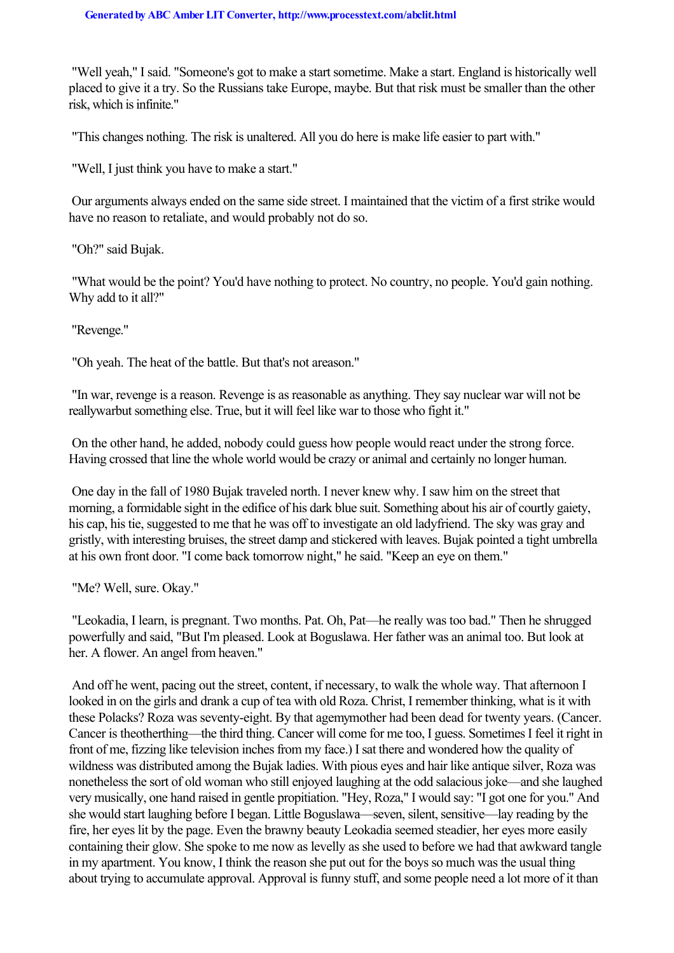"Well yeah," I said. "Someone's got to make a start sometime. Make a start. England is historically well placed to give it a try. So the Russians take Europe, maybe. But that risk must be smaller than the other risk, which is infinite."

"This changes nothing. The risk is unaltered. All you do here is make life easier to part with."

"Well, I just think you have to make a start."

 Our arguments always ended on the same side street. I maintained that the victim of a first strike would have no reason to retaliate, and would probably not do so.

"Oh?" said Bujak.

 "What would be the point? You'd have nothing to protect. No country, no people. You'd gain nothing. Why add to it all?"

"Revenge."

"Oh yeah. The heat of the battle. But that's not areason."

 "In war, revenge is a reason. Revenge is as reasonable as anything. They say nuclear war will not be reallywarbut something else. True, but it will feel like war to those who fight it."

 On the other hand, he added, nobody could guess how people would react under the strong force. Having crossed that line the whole world would be crazy or animal and certainly no longer human.

 One day in the fall of 1980 Bujak traveled north. I never knew why. I saw him on the street that morning, a formidable sight in the edifice of his dark blue suit. Something about his air of courtly gaiety, his cap, his tie, suggested to me that he was off to investigate an old ladyfriend. The sky was gray and gristly, with interesting bruises, the street damp and stickered with leaves. Bujak pointed a tight umbrella at his own front door. "I come back tomorrow night," he said. "Keep an eye on them."

"Me? Well, sure. Okay."

 "Leokadia, I learn, is pregnant. Two months. Pat. Oh, Pat—he really was too bad." Then he shrugged powerfully and said, "But I'm pleased. Look at Boguslawa. Her father was an animal too. But look at her. A flower. An angel from heaven."

 And off he went, pacing out the street, content, if necessary, to walk the whole way. That afternoon I looked in on the girls and drank a cup of tea with old Roza. Christ, I remember thinking, what is it with these Polacks? Roza was seventy-eight. By that agemymother had been dead for twenty years. (Cancer. Cancer is theotherthing—the third thing. Cancer will come for me too, I guess. Sometimes I feel it right in front of me, fizzing like television inches from my face.) I sat there and wondered how the quality of wildness was distributed among the Bujak ladies. With pious eyes and hair like antique silver, Roza was nonetheless the sort of old woman who still enjoyed laughing at the odd salacious joke—and she laughed very musically, one hand raised in gentle propitiation. "Hey, Roza," I would say: "I got one for you." And she would start laughing before I began. Little Boguslawa—seven, silent, sensitive—lay reading by the fire, her eyes lit by the page. Even the brawny beauty Leokadia seemed steadier, her eyes more easily containing their glow. She spoke to me now as levelly as she used to before we had that awkward tangle in my apartment. You know, I think the reason she put out for the boys so much was the usual thing about trying to accumulate approval. Approval is funny stuff, and some people need a lot more of it than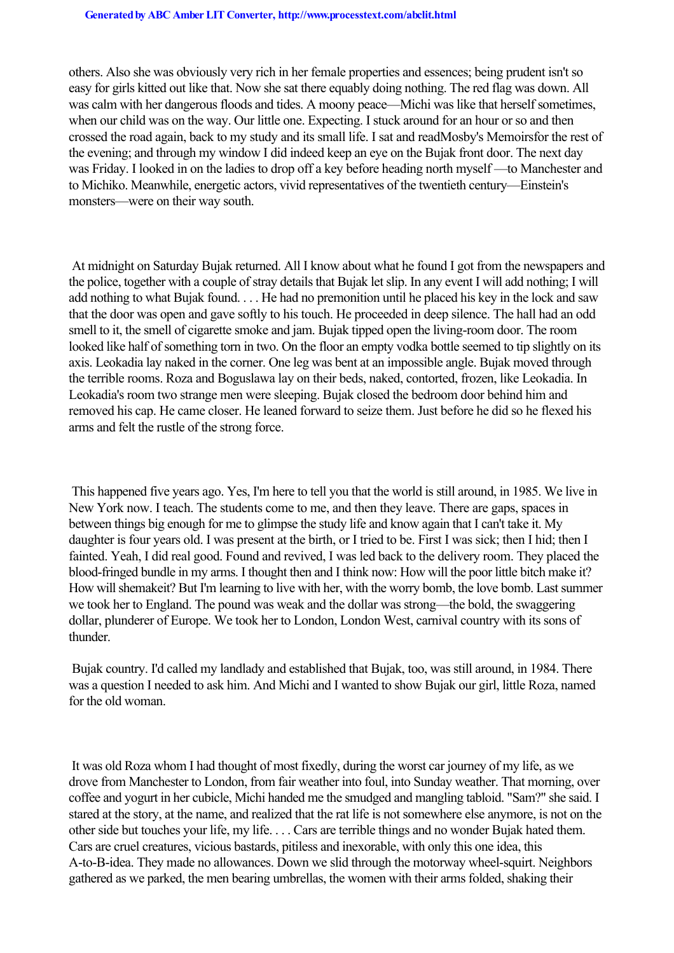others. Also she was obviously very rich in her female properties and essences; being prudent isn't so easy for girls kitted out like that. Now she sat there equably doing nothing. The red flag was down. All was calm with her dangerous floods and tides. A moony peace—Michi was like that herself sometimes, when our child was on the way. Our little one. Expecting. I stuck around for an hour or so and then crossed the road again, back to my study and its small life. I sat and readMosby's Memoirsfor the rest of the evening; and through my window I did indeed keep an eye on the Bujak front door. The next day was Friday. I looked in on the ladies to drop off a key before heading north myself —to Manchester and to Michiko. Meanwhile, energetic actors, vivid representatives of the twentieth century—Einstein's monsters—were on their way south.

 At midnight on Saturday Bujak returned. All I know about what he found I got from the newspapers and the police, together with a couple of stray details that Bujak let slip. In any event I will add nothing; I will add nothing to what Bujak found. . . . He had no premonition until he placed his key in the lock and saw that the door was open and gave softly to his touch. He proceeded in deep silence. The hall had an odd smell to it, the smell of cigarette smoke and jam. Bujak tipped open the living-room door. The room looked like half of something torn in two. On the floor an empty vodka bottle seemed to tip slightly on its axis. Leokadia lay naked in the corner. One leg was bent at an impossible angle. Bujak moved through the terrible rooms. Roza and Boguslawa lay on their beds, naked, contorted, frozen, like Leokadia. In Leokadia's room two strange men were sleeping. Bujak closed the bedroom door behind him and removed his cap. He came closer. He leaned forward to seize them. Just before he did so he flexed his arms and felt the rustle of the strong force.

 This happened five years ago. Yes, I'm here to tell you that the world is still around, in 1985. We live in New York now. I teach. The students come to me, and then they leave. There are gaps, spaces in between things big enough for me to glimpse the study life and know again that I can't take it. My daughter is four years old. I was present at the birth, or I tried to be. First I was sick; then I hid; then I fainted. Yeah, I did real good. Found and revived, I was led back to the delivery room. They placed the blood-fringed bundle in my arms. I thought then and I think now: How will the poor little bitch make it? How will shemakeit? But I'm learning to live with her, with the worry bomb, the love bomb. Last summer we took her to England. The pound was weak and the dollar was strong—the bold, the swaggering dollar, plunderer of Europe. We took her to London, London West, carnival country with its sons of thunder.

 Bujak country. I'd called my landlady and established that Bujak, too, was still around, in 1984. There was a question I needed to ask him. And Michi and I wanted to show Bujak our girl, little Roza, named for the old woman.

 It was old Roza whom I had thought of most fixedly, during the worst car journey of my life, as we drove from Manchester to London, from fair weather into foul, into Sunday weather. That morning, over coffee and yogurt in her cubicle, Michi handed me the smudged and mangling tabloid. "Sam?" she said. I stared at the story, at the name, and realized that the rat life is not somewhere else anymore, is not on the other side but touches your life, my life. . . . Cars are terrible things and no wonder Bujak hated them. Cars are cruel creatures, vicious bastards, pitiless and inexorable, with only this one idea, this A-to-B-idea. They made no allowances. Down we slid through the motorway wheel-squirt. Neighbors gathered as we parked, the men bearing umbrellas, the women with their arms folded, shaking their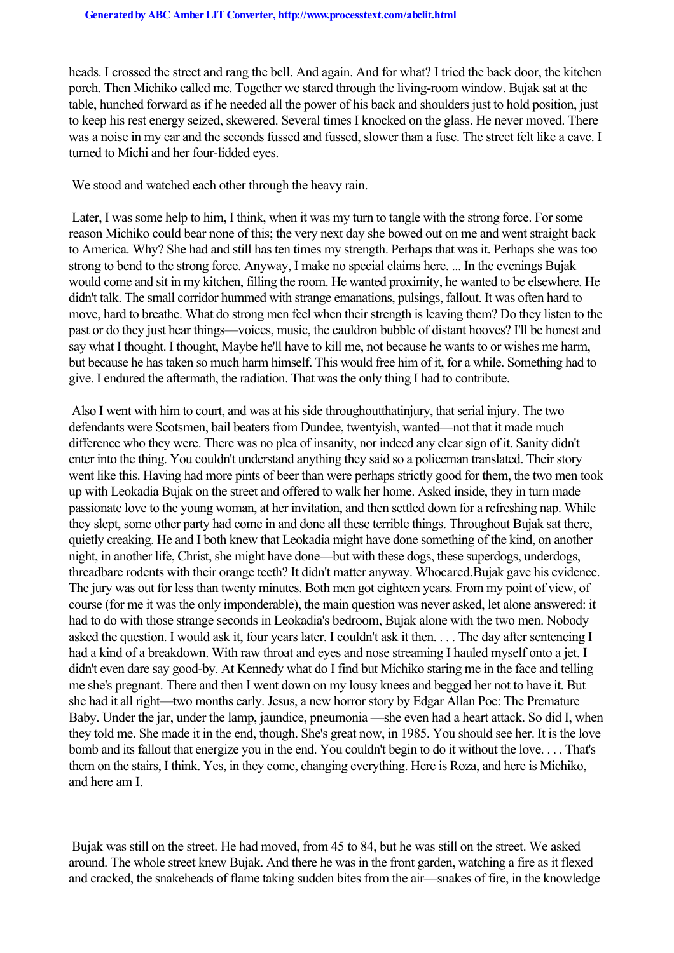heads. I crossed the street and rang the bell. And again. And for what? I tried the back door, the kitchen porch. Then Michiko called me. Together we stared through the living-room window. Bujak sat at the table, hunched forward as if he needed all the power of his back and shoulders just to hold position, just to keep his rest energy seized, skewered. Several times I knocked on the glass. He never moved. There was a noise in my ear and the seconds fussed and fussed, slower than a fuse. The street felt like a cave. I turned to Michi and her four-lidded eyes.

We stood and watched each other through the heavy rain.

 Later, I was some help to him, I think, when it was my turn to tangle with the strong force. For some reason Michiko could bear none of this; the very next day she bowed out on me and went straight back to America. Why? She had and still has ten times my strength. Perhaps that was it. Perhaps she was too strong to bend to the strong force. Anyway, I make no special claims here. ... In the evenings Bujak would come and sit in my kitchen, filling the room. He wanted proximity, he wanted to be elsewhere. He didn't talk. The small corridor hummed with strange emanations, pulsings, fallout. It was often hard to move, hard to breathe. What do strong men feel when their strength is leaving them? Do they listen to the past or do they just hear things—voices, music, the cauldron bubble of distant hooves? I'll be honest and say what I thought. I thought, Maybe he'll have to kill me, not because he wants to or wishes me harm, but because he has taken so much harm himself. This would free him of it, for a while. Something had to give. I endured the aftermath, the radiation. That was the only thing I had to contribute.

 Also I went with him to court, and was at his side throughoutthatinjury, that serial injury. The two defendants were Scotsmen, bail beaters from Dundee, twentyish, wanted—not that it made much difference who they were. There was no plea of insanity, nor indeed any clear sign of it. Sanity didn't enter into the thing. You couldn't understand anything they said so a policeman translated. Their story went like this. Having had more pints of beer than were perhaps strictly good for them, the two men took up with Leokadia Bujak on the street and offered to walk her home. Asked inside, they in turn made passionate love to the young woman, at her invitation, and then settled down for a refreshing nap. While they slept, some other party had come in and done all these terrible things. Throughout Bujak sat there, quietly creaking. He and I both knew that Leokadia might have done something of the kind, on another night, in another life, Christ, she might have done—but with these dogs, these superdogs, underdogs, threadbare rodents with their orange teeth? It didn't matter anyway. Whocared.Bujak gave his evidence. The jury was out for less than twenty minutes. Both men got eighteen years. From my point of view, of course (for me it was the only imponderable), the main question was never asked, let alone answered: it had to do with those strange seconds in Leokadia's bedroom, Bujak alone with the two men. Nobody asked the question. I would ask it, four years later. I couldn't ask it then. . . . The day after sentencing I had a kind of a breakdown. With raw throat and eyes and nose streaming I hauled myself onto a jet. I didn't even dare say good-by. At Kennedy what do I find but Michiko staring me in the face and telling me she's pregnant. There and then I went down on my lousy knees and begged her not to have it. But she had it all right—two months early. Jesus, a new horror story by Edgar Allan Poe: The Premature Baby. Under the jar, under the lamp, jaundice, pneumonia —she even had a heart attack. So did I, when they told me. She made it in the end, though. She's great now, in 1985. You should see her. It is the love bomb and its fallout that energize you in the end. You couldn't begin to do it without the love. . . . That's them on the stairs, I think. Yes, in they come, changing everything. Here is Roza, and here is Michiko, and here am I.

 Bujak was still on the street. He had moved, from 45 to 84, but he was still on the street. We asked around. The whole street knew Bujak. And there he was in the front garden, watching a fire as it flexed and cracked, the snakeheads of flame taking sudden bites from the air—snakes of fire, in the knowledge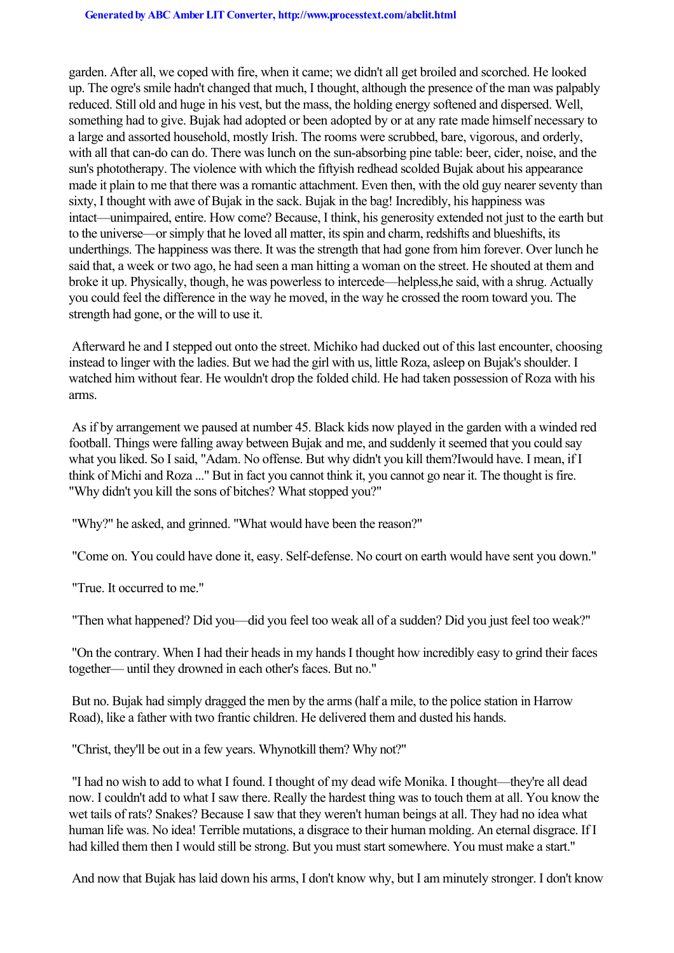garden. After all, we coped with fire, when it came; we didn't all get broiled and scorched. He looked up. The ogre's smile hadn't changed that much, I thought, although the presence of the man was palpably reduced. Still old and huge in his vest, but the mass, the holding energy softened and dispersed. Well, something had to give. Bujak had adopted or been adopted by or at any rate made himself necessary to a large and assorted household, mostly Irish. The rooms were scrubbed, bare, vigorous, and orderly, with all that can-do can do. There was lunch on the sun-absorbing pine table: beer, cider, noise, and the sun's phototherapy. The violence with which the fiftyish redhead scolded Bujak about his appearance made it plain to me that there was a romantic attachment. Even then, with the old guy nearer seventy than sixty, I thought with awe of Bujak in the sack. Bujak in the bag! Incredibly, his happiness was intact—unimpaired, entire. How come? Because, I think, his generosity extended not just to the earth but to the universe—or simply that he loved all matter, its spin and charm, redshifts and blueshifts, its underthings. The happiness was there. It was the strength that had gone from him forever. Over lunch he said that, a week or two ago, he had seen a man hitting a woman on the street. He shouted at them and broke it up. Physically, though, he was powerless to intercede—helpless,he said, with a shrug. Actually you could feel the difference in the way he moved, in the way he crossed the room toward you. The strength had gone, or the will to use it.

 Afterward he and I stepped out onto the street. Michiko had ducked out of this last encounter, choosing instead to linger with the ladies. But we had the girl with us, little Roza, asleep on Bujak's shoulder. I watched him without fear. He wouldn't drop the folded child. He had taken possession of Roza with his arms.

 As if by arrangement we paused at number 45. Black kids now played in the garden with a winded red football. Things were falling away between Bujak and me, and suddenly it seemed that you could say what you liked. So I said, "Adam. No offense. But why didn't you kill them?Iwould have. I mean, if I think of Michi and Roza ..." But in fact you cannot think it, you cannot go near it. The thought is fire. "Why didn't you kill the sons of bitches? What stopped you?"

"Why?" he asked, and grinned. "What would have been the reason?"

"Come on. You could have done it, easy. Self-defense. No court on earth would have sent you down."

"True. It occurred to me."

"Then what happened? Did you—did you feel too weak all of a sudden? Did you just feel too weak?"

 "On the contrary. When I had their heads in my hands I thought how incredibly easy to grind their faces together— until they drowned in each other's faces. But no."

 But no. Bujak had simply dragged the men by the arms (half a mile, to the police station in Harrow Road), like a father with two frantic children. He delivered them and dusted his hands.

"Christ, they'll be out in a few years. Whynotkill them? Why not?"

 "I had no wish to add to what I found. I thought of my dead wife Monika. I thought—they're all dead now. I couldn't add to what I saw there. Really the hardest thing was to touch them at all. You know the wet tails of rats? Snakes? Because I saw that they weren't human beings at all. They had no idea what human life was. No idea! Terrible mutations, a disgrace to their human molding. An eternal disgrace. If I had killed them then I would still be strong. But you must start somewhere. You must make a start."

And now that Bujak has laid down his arms, I don't know why, but I am minutely stronger. I don't know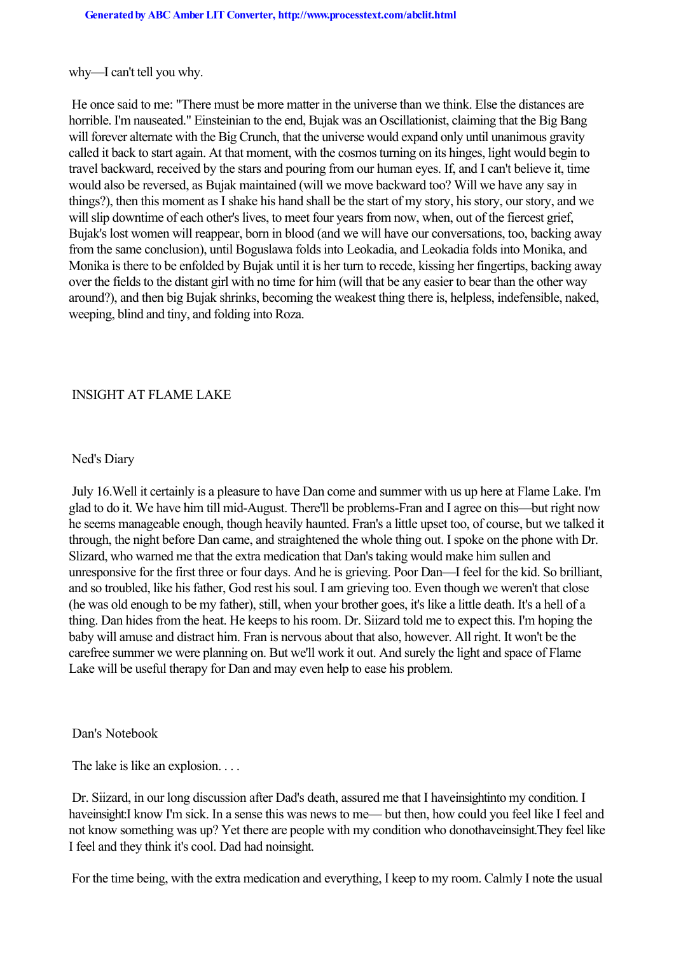why—I can't tell you why.

 He once said to me: "There must be more matter in the universe than we think. Else the distances are horrible. I'm nauseated." Einsteinian to the end, Bujak was an Oscillationist, claiming that the Big Bang will forever alternate with the Big Crunch, that the universe would expand only until unanimous gravity called it back to start again. At that moment, with the cosmos turning on its hinges, light would begin to travel backward, received by the stars and pouring from our human eyes. If, and I can't believe it, time would also be reversed, as Bujak maintained (will we move backward too? Will we have any say in things?), then this moment as I shake his hand shall be the start of my story, his story, our story, and we will slip downtime of each other's lives, to meet four years from now, when, out of the fiercest grief, Bujak's lost women will reappear, born in blood (and we will have our conversations, too, backing away from the same conclusion), until Boguslawa folds into Leokadia, and Leokadia folds into Monika, and Monika is there to be enfolded by Bujak until it is her turn to recede, kissing her fingertips, backing away over the fields to the distant girl with no time for him (will that be any easier to bear than the other way around?), and then big Bujak shrinks, becoming the weakest thing there is, helpless, indefensible, naked, weeping, blind and tiny, and folding into Roza.

## INSIGHT AT FLAME LAKE

### Ned's Diary

 July 16.Well it certainly is a pleasure to have Dan come and summer with us up here at Flame Lake. I'm glad to do it. We have him till mid-August. There'll be problems-Fran and I agree on this—but right now he seems manageable enough, though heavily haunted. Fran's a little upset too, of course, but we talked it through, the night before Dan came, and straightened the whole thing out. I spoke on the phone with Dr. Slizard, who warned me that the extra medication that Dan's taking would make him sullen and unresponsive for the first three or four days. And he is grieving. Poor Dan—I feel for the kid. So brilliant, and so troubled, like his father, God rest his soul. I am grieving too. Even though we weren't that close (he was old enough to be my father), still, when your brother goes, it's like a little death. It's a hell of a thing. Dan hides from the heat. He keeps to his room. Dr. Siizard told me to expect this. I'm hoping the baby will amuse and distract him. Fran is nervous about that also, however. All right. It won't be the carefree summer we were planning on. But we'll work it out. And surely the light and space of Flame Lake will be useful therapy for Dan and may even help to ease his problem.

Dan's Notebook

The lake is like an explosion. . . .

 Dr. Siizard, in our long discussion after Dad's death, assured me that I haveinsightinto my condition. I haveinsight:I know I'm sick. In a sense this was news to me— but then, how could you feel like I feel and not know something was up? Yet there are people with my condition who donothaveinsight.They feel like I feel and they think it's cool. Dad had noinsight.

For the time being, with the extra medication and everything, I keep to my room. Calmly I note the usual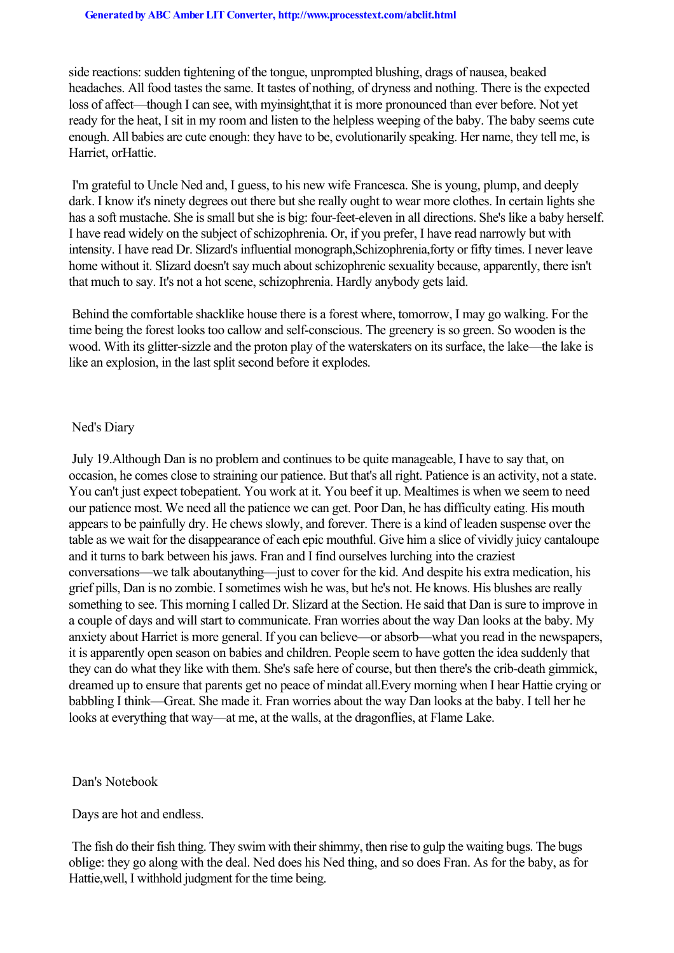side reactions: sudden tightening of the tongue, unprompted blushing, drags of nausea, beaked headaches. All food tastes the same. It tastes of nothing, of dryness and nothing. There is the expected loss of affect—though I can see, with myinsight,that it is more pronounced than ever before. Not yet ready for the heat, I sit in my room and listen to the helpless weeping of the baby. The baby seems cute enough. All babies are cute enough: they have to be, evolutionarily speaking. Her name, they tell me, is Harriet, orHattie.

 I'm grateful to Uncle Ned and, I guess, to his new wife Francesca. She is young, plump, and deeply dark. I know it's ninety degrees out there but she really ought to wear more clothes. In certain lights she has a soft mustache. She is small but she is big: four-feet-eleven in all directions. She's like a baby herself. I have read widely on the subject of schizophrenia. Or, if you prefer, I have read narrowly but with intensity. I have read Dr. Slizard's influential monograph,Schizophrenia,forty or fifty times. I never leave home without it. Slizard doesn't say much about schizophrenic sexuality because, apparently, there isn't that much to say. It's not a hot scene, schizophrenia. Hardly anybody gets laid.

 Behind the comfortable shacklike house there is a forest where, tomorrow, I may go walking. For the time being the forest looks too callow and self-conscious. The greenery is so green. So wooden is the wood. With its glitter-sizzle and the proton play of the waterskaters on its surface, the lake—the lake is like an explosion, in the last split second before it explodes.

#### Ned's Diary

 July 19.Although Dan is no problem and continues to be quite manageable, I have to say that, on occasion, he comes close to straining our patience. But that's all right. Patience is an activity, not a state. You can't just expect tobepatient. You work at it. You beef it up. Mealtimes is when we seem to need our patience most. We need all the patience we can get. Poor Dan, he has difficulty eating. His mouth appears to be painfully dry. He chews slowly, and forever. There is a kind of leaden suspense over the table as we wait for the disappearance of each epic mouthful. Give him a slice of vividly juicy cantaloupe and it turns to bark between his jaws. Fran and I find ourselves lurching into the craziest conversations—we talk aboutanything—just to cover for the kid. And despite his extra medication, his grief pills, Dan is no zombie. I sometimes wish he was, but he's not. He knows. His blushes are really something to see. This morning I called Dr. Slizard at the Section. He said that Dan is sure to improve in a couple of days and will start to communicate. Fran worries about the way Dan looks at the baby. My anxiety about Harriet is more general. If you can believe—or absorb—what you read in the newspapers, it is apparently open season on babies and children. People seem to have gotten the idea suddenly that they can do what they like with them. She's safe here of course, but then there's the crib-death gimmick, dreamed up to ensure that parents get no peace of mindat all.Every morning when I hear Hattie crying or babbling I think—Great. She made it. Fran worries about the way Dan looks at the baby. I tell her he looks at everything that way—at me, at the walls, at the dragonflies, at Flame Lake.

### Dan's Notebook

Days are hot and endless.

 The fish do their fish thing. They swim with their shimmy, then rise to gulp the waiting bugs. The bugs oblige: they go along with the deal. Ned does his Ned thing, and so does Fran. As for the baby, as for Hattie,well, I withhold judgment for the time being.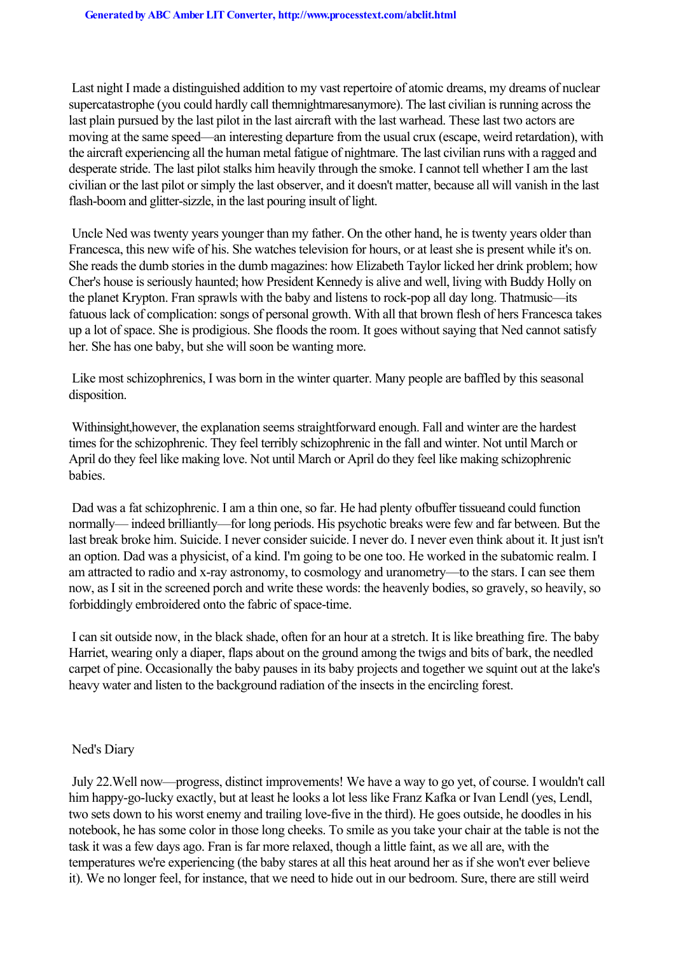Last night I made a distinguished addition to my vast repertoire of atomic dreams, my dreams of nuclear supercatastrophe (you could hardly call themnightmaresanymore). The last civilian is running across the last plain pursued by the last pilot in the last aircraft with the last warhead. These last two actors are moving at the same speed—an interesting departure from the usual crux (escape, weird retardation), with the aircraft experiencing all the human metal fatigue of nightmare. The last civilian runs with a ragged and desperate stride. The last pilot stalks him heavily through the smoke. I cannot tell whether I am the last civilian or the last pilot or simply the last observer, and it doesn't matter, because all will vanish in the last flash-boom and glitter-sizzle, in the last pouring insult of light.

 Uncle Ned was twenty years younger than my father. On the other hand, he is twenty years older than Francesca, this new wife of his. She watches television for hours, or at least she is present while it's on. She reads the dumb stories in the dumb magazines: how Elizabeth Taylor licked her drink problem; how Cher's house is seriously haunted; how President Kennedy is alive and well, living with Buddy Holly on the planet Krypton. Fran sprawls with the baby and listens to rock-pop all day long. Thatmusic—its fatuous lack of complication: songs of personal growth. With all that brown flesh of hers Francesca takes up a lot of space. She is prodigious. She floods the room. It goes without saying that Ned cannot satisfy her. She has one baby, but she will soon be wanting more.

 Like most schizophrenics, I was born in the winter quarter. Many people are baffled by this seasonal disposition.

 Withinsight,however, the explanation seems straightforward enough. Fall and winter are the hardest times for the schizophrenic. They feel terribly schizophrenic in the fall and winter. Not until March or April do they feel like making love. Not until March or April do they feel like making schizophrenic babies.

 Dad was a fat schizophrenic. I am a thin one, so far. He had plenty ofbuffer tissueand could function normally— indeed brilliantly—for long periods. His psychotic breaks were few and far between. But the last break broke him. Suicide. I never consider suicide. I never do. I never even think about it. It just isn't an option. Dad was a physicist, of a kind. I'm going to be one too. He worked in the subatomic realm. I am attracted to radio and x-ray astronomy, to cosmology and uranometry—to the stars. I can see them now, as I sit in the screened porch and write these words: the heavenly bodies, so gravely, so heavily, so forbiddingly embroidered onto the fabric of space-time.

 I can sit outside now, in the black shade, often for an hour at a stretch. It is like breathing fire. The baby Harriet, wearing only a diaper, flaps about on the ground among the twigs and bits of bark, the needled carpet of pine. Occasionally the baby pauses in its baby projects and together we squint out at the lake's heavy water and listen to the background radiation of the insects in the encircling forest.

### Ned's Diary

 July 22.Well now—progress, distinct improvements! We have a way to go yet, of course. I wouldn't call him happy-go-lucky exactly, but at least he looks a lot less like Franz Kafka or Ivan Lendl (yes, Lendl, two sets down to his worst enemy and trailing love-five in the third). He goes outside, he doodles in his notebook, he has some color in those long cheeks. To smile as you take your chair at the table is not the task it was a few days ago. Fran is far more relaxed, though a little faint, as we all are, with the temperatures we're experiencing (the baby stares at all this heat around her as if she won't ever believe it). We no longer feel, for instance, that we need to hide out in our bedroom. Sure, there are still weird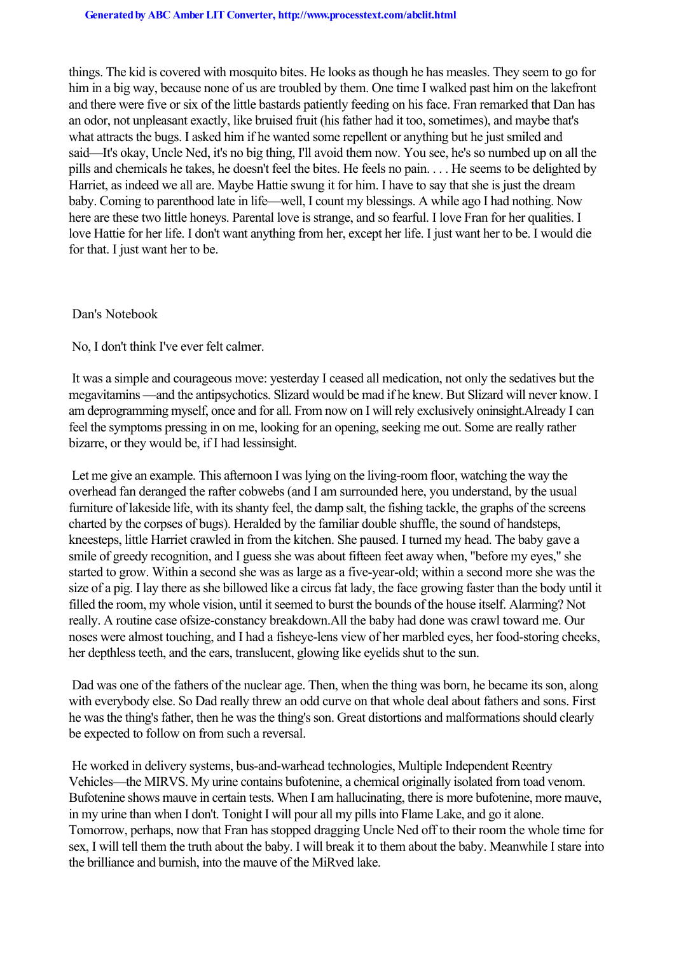things. The kid is covered with mosquito bites. He looks as though he has measles. They seem to go for him in a big way, because none of us are troubled by them. One time I walked past him on the lakefront and there were five or six of the little bastards patiently feeding on his face. Fran remarked that Dan has an odor, not unpleasant exactly, like bruised fruit (his father had it too, sometimes), and maybe that's what attracts the bugs. I asked him if he wanted some repellent or anything but he just smiled and said—It's okay, Uncle Ned, it's no big thing, I'll avoid them now. You see, he's so numbed up on all the pills and chemicals he takes, he doesn't feel the bites. He feels no pain. . . . He seems to be delighted by Harriet, as indeed we all are. Maybe Hattie swung it for him. I have to say that she is just the dream baby. Coming to parenthood late in life—well, I count my blessings. A while ago I had nothing. Now here are these two little honeys. Parental love is strange, and so fearful. I love Fran for her qualities. I love Hattie for her life. I don't want anything from her, except her life. I just want her to be. I would die for that. I just want her to be.

### Dan's Notebook

No, I don't think I've ever felt calmer.

 It was a simple and courageous move: yesterday I ceased all medication, not only the sedatives but the megavitamins —and the antipsychotics. Slizard would be mad if he knew. But Slizard will never know. I am deprogramming myself, once and for all. From now on I will rely exclusively oninsight.Already I can feel the symptoms pressing in on me, looking for an opening, seeking me out. Some are really rather bizarre, or they would be, if I had lessinsight.

 Let me give an example. This afternoon I was lying on the living-room floor, watching the way the overhead fan deranged the rafter cobwebs (and I am surrounded here, you understand, by the usual furniture of lakeside life, with its shanty feel, the damp salt, the fishing tackle, the graphs of the screens charted by the corpses of bugs). Heralded by the familiar double shuffle, the sound of handsteps, kneesteps, little Harriet crawled in from the kitchen. She paused. I turned my head. The baby gave a smile of greedy recognition, and I guess she was about fifteen feet away when, "before my eyes," she started to grow. Within a second she was as large as a five-year-old; within a second more she was the size of a pig. I lay there as she billowed like a circus fat lady, the face growing faster than the body until it filled the room, my whole vision, until it seemed to burst the bounds of the house itself. Alarming? Not really. A routine case ofsize-constancy breakdown.All the baby had done was crawl toward me. Our noses were almost touching, and I had a fisheye-lens view of her marbled eyes, her food-storing cheeks, her depthless teeth, and the ears, translucent, glowing like eyelids shut to the sun.

 Dad was one of the fathers of the nuclear age. Then, when the thing was born, he became its son, along with everybody else. So Dad really threw an odd curve on that whole deal about fathers and sons. First he was the thing's father, then he was the thing's son. Great distortions and malformations should clearly be expected to follow on from such a reversal.

 He worked in delivery systems, bus-and-warhead technologies, Multiple Independent Reentry Vehicles—the MIRVS. My urine contains bufotenine, a chemical originally isolated from toad venom. Bufotenine shows mauve in certain tests. When I am hallucinating, there is more bufotenine, more mauve, in my urine than when I don't. Tonight I will pour all my pills into Flame Lake, and go it alone. Tomorrow, perhaps, now that Fran has stopped dragging Uncle Ned off to their room the whole time for sex, I will tell them the truth about the baby. I will break it to them about the baby. Meanwhile I stare into the brilliance and burnish, into the mauve of the MiRved lake.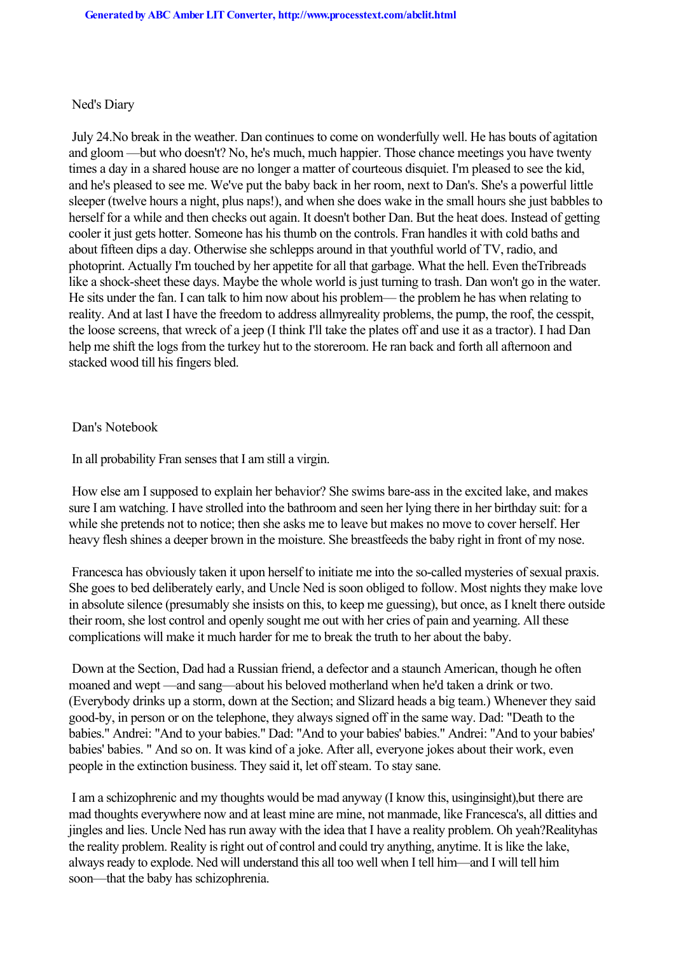# Ned's Diary

 July 24.No break in the weather. Dan continues to come on wonderfully well. He has bouts of agitation and gloom —but who doesn't? No, he's much, much happier. Those chance meetings you have twenty times a day in a shared house are no longer a matter of courteous disquiet. I'm pleased to see the kid, and he's pleased to see me. We've put the baby back in her room, next to Dan's. She's a powerful little sleeper (twelve hours a night, plus naps!), and when she does wake in the small hours she just babbles to herself for a while and then checks out again. It doesn't bother Dan. But the heat does. Instead of getting cooler it just gets hotter. Someone has his thumb on the controls. Fran handles it with cold baths and about fifteen dips a day. Otherwise she schlepps around in that youthful world of TV, radio, and photoprint. Actually I'm touched by her appetite for all that garbage. What the hell. Even theTribreads like a shock-sheet these days. Maybe the whole world is just turning to trash. Dan won't go in the water. He sits under the fan. I can talk to him now about his problem— the problem he has when relating to reality. And at last I have the freedom to address allmyreality problems, the pump, the roof, the cesspit, the loose screens, that wreck of a jeep (I think I'll take the plates off and use it as a tractor). I had Dan help me shift the logs from the turkey hut to the storeroom. He ran back and forth all afternoon and stacked wood till his fingers bled.

# Dan's Notebook

In all probability Fran senses that I am still a virgin.

 How else am I supposed to explain her behavior? She swims bare-ass in the excited lake, and makes sure I am watching. I have strolled into the bathroom and seen her lying there in her birthday suit: for a while she pretends not to notice; then she asks me to leave but makes no move to cover herself. Her heavy flesh shines a deeper brown in the moisture. She breastfeeds the baby right in front of my nose.

 Francesca has obviously taken it upon herself to initiate me into the so-called mysteries of sexual praxis. She goes to bed deliberately early, and Uncle Ned is soon obliged to follow. Most nights they make love in absolute silence (presumably she insists on this, to keep me guessing), but once, as I knelt there outside their room, she lost control and openly sought me out with her cries of pain and yearning. All these complications will make it much harder for me to break the truth to her about the baby.

 Down at the Section, Dad had a Russian friend, a defector and a staunch American, though he often moaned and wept —and sang—about his beloved motherland when he'd taken a drink or two. (Everybody drinks up a storm, down at the Section; and Slizard heads a big team.) Whenever they said good-by, in person or on the telephone, they always signed off in the same way. Dad: "Death to the babies." Andrei: "And to your babies." Dad: "And to your babies' babies." Andrei: "And to your babies' babies' babies. " And so on. It was kind of a joke. After all, everyone jokes about their work, even people in the extinction business. They said it, let off steam. To stay sane.

 I am a schizophrenic and my thoughts would be mad anyway (I know this, usinginsight),but there are mad thoughts everywhere now and at least mine are mine, not manmade, like Francesca's, all ditties and jingles and lies. Uncle Ned has run away with the idea that I have a reality problem. Oh yeah?Realityhas the reality problem. Reality is right out of control and could try anything, anytime. It is like the lake, always ready to explode. Ned will understand this all too well when I tell him—and I will tell him soon—that the baby has schizophrenia.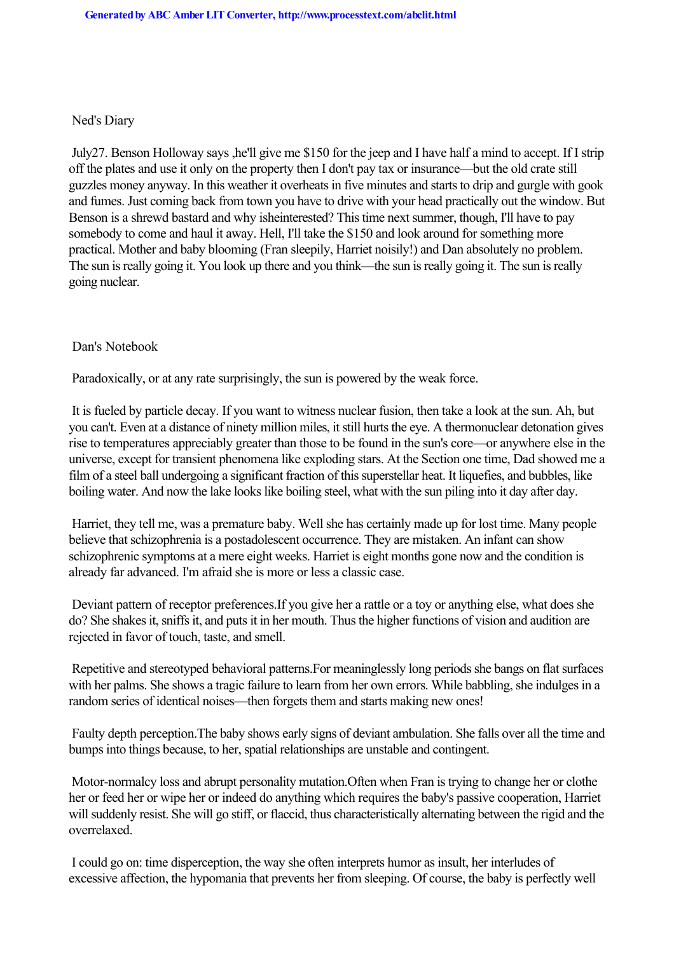# Ned's Diary

 July27. Benson Holloway says ,he'll give me \$150 for the jeep and I have half a mind to accept. If I strip off the plates and use it only on the property then I don't pay tax or insurance—but the old crate still guzzles money anyway. In this weather it overheats in five minutes and starts to drip and gurgle with gook and fumes. Just coming back from town you have to drive with your head practically out the window. But Benson is a shrewd bastard and why isheinterested? This time next summer, though, I'll have to pay somebody to come and haul it away. Hell, I'll take the \$150 and look around for something more practical. Mother and baby blooming (Fran sleepily, Harriet noisily!) and Dan absolutely no problem. The sun is really going it. You look up there and you think—the sun is really going it. The sun is really going nuclear.

# Dan's Notebook

Paradoxically, or at any rate surprisingly, the sun is powered by the weak force.

 It is fueled by particle decay. If you want to witness nuclear fusion, then take a look at the sun. Ah, but you can't. Even at a distance of ninety million miles, it still hurts the eye. A thermonuclear detonation gives rise to temperatures appreciably greater than those to be found in the sun's core—or anywhere else in the universe, except for transient phenomena like exploding stars. At the Section one time, Dad showed me a film of a steel ball undergoing a significant fraction of this superstellar heat. It liquefies, and bubbles, like boiling water. And now the lake looks like boiling steel, what with the sun piling into it day after day.

 Harriet, they tell me, was a premature baby. Well she has certainly made up for lost time. Many people believe that schizophrenia is a postadolescent occurrence. They are mistaken. An infant can show schizophrenic symptoms at a mere eight weeks. Harriet is eight months gone now and the condition is already far advanced. I'm afraid she is more or less a classic case.

 Deviant pattern of receptor preferences.If you give her a rattle or a toy or anything else, what does she do? She shakes it, sniffs it, and puts it in her mouth. Thus the higher functions of vision and audition are rejected in favor of touch, taste, and smell.

 Repetitive and stereotyped behavioral patterns.For meaninglessly long periods she bangs on flat surfaces with her palms. She shows a tragic failure to learn from her own errors. While babbling, she indulges in a random series of identical noises—then forgets them and starts making new ones!

 Faulty depth perception.The baby shows early signs of deviant ambulation. She falls over all the time and bumps into things because, to her, spatial relationships are unstable and contingent.

 Motor-normalcy loss and abrupt personality mutation.Often when Fran is trying to change her or clothe her or feed her or wipe her or indeed do anything which requires the baby's passive cooperation, Harriet will suddenly resist. She will go stiff, or flaccid, thus characteristically alternating between the rigid and the overrelaxed.

 I could go on: time disperception, the way she often interprets humor as insult, her interludes of excessive affection, the hypomania that prevents her from sleeping. Of course, the baby is perfectly well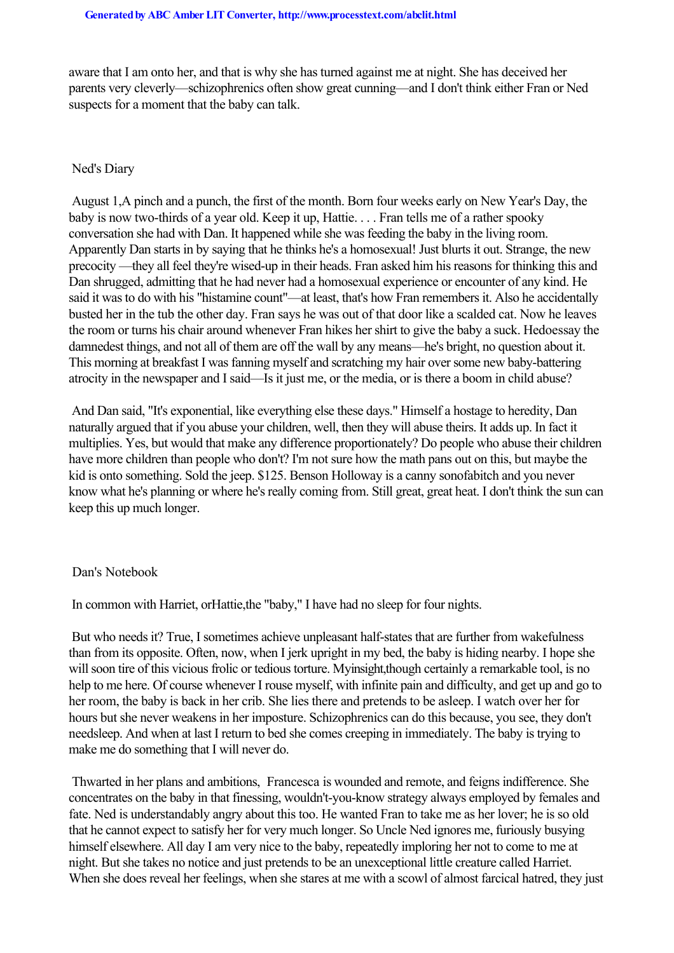aware that I am onto her, and that is why she has turned against me at night. She has deceived her parents very cleverly—schizophrenics often show great cunning—and I don't think either Fran or Ned suspects for a moment that the baby can talk.

# Ned's Diary

 August 1,A pinch and a punch, the first of the month. Born four weeks early on New Year's Day, the baby is now two-thirds of a year old. Keep it up, Hattie. . . . Fran tells me of a rather spooky conversation she had with Dan. It happened while she was feeding the baby in the living room. Apparently Dan starts in by saying that he thinks he's a homosexual! Just blurts it out. Strange, the new precocity —they all feel they're wised-up in their heads. Fran asked him his reasons for thinking this and Dan shrugged, admitting that he had never had a homosexual experience or encounter of any kind. He said it was to do with his "histamine count"—at least, that's how Fran remembers it. Also he accidentally busted her in the tub the other day. Fran says he was out of that door like a scalded cat. Now he leaves the room or turns his chair around whenever Fran hikes her shirt to give the baby a suck. Hedoessay the damnedest things, and not all of them are off the wall by any means—he's bright, no question about it. This morning at breakfast I was fanning myself and scratching my hair over some new baby-battering atrocity in the newspaper and I said—Is it just me, or the media, or is there a boom in child abuse?

 And Dan said, "It's exponential, like everything else these days." Himself a hostage to heredity, Dan naturally argued that if you abuse your children, well, then they will abuse theirs. It adds up. In fact it multiplies. Yes, but would that make any difference proportionately? Do people who abuse their children have more children than people who don't? I'm not sure how the math pans out on this, but maybe the kid is onto something. Sold the jeep. \$125. Benson Holloway is a canny sonofabitch and you never know what he's planning or where he's really coming from. Still great, great heat. I don't think the sun can keep this up much longer.

## Dan's Notebook

In common with Harriet, orHattie,the "baby," I have had no sleep for four nights.

 But who needs it? True, I sometimes achieve unpleasant half-states that are further from wakefulness than from its opposite. Often, now, when I jerk upright in my bed, the baby is hiding nearby. I hope she will soon tire of this vicious frolic or tedious torture. Myinsight, though certainly a remarkable tool, is no help to me here. Of course whenever I rouse myself, with infinite pain and difficulty, and get up and go to her room, the baby is back in her crib. She lies there and pretends to be asleep. I watch over her for hours but she never weakens in her imposture. Schizophrenics can do this because, you see, they don't needsleep. And when at last I return to bed she comes creeping in immediately. The baby is trying to make me do something that I will never do.

 Thwarted in her plans and ambitions, Francesca is wounded and remote, and feigns indifference. She concentrates on the baby in that finessing, wouldn't-you-know strategy always employed by females and fate. Ned is understandably angry about this too. He wanted Fran to take me as her lover; he is so old that he cannot expect to satisfy her for very much longer. So Uncle Ned ignores me, furiously busying himself elsewhere. All day I am very nice to the baby, repeatedly imploring her not to come to me at night. But she takes no notice and just pretends to be an unexceptional little creature called Harriet. When she does reveal her feelings, when she stares at me with a scowl of almost farcical hatred, they just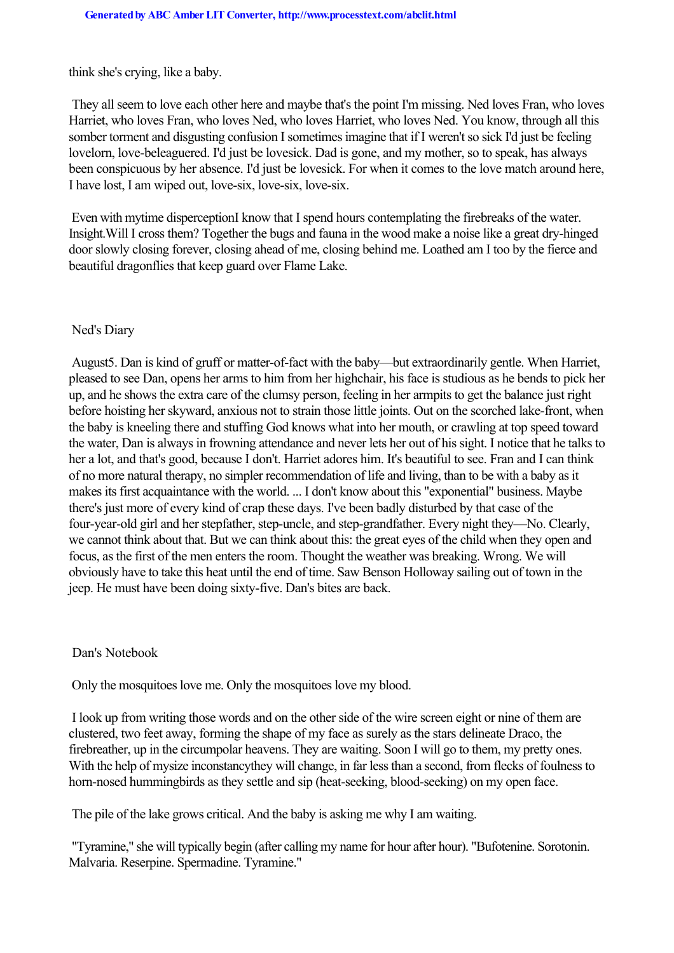think she's crying, like a baby.

 They all seem to love each other here and maybe that's the point I'm missing. Ned loves Fran, who loves Harriet, who loves Fran, who loves Ned, who loves Harriet, who loves Ned. You know, through all this somber torment and disgusting confusion I sometimes imagine that if I weren't so sick I'd just be feeling lovelorn, love-beleaguered. I'd just be lovesick. Dad is gone, and my mother, so to speak, has always been conspicuous by her absence. I'd just be lovesick. For when it comes to the love match around here, I have lost, I am wiped out, love-six, love-six, love-six.

 Even with mytime disperceptionI know that I spend hours contemplating the firebreaks of the water. Insight.Will I cross them? Together the bugs and fauna in the wood make a noise like a great dry-hinged door slowly closing forever, closing ahead of me, closing behind me. Loathed am I too by the fierce and beautiful dragonflies that keep guard over Flame Lake.

## Ned's Diary

 August5. Dan is kind of gruff or matter-of-fact with the baby—but extraordinarily gentle. When Harriet, pleased to see Dan, opens her arms to him from her highchair, his face is studious as he bends to pick her up, and he shows the extra care of the clumsy person, feeling in her armpits to get the balance just right before hoisting her skyward, anxious not to strain those little joints. Out on the scorched lake-front, when the baby is kneeling there and stuffing God knows what into her mouth, or crawling at top speed toward the water, Dan is always in frowning attendance and never lets her out of his sight. I notice that he talks to her a lot, and that's good, because I don't. Harriet adores him. It's beautiful to see. Fran and I can think of no more natural therapy, no simpler recommendation of life and living, than to be with a baby as it makes its first acquaintance with the world. ... I don't know about this "exponential" business. Maybe there's just more of every kind of crap these days. I've been badly disturbed by that case of the four-year-old girl and her stepfather, step-uncle, and step-grandfather. Every night they—No. Clearly, we cannot think about that. But we can think about this: the great eyes of the child when they open and focus, as the first of the men enters the room. Thought the weather was breaking. Wrong. We will obviously have to take this heat until the end of time. Saw Benson Holloway sailing out of town in the jeep. He must have been doing sixty-five. Dan's bites are back.

## Dan's Notebook

Only the mosquitoes love me. Only the mosquitoes love my blood.

 I look up from writing those words and on the other side of the wire screen eight or nine of them are clustered, two feet away, forming the shape of my face as surely as the stars delineate Draco, the firebreather, up in the circumpolar heavens. They are waiting. Soon I will go to them, my pretty ones. With the help of mysize inconstancythey will change, in far less than a second, from flecks of foulness to horn-nosed hummingbirds as they settle and sip (heat-seeking, blood-seeking) on my open face.

The pile of the lake grows critical. And the baby is asking me why I am waiting.

 "Tyramine," she will typically begin (after calling my name for hour after hour). "Bufotenine. Sorotonin. Malvaria. Reserpine. Spermadine. Tyramine."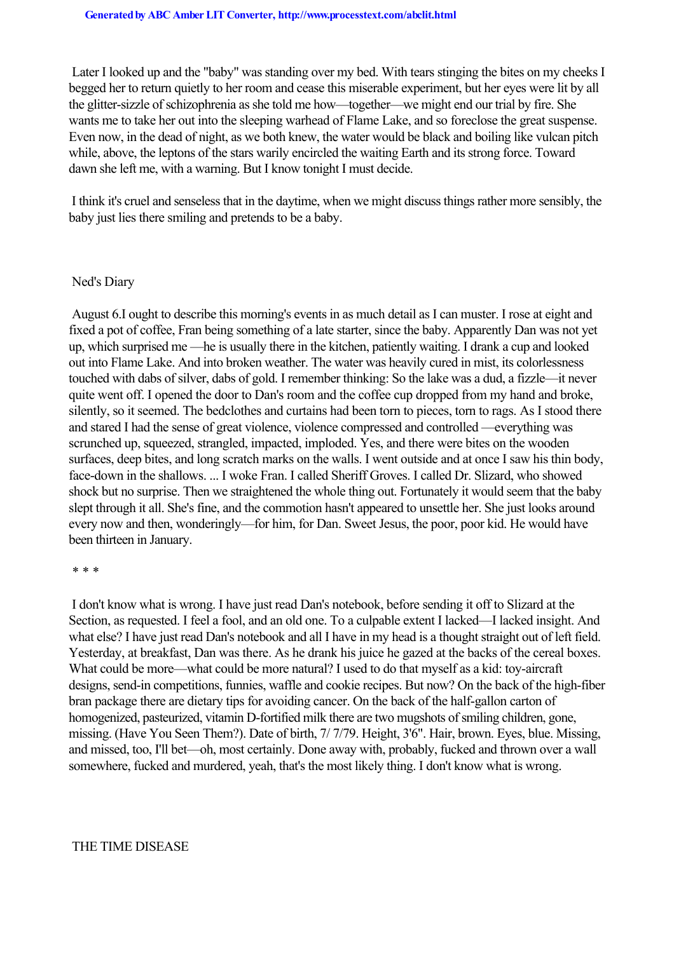Later I looked up and the "baby" was standing over my bed. With tears stinging the bites on my cheeks I begged her to return quietly to her room and cease this miserable experiment, but her eyes were lit by all the glitter-sizzle of schizophrenia as she told me how—together—we might end our trial by fire. She wants me to take her out into the sleeping warhead of Flame Lake, and so foreclose the great suspense. Even now, in the dead of night, as we both knew, the water would be black and boiling like vulcan pitch while, above, the leptons of the stars warily encircled the waiting Earth and its strong force. Toward dawn she left me, with a warning. But I know tonight I must decide.

 I think it's cruel and senseless that in the daytime, when we might discuss things rather more sensibly, the baby just lies there smiling and pretends to be a baby.

### Ned's Diary

 August 6.I ought to describe this morning's events in as much detail as I can muster. I rose at eight and fixed a pot of coffee, Fran being something of a late starter, since the baby. Apparently Dan was not yet up, which surprised me —he is usually there in the kitchen, patiently waiting. I drank a cup and looked out into Flame Lake. And into broken weather. The water was heavily cured in mist, its colorlessness touched with dabs of silver, dabs of gold. I remember thinking: So the lake was a dud, a fizzle—it never quite went off. I opened the door to Dan's room and the coffee cup dropped from my hand and broke, silently, so it seemed. The bedclothes and curtains had been torn to pieces, torn to rags. As I stood there and stared I had the sense of great violence, violence compressed and controlled —everything was scrunched up, squeezed, strangled, impacted, imploded. Yes, and there were bites on the wooden surfaces, deep bites, and long scratch marks on the walls. I went outside and at once I saw his thin body, face-down in the shallows. ... I woke Fran. I called Sheriff Groves. I called Dr. Slizard, who showed shock but no surprise. Then we straightened the whole thing out. Fortunately it would seem that the baby slept through it all. She's fine, and the commotion hasn't appeared to unsettle her. She just looks around every now and then, wonderingly—for him, for Dan. Sweet Jesus, the poor, poor kid. He would have been thirteen in January.

#### \* \* \*

 I don't know what is wrong. I have just read Dan's notebook, before sending it off to Slizard at the Section, as requested. I feel a fool, and an old one. To a culpable extent I lacked—I lacked insight. And what else? I have just read Dan's notebook and all I have in my head is a thought straight out of left field. Yesterday, at breakfast, Dan was there. As he drank his juice he gazed at the backs of the cereal boxes. What could be more—what could be more natural? I used to do that myself as a kid: toy-aircraft designs, send-in competitions, funnies, waffle and cookie recipes. But now? On the back of the high-fiber bran package there are dietary tips for avoiding cancer. On the back of the half-gallon carton of homogenized, pasteurized, vitamin D-fortified milk there are two mugshots of smiling children, gone, missing. (Have You Seen Them?). Date of birth, 7/ 7/79. Height, 3'6". Hair, brown. Eyes, blue. Missing, and missed, too, I'll bet—oh, most certainly. Done away with, probably, fucked and thrown over a wall somewhere, fucked and murdered, yeah, that's the most likely thing. I don't know what is wrong.

#### THE TIME DISEASE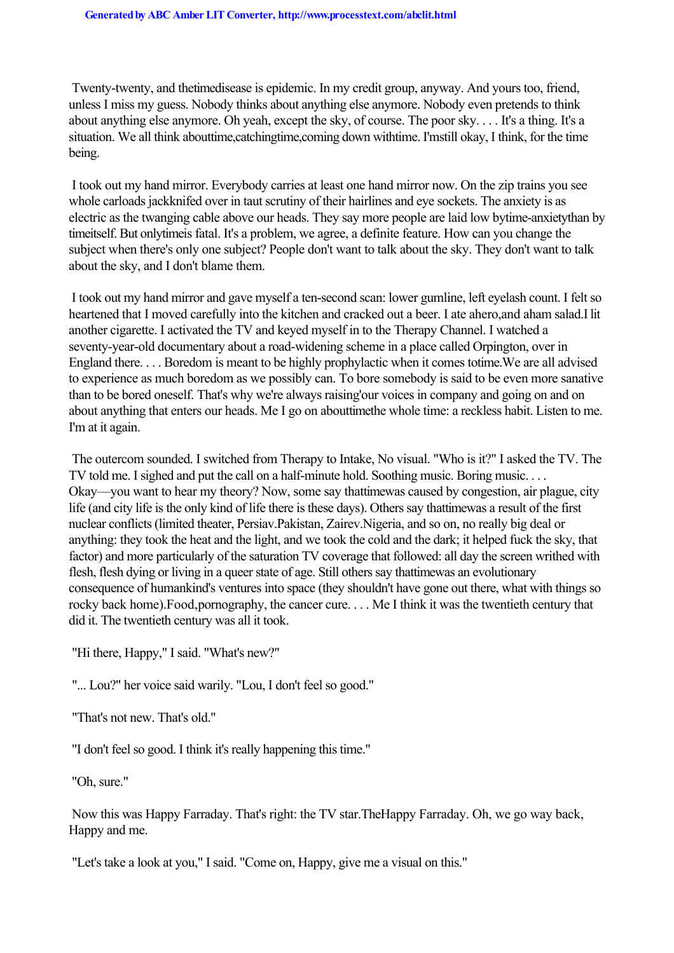Twenty-twenty, and thetimedisease is epidemic. In my credit group, anyway. And yours too, friend, unless I miss my guess. Nobody thinks about anything else anymore. Nobody even pretends to think about anything else anymore. Oh yeah, except the sky, of course. The poor sky. . . . It's a thing. It's a situation. We all think abouttime,catchingtime,coming down withtime. I'mstill okay, I think, for the time being.

 I took out my hand mirror. Everybody carries at least one hand mirror now. On the zip trains you see whole carloads jackknifed over in taut scrutiny of their hairlines and eye sockets. The anxiety is as electric as the twanging cable above our heads. They say more people are laid low bytime-anxietythan by timeitself. But onlytimeis fatal. It's a problem, we agree, a definite feature. How can you change the subject when there's only one subject? People don't want to talk about the sky. They don't want to talk about the sky, and I don't blame them.

 I took out my hand mirror and gave myself a ten-second scan: lower gumline, left eyelash count. I felt so heartened that I moved carefully into the kitchen and cracked out a beer. I ate ahero,and aham salad.I lit another cigarette. I activated the TV and keyed myself in to the Therapy Channel. I watched a seventy-year-old documentary about a road-widening scheme in a place called Orpington, over in England there. . . . Boredom is meant to be highly prophylactic when it comes totime.We are all advised to experience as much boredom as we possibly can. To bore somebody is said to be even more sanative than to be bored oneself. That's why we're always raising'our voices in company and going on and on about anything that enters our heads. Me I go on abouttimethe whole time: a reckless habit. Listen to me. I'm at it again.

 The outercom sounded. I switched from Therapy to Intake, No visual. "Who is it?" I asked the TV. The TV told me. I sighed and put the call on a half-minute hold. Soothing music. Boring music. . . . Okay—you want to hear my theory? Now, some say thattimewas caused by congestion, air plague, city life (and city life is the only kind of life there is these days). Others say thattimewas a result of the first nuclear conflicts (limited theater, Persiav.Pakistan, Zairev.Nigeria, and so on, no really big deal or anything: they took the heat and the light, and we took the cold and the dark; it helped fuck the sky, that factor) and more particularly of the saturation TV coverage that followed: all day the screen writhed with flesh, flesh dying or living in a queer state of age. Still others say thattimewas an evolutionary consequence of humankind's ventures into space (they shouldn't have gone out there, what with things so rocky back home).Food,pornography, the cancer cure. . . . Me I think it was the twentieth century that did it. The twentieth century was all it took.

"Hi there, Happy," I said. "What's new?"

"... Lou?" her voice said warily. "Lou, I don't feel so good."

"That's not new. That's old."

"I don't feel so good. I think it's really happening this time."

"Oh, sure."

 Now this was Happy Farraday. That's right: the TV star.TheHappy Farraday. Oh, we go way back, Happy and me.

"Let's take a look at you," I said. "Come on, Happy, give me a visual on this."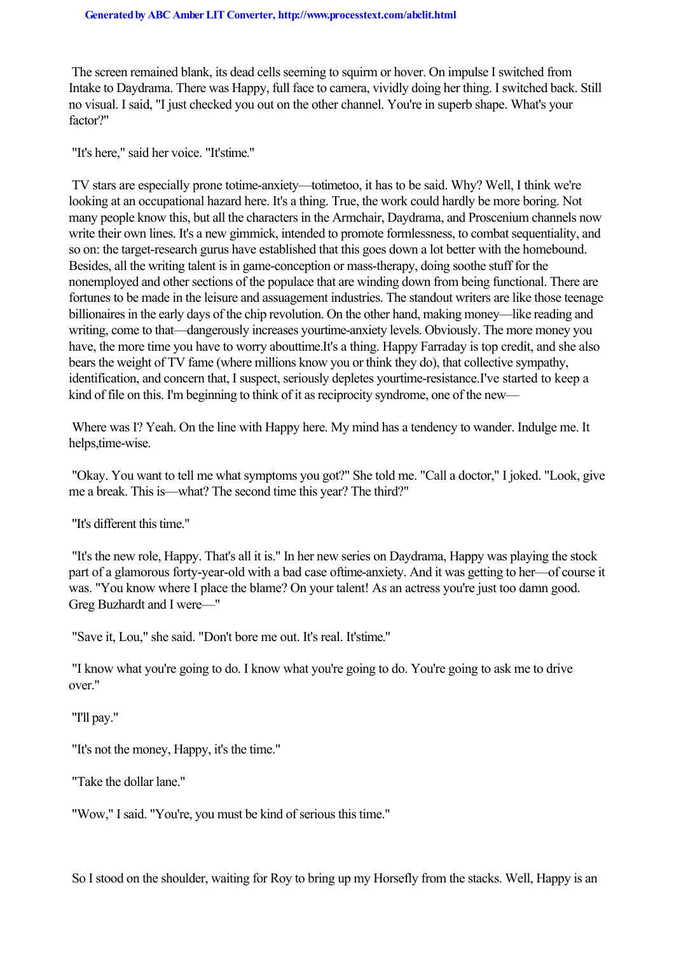The screen remained blank, its dead cells seeming to squirm or hover. On impulse I switched from Intake to Daydrama. There was Happy, full face to camera, vividly doing her thing. I switched back. Still no visual. I said, "I just checked you out on the other channel. You're in superb shape. What's your factor?"

"It's here," said her voice. "It'stime."

 TV stars are especially prone totime-anxiety—totimetoo, it has to be said. Why? Well, I think we're looking at an occupational hazard here. It's a thing. True, the work could hardly be more boring. Not many people know this, but all the characters in the Armchair, Daydrama, and Proscenium channels now write their own lines. It's a new gimmick, intended to promote formlessness, to combat sequentiality, and so on: the target-research gurus have established that this goes down a lot better with the homebound. Besides, all the writing talent is in game-conception or mass-therapy, doing soothe stuff for the nonemployed and other sections of the populace that are winding down from being functional. There are fortunes to be made in the leisure and assuagement industries. The standout writers are like those teenage billionaires in the early days of the chip revolution. On the other hand, making money—like reading and writing, come to that—dangerously increases yourtime-anxiety levels. Obviously. The more money you have, the more time you have to worry abouttime.It's a thing. Happy Farraday is top credit, and she also bears the weight of TV fame (where millions know you or think they do), that collective sympathy, identification, and concern that, I suspect, seriously depletes yourtime-resistance.I've started to keep a kind of file on this. I'm beginning to think of it as reciprocity syndrome, one of the new—

 Where was I? Yeah. On the line with Happy here. My mind has a tendency to wander. Indulge me. It helps,time-wise.

 "Okay. You want to tell me what symptoms you got?" She told me. "Call a doctor," I joked. "Look, give me a break. This is—what? The second time this year? The third?"

"It's different this time."

 "It's the new role, Happy. That's all it is." In her new series on Daydrama, Happy was playing the stock part of a glamorous forty-year-old with a bad case oftime-anxiety. And it was getting to her—of course it was. "You know where I place the blame? On your talent! As an actress you're just too damn good. Greg Buzhardt and I were—"

"Save it, Lou," she said. "Don't bore me out. It's real. It'stime."

 "I know what you're going to do. I know what you're going to do. You're going to ask me to drive over."

"I'll pay."

"It's not the money, Happy, it's the time."

"Take the dollar lane."

"Wow," I said. "You're, you must be kind of serious this time."

So I stood on the shoulder, waiting for Roy to bring up my Horsefly from the stacks. Well, Happy is an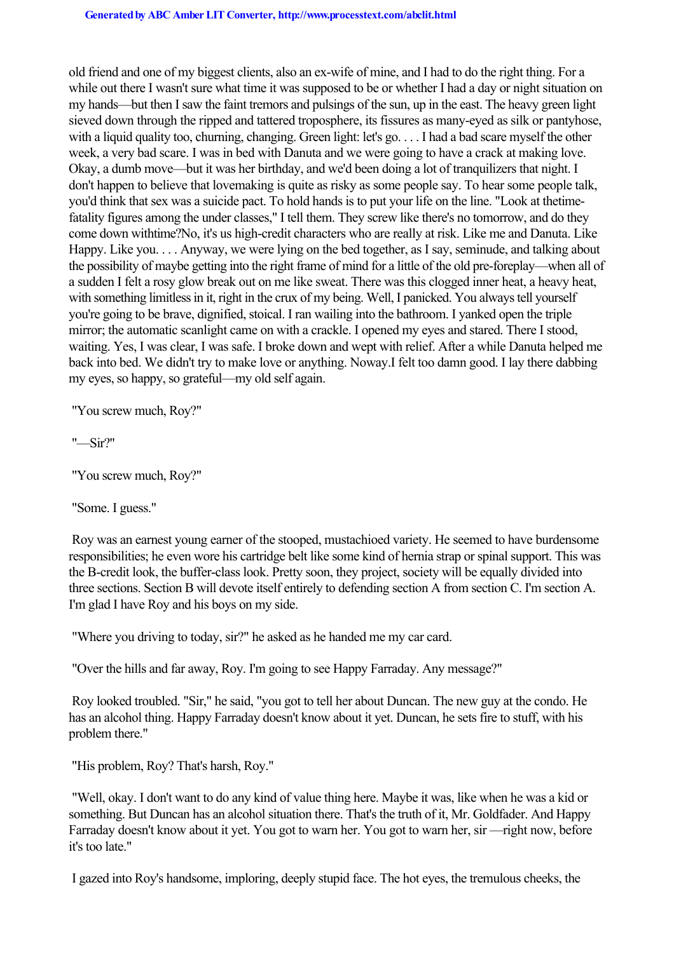old friend and one of my biggest clients, also an ex-wife of mine, and I had to do the right thing. For a while out there I wasn't sure what time it was supposed to be or whether I had a day or night situation on my hands—but then I saw the faint tremors and pulsings of the sun, up in the east. The heavy green light sieved down through the ripped and tattered troposphere, its fissures as many-eyed as silk or pantyhose, with a liquid quality too, churning, changing. Green light: let's go. . . . I had a bad scare myself the other week, a very bad scare. I was in bed with Danuta and we were going to have a crack at making love. Okay, a dumb move—but it was her birthday, and we'd been doing a lot of tranquilizers that night. I don't happen to believe that lovemaking is quite as risky as some people say. To hear some people talk, you'd think that sex was a suicide pact. To hold hands is to put your life on the line. "Look at thetimefatality figures among the under classes," I tell them. They screw like there's no tomorrow, and do they come down withtime?No, it's us high-credit characters who are really at risk. Like me and Danuta. Like Happy. Like you. . . . Anyway, we were lying on the bed together, as I say, seminude, and talking about the possibility of maybe getting into the right frame of mind for a little of the old pre-foreplay—when all of a sudden I felt a rosy glow break out on me like sweat. There was this clogged inner heat, a heavy heat, with something limitless in it, right in the crux of my being. Well, I panicked. You always tell yourself you're going to be brave, dignified, stoical. I ran wailing into the bathroom. I yanked open the triple mirror; the automatic scanlight came on with a crackle. I opened my eyes and stared. There I stood, waiting. Yes, I was clear, I was safe. I broke down and wept with relief. After a while Danuta helped me back into bed. We didn't try to make love or anything. Noway.I felt too damn good. I lay there dabbing my eyes, so happy, so grateful—my old self again.

"You screw much, Roy?"

"—Sir?"

"You screw much, Roy?"

"Some. I guess."

 Roy was an earnest young earner of the stooped, mustachioed variety. He seemed to have burdensome responsibilities; he even wore his cartridge belt like some kind of hernia strap or spinal support. This was the B-credit look, the buffer-class look. Pretty soon, they project, society will be equally divided into three sections. Section B will devote itself entirely to defending section A from section C. I'm section A. I'm glad I have Roy and his boys on my side.

"Where you driving to today, sir?" he asked as he handed me my car card.

"Over the hills and far away, Roy. I'm going to see Happy Farraday. Any message?"

 Roy looked troubled. "Sir," he said, "you got to tell her about Duncan. The new guy at the condo. He has an alcohol thing. Happy Farraday doesn't know about it yet. Duncan, he sets fire to stuff, with his problem there."

"His problem, Roy? That's harsh, Roy."

 "Well, okay. I don't want to do any kind of value thing here. Maybe it was, like when he was a kid or something. But Duncan has an alcohol situation there. That's the truth of it, Mr. Goldfader. And Happy Farraday doesn't know about it yet. You got to warn her. You got to warn her, sir —right now, before it's too late."

I gazed into Roy's handsome, imploring, deeply stupid face. The hot eyes, the tremulous cheeks, the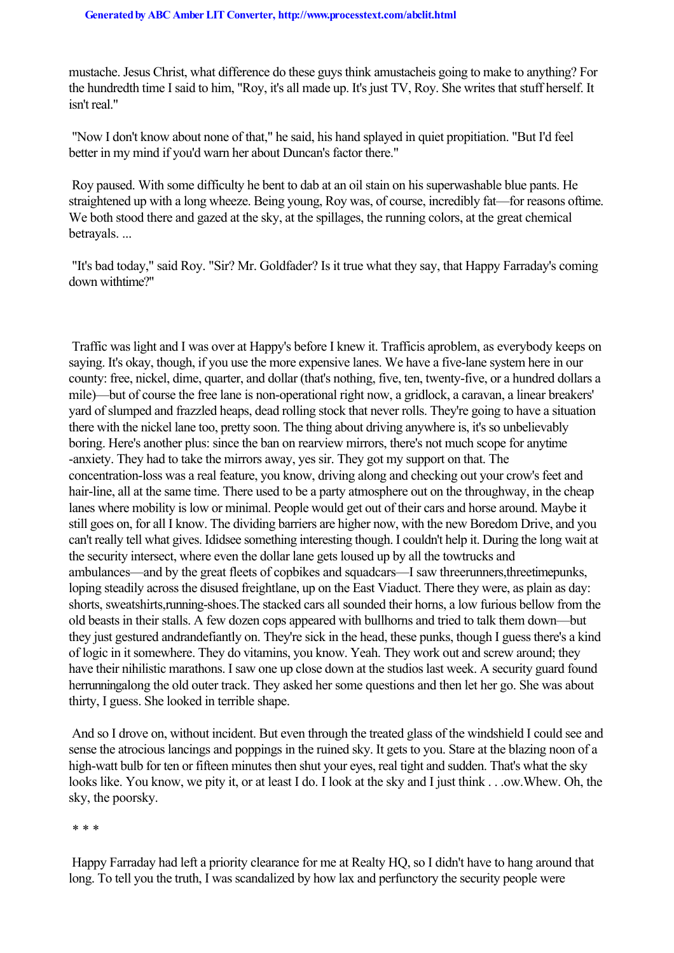mustache. Jesus Christ, what difference do these guys think amustacheis going to make to anything? For the hundredth time I said to him, "Roy, it's all made up. It's just TV, Roy. She writes that stuff herself. It isn't real."

 "Now I don't know about none of that," he said, his hand splayed in quiet propitiation. "But I'd feel better in my mind if you'd warn her about Duncan's factor there."

 Roy paused. With some difficulty he bent to dab at an oil stain on his superwashable blue pants. He straightened up with a long wheeze. Being young, Roy was, of course, incredibly fat—for reasons oftime. We both stood there and gazed at the sky, at the spillages, the running colors, at the great chemical betrayals. ...

 "It's bad today," said Roy. "Sir? Mr. Goldfader? Is it true what they say, that Happy Farraday's coming down withtime?"

 Traffic was light and I was over at Happy's before I knew it. Trafficis aproblem, as everybody keeps on saying. It's okay, though, if you use the more expensive lanes. We have a five-lane system here in our county: free, nickel, dime, quarter, and dollar (that's nothing, five, ten, twenty-five, or a hundred dollars a mile)—but of course the free lane is non-operational right now, a gridlock, a caravan, a linear breakers' yard of slumped and frazzled heaps, dead rolling stock that never rolls. They're going to have a situation there with the nickel lane too, pretty soon. The thing about driving anywhere is, it's so unbelievably boring. Here's another plus: since the ban on rearview mirrors, there's not much scope for anytime -anxiety. They had to take the mirrors away, yes sir. They got my support on that. The concentration-loss was a real feature, you know, driving along and checking out your crow's feet and hair-line, all at the same time. There used to be a party atmosphere out on the throughway, in the cheap lanes where mobility is low or minimal. People would get out of their cars and horse around. Maybe it still goes on, for all I know. The dividing barriers are higher now, with the new Boredom Drive, and you can't really tell what gives. Ididsee something interesting though. I couldn't help it. During the long wait at the security intersect, where even the dollar lane gets loused up by all the towtrucks and ambulances—and by the great fleets of copbikes and squadcars—I saw threerunners,threetimepunks, loping steadily across the disused freightlane, up on the East Viaduct. There they were, as plain as day: shorts, sweatshirts,running-shoes.The stacked cars all sounded their horns, a low furious bellow from the old beasts in their stalls. A few dozen cops appeared with bullhorns and tried to talk them down—but they just gestured andrandefiantly on. They're sick in the head, these punks, though I guess there's a kind of logic in it somewhere. They do vitamins, you know. Yeah. They work out and screw around; they have their nihilistic marathons. I saw one up close down at the studios last week. A security guard found herrunningalong the old outer track. They asked her some questions and then let her go. She was about thirty, I guess. She looked in terrible shape.

 And so I drove on, without incident. But even through the treated glass of the windshield I could see and sense the atrocious lancings and poppings in the ruined sky. It gets to you. Stare at the blazing noon of a high-watt bulb for ten or fifteen minutes then shut your eyes, real tight and sudden. That's what the sky looks like. You know, we pity it, or at least I do. I look at the sky and I just think . . .ow.Whew. Oh, the sky, the poorsky.

\* \* \*

 Happy Farraday had left a priority clearance for me at Realty HQ, so I didn't have to hang around that long. To tell you the truth, I was scandalized by how lax and perfunctory the security people were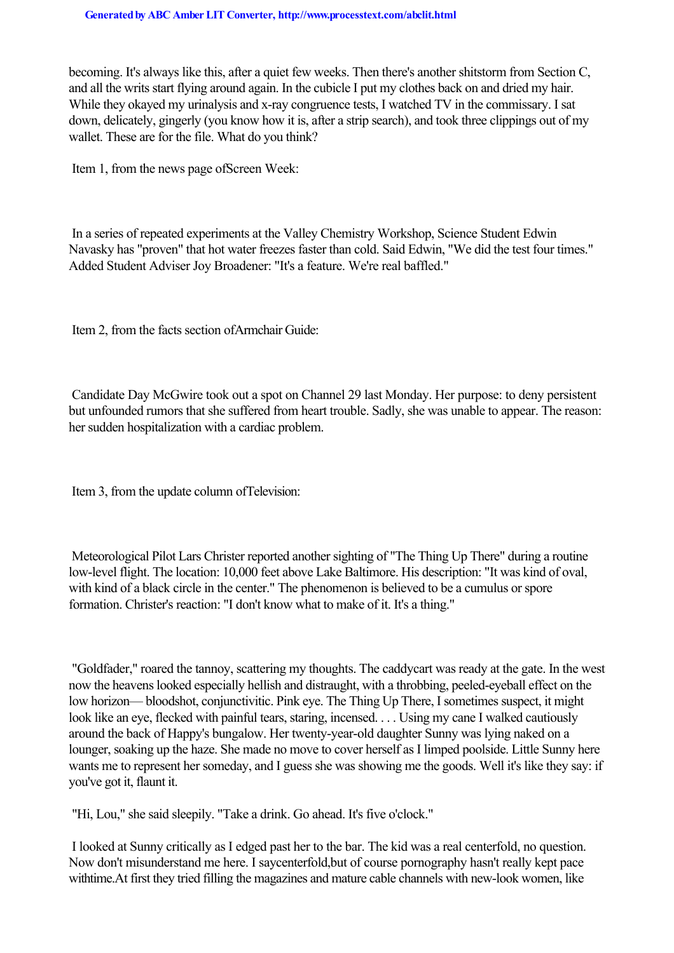becoming. It's always like this, after a quiet few weeks. Then there's another shitstorm from Section C, and all the writs start flying around again. In the cubicle I put my clothes back on and dried my hair. While they okayed my urinalysis and x-ray congruence tests, I watched TV in the commissary. I sat down, delicately, gingerly (you know how it is, after a strip search), and took three clippings out of my wallet. These are for the file. What do you think?

Item 1, from the news page ofScreen Week:

 In a series of repeated experiments at the Valley Chemistry Workshop, Science Student Edwin Navasky has "proven" that hot water freezes faster than cold. Said Edwin, "We did the test four times." Added Student Adviser Joy Broadener: "It's a feature. We're real baffled."

Item 2, from the facts section ofArmchair Guide:

 Candidate Day McGwire took out a spot on Channel 29 last Monday. Her purpose: to deny persistent but unfounded rumors that she suffered from heart trouble. Sadly, she was unable to appear. The reason: her sudden hospitalization with a cardiac problem.

Item 3, from the update column ofTelevision:

 Meteorological Pilot Lars Christer reported another sighting of "The Thing Up There" during a routine low-level flight. The location: 10,000 feet above Lake Baltimore. His description: "It was kind of oval, with kind of a black circle in the center." The phenomenon is believed to be a cumulus or spore formation. Christer's reaction: "I don't know what to make of it. It's a thing."

 "Goldfader," roared the tannoy, scattering my thoughts. The caddycart was ready at the gate. In the west now the heavens looked especially hellish and distraught, with a throbbing, peeled-eyeball effect on the low horizon— bloodshot, conjunctivitic. Pink eye. The Thing Up There, I sometimes suspect, it might look like an eye, flecked with painful tears, staring, incensed. . . . Using my cane I walked cautiously around the back of Happy's bungalow. Her twenty-year-old daughter Sunny was lying naked on a lounger, soaking up the haze. She made no move to cover herself as I limped poolside. Little Sunny here wants me to represent her someday, and I guess she was showing me the goods. Well it's like they say: if you've got it, flaunt it.

"Hi, Lou," she said sleepily. "Take a drink. Go ahead. It's five o'clock."

 I looked at Sunny critically as I edged past her to the bar. The kid was a real centerfold, no question. Now don't misunderstand me here. I saycenterfold,but of course pornography hasn't really kept pace withtime.At first they tried filling the magazines and mature cable channels with new-look women, like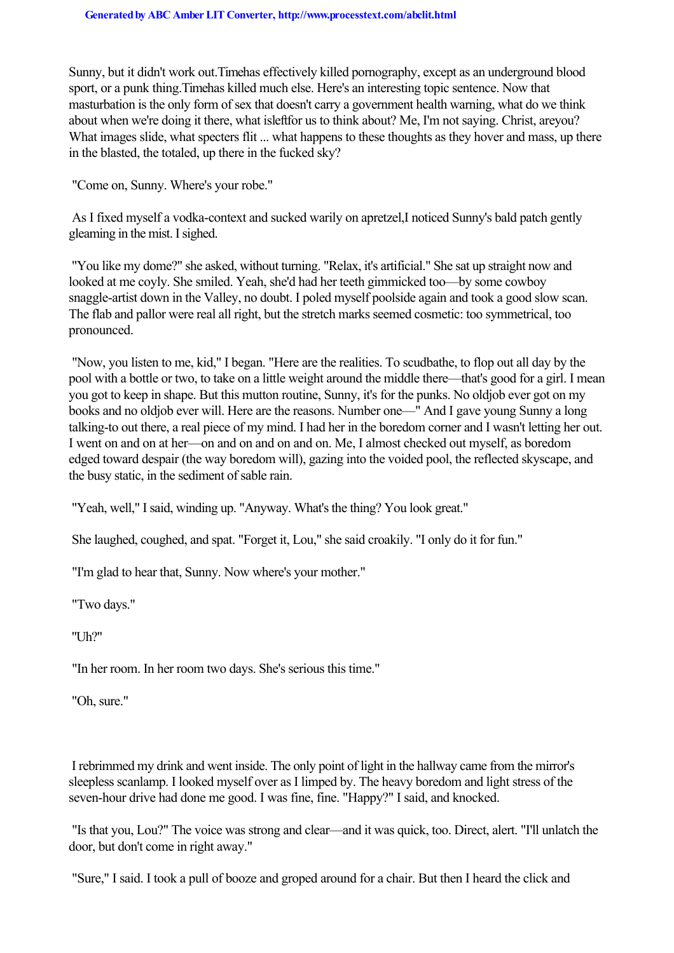Sunny, but it didn't work out.Timehas effectively killed pornography, except as an underground blood sport, or a punk thing.Timehas killed much else. Here's an interesting topic sentence. Now that masturbation is the only form of sex that doesn't carry a government health warning, what do we think about when we're doing it there, what isleftfor us to think about? Me, I'm not saying. Christ, areyou? What images slide, what specters flit ... what happens to these thoughts as they hover and mass, up there in the blasted, the totaled, up there in the fucked sky?

"Come on, Sunny. Where's your robe."

 As I fixed myself a vodka-context and sucked warily on apretzel,I noticed Sunny's bald patch gently gleaming in the mist. I sighed.

 "You like my dome?" she asked, without turning. "Relax, it's artificial." She sat up straight now and looked at me coyly. She smiled. Yeah, she'd had her teeth gimmicked too—by some cowboy snaggle-artist down in the Valley, no doubt. I poled myself poolside again and took a good slow scan. The flab and pallor were real all right, but the stretch marks seemed cosmetic: too symmetrical, too pronounced.

 "Now, you listen to me, kid," I began. "Here are the realities. To scudbathe, to flop out all day by the pool with a bottle or two, to take on a little weight around the middle there—that's good for a girl. I mean you got to keep in shape. But this mutton routine, Sunny, it's for the punks. No oldjob ever got on my books and no oldjob ever will. Here are the reasons. Number one—" And I gave young Sunny a long talking-to out there, a real piece of my mind. I had her in the boredom corner and I wasn't letting her out. I went on and on at her—on and on and on and on. Me, I almost checked out myself, as boredom edged toward despair (the way boredom will), gazing into the voided pool, the reflected skyscape, and the busy static, in the sediment of sable rain.

"Yeah, well," I said, winding up. "Anyway. What's the thing? You look great."

She laughed, coughed, and spat. "Forget it, Lou," she said croakily. "I only do it for fun."

"I'm glad to hear that, Sunny. Now where's your mother."

"Two days."

"Uh?"

"In her room. In her room two days. She's serious this time."

"Oh, sure."

 I rebrimmed my drink and went inside. The only point of light in the hallway came from the mirror's sleepless scanlamp. I looked myself over as I limped by. The heavy boredom and light stress of the seven-hour drive had done me good. I was fine, fine. "Happy?" I said, and knocked.

 "Is that you, Lou?" The voice was strong and clear—and it was quick, too. Direct, alert. "I'll unlatch the door, but don't come in right away."

"Sure," I said. I took a pull of booze and groped around for a chair. But then I heard the click and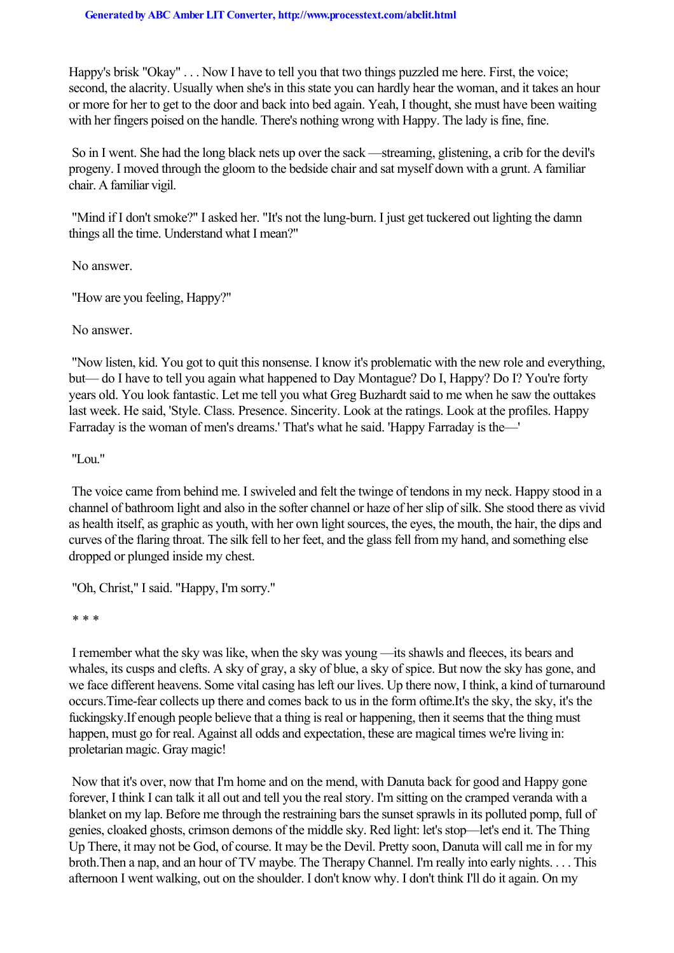Happy's brisk "Okay" . . . Now I have to tell you that two things puzzled me here. First, the voice; second, the alacrity. Usually when she's in this state you can hardly hear the woman, and it takes an hour or more for her to get to the door and back into bed again. Yeah, I thought, she must have been waiting with her fingers poised on the handle. There's nothing wrong with Happy. The lady is fine, fine,

 So in I went. She had the long black nets up over the sack —streaming, glistening, a crib for the devil's progeny. I moved through the gloom to the bedside chair and sat myself down with a grunt. A familiar chair. A familiar vigil.

 "Mind if I don't smoke?" I asked her. "It's not the lung-burn. I just get tuckered out lighting the damn things all the time. Understand what I mean?"

No answer.

"How are you feeling, Happy?"

No answer.

 "Now listen, kid. You got to quit this nonsense. I know it's problematic with the new role and everything, but— do I have to tell you again what happened to Day Montague? Do I, Happy? Do I? You're forty years old. You look fantastic. Let me tell you what Greg Buzhardt said to me when he saw the outtakes last week. He said, 'Style. Class. Presence. Sincerity. Look at the ratings. Look at the profiles. Happy Farraday is the woman of men's dreams.' That's what he said. 'Happy Farraday is the—'

## "Lou."

 The voice came from behind me. I swiveled and felt the twinge of tendons in my neck. Happy stood in a channel of bathroom light and also in the softer channel or haze of her slip of silk. She stood there as vivid as health itself, as graphic as youth, with her own light sources, the eyes, the mouth, the hair, the dips and curves of the flaring throat. The silk fell to her feet, and the glass fell from my hand, and something else dropped or plunged inside my chest.

"Oh, Christ," I said. "Happy, I'm sorry."

\* \* \*

 I remember what the sky was like, when the sky was young —its shawls and fleeces, its bears and whales, its cusps and clefts. A sky of gray, a sky of blue, a sky of spice. But now the sky has gone, and we face different heavens. Some vital casing has left our lives. Up there now, I think, a kind of turnaround occurs.Time-fear collects up there and comes back to us in the form oftime.It's the sky, the sky, it's the fuckingsky.If enough people believe that a thing is real or happening, then it seems that the thing must happen, must go for real. Against all odds and expectation, these are magical times we're living in: proletarian magic. Gray magic!

 Now that it's over, now that I'm home and on the mend, with Danuta back for good and Happy gone forever, I think I can talk it all out and tell you the real story. I'm sitting on the cramped veranda with a blanket on my lap. Before me through the restraining bars the sunset sprawls in its polluted pomp, full of genies, cloaked ghosts, crimson demons of the middle sky. Red light: let's stop—let's end it. The Thing Up There, it may not be God, of course. It may be the Devil. Pretty soon, Danuta will call me in for my broth.Then a nap, and an hour of TV maybe. The Therapy Channel. I'm really into early nights. . . . This afternoon I went walking, out on the shoulder. I don't know why. I don't think I'll do it again. On my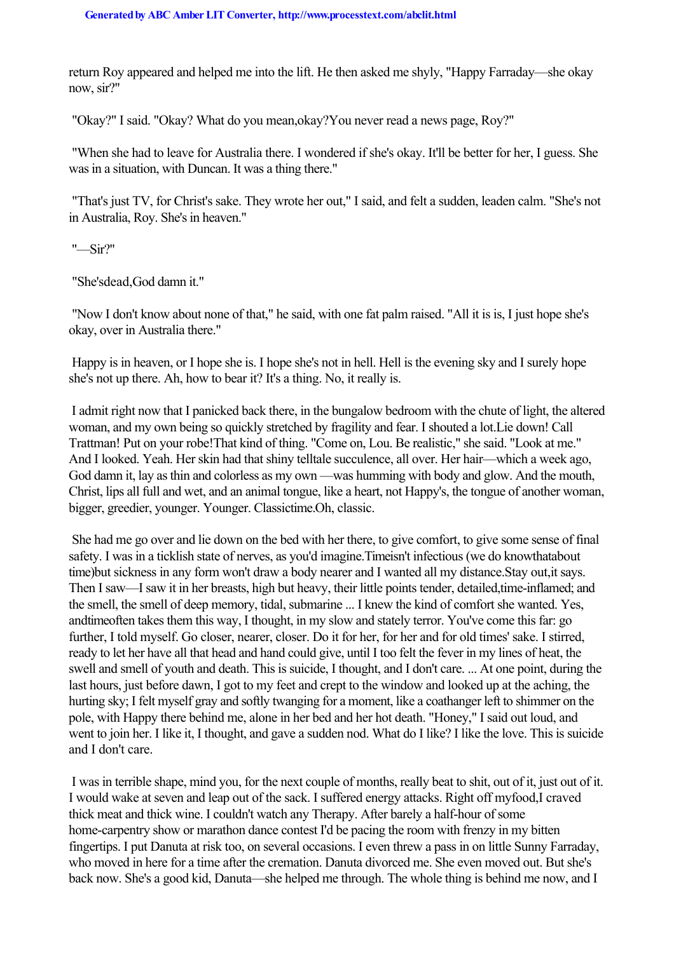return Roy appeared and helped me into the lift. He then asked me shyly, "Happy Farraday—she okay now, sir?"

"Okay?" I said. "Okay? What do you mean,okay?You never read a news page, Roy?"

 "When she had to leave for Australia there. I wondered if she's okay. It'll be better for her, I guess. She was in a situation, with Duncan. It was a thing there."

 "That's just TV, for Christ's sake. They wrote her out," I said, and felt a sudden, leaden calm. "She's not in Australia, Roy. She's in heaven."

"—Sir?"

"She'sdead,God damn it."

 "Now I don't know about none of that," he said, with one fat palm raised. "All it is is, I just hope she's okay, over in Australia there."

Happy is in heaven, or I hope she is. I hope she's not in hell. Hell is the evening sky and I surely hope she's not up there. Ah, how to bear it? It's a thing. No, it really is.

 I admit right now that I panicked back there, in the bungalow bedroom with the chute of light, the altered woman, and my own being so quickly stretched by fragility and fear. I shouted a lot.Lie down! Call Trattman! Put on your robe!That kind of thing. "Come on, Lou. Be realistic," she said. "Look at me." And I looked. Yeah. Her skin had that shiny telltale succulence, all over. Her hair—which a week ago, God damn it, lay as thin and colorless as my own —was humming with body and glow. And the mouth, Christ, lips all full and wet, and an animal tongue, like a heart, not Happy's, the tongue of another woman, bigger, greedier, younger. Younger. Classictime.Oh, classic.

 She had me go over and lie down on the bed with her there, to give comfort, to give some sense of final safety. I was in a ticklish state of nerves, as you'd imagine.Timeisn't infectious (we do knowthatabout time)but sickness in any form won't draw a body nearer and I wanted all my distance.Stay out,it says. Then I saw—I saw it in her breasts, high but heavy, their little points tender, detailed,time-inflamed; and the smell, the smell of deep memory, tidal, submarine ... I knew the kind of comfort she wanted. Yes, andtimeoften takes them this way, I thought, in my slow and stately terror. You've come this far: go further, I told myself. Go closer, nearer, closer. Do it for her, for her and for old times' sake. I stirred, ready to let her have all that head and hand could give, until I too felt the fever in my lines of heat, the swell and smell of youth and death. This is suicide, I thought, and I don't care. ... At one point, during the last hours, just before dawn, I got to my feet and crept to the window and looked up at the aching, the hurting sky; I felt myself gray and softly twanging for a moment, like a coathanger left to shimmer on the pole, with Happy there behind me, alone in her bed and her hot death. "Honey," I said out loud, and went to join her. I like it, I thought, and gave a sudden nod. What do I like? I like the love. This is suicide and I don't care.

 I was in terrible shape, mind you, for the next couple of months, really beat to shit, out of it, just out of it. I would wake at seven and leap out of the sack. I suffered energy attacks. Right off myfood,I craved thick meat and thick wine. I couldn't watch any Therapy. After barely a half-hour of some home-carpentry show or marathon dance contest I'd be pacing the room with frenzy in my bitten fingertips. I put Danuta at risk too, on several occasions. I even threw a pass in on little Sunny Farraday, who moved in here for a time after the cremation. Danuta divorced me. She even moved out. But she's back now. She's a good kid, Danuta—she helped me through. The whole thing is behind me now, and I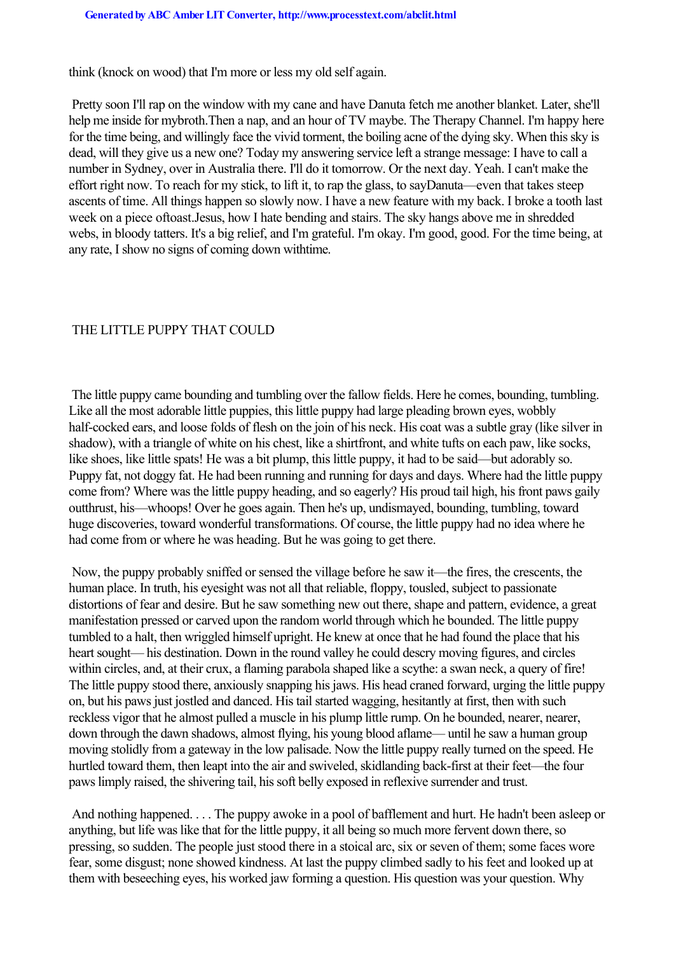think (knock on wood) that I'm more or less my old self again.

 Pretty soon I'll rap on the window with my cane and have Danuta fetch me another blanket. Later, she'll help me inside for mybroth. Then a nap, and an hour of TV maybe. The Therapy Channel. I'm happy here for the time being, and willingly face the vivid torment, the boiling acne of the dying sky. When this sky is dead, will they give us a new one? Today my answering service left a strange message: I have to call a number in Sydney, over in Australia there. I'll do it tomorrow. Or the next day. Yeah. I can't make the effort right now. To reach for my stick, to lift it, to rap the glass, to sayDanuta—even that takes steep ascents of time. All things happen so slowly now. I have a new feature with my back. I broke a tooth last week on a piece oftoast.Jesus, how I hate bending and stairs. The sky hangs above me in shredded webs, in bloody tatters. It's a big relief, and I'm grateful. I'm okay. I'm good, good. For the time being, at any rate, I show no signs of coming down withtime.

## THE LITTLE PUPPY THAT COULD

 The little puppy came bounding and tumbling over the fallow fields. Here he comes, bounding, tumbling. Like all the most adorable little puppies, this little puppy had large pleading brown eyes, wobbly half-cocked ears, and loose folds of flesh on the join of his neck. His coat was a subtle gray (like silver in shadow), with a triangle of white on his chest, like a shirtfront, and white tufts on each paw, like socks, like shoes, like little spats! He was a bit plump, this little puppy, it had to be said—but adorably so. Puppy fat, not doggy fat. He had been running and running for days and days. Where had the little puppy come from? Where was the little puppy heading, and so eagerly? His proud tail high, his front paws gaily outthrust, his—whoops! Over he goes again. Then he's up, undismayed, bounding, tumbling, toward huge discoveries, toward wonderful transformations. Of course, the little puppy had no idea where he had come from or where he was heading. But he was going to get there.

 Now, the puppy probably sniffed or sensed the village before he saw it—the fires, the crescents, the human place. In truth, his eyesight was not all that reliable, floppy, tousled, subject to passionate distortions of fear and desire. But he saw something new out there, shape and pattern, evidence, a great manifestation pressed or carved upon the random world through which he bounded. The little puppy tumbled to a halt, then wriggled himself upright. He knew at once that he had found the place that his heart sought— his destination. Down in the round valley he could descry moving figures, and circles within circles, and, at their crux, a flaming parabola shaped like a scythe: a swan neck, a query of fire! The little puppy stood there, anxiously snapping his jaws. His head craned forward, urging the little puppy on, but his paws just jostled and danced. His tail started wagging, hesitantly at first, then with such reckless vigor that he almost pulled a muscle in his plump little rump. On he bounded, nearer, nearer, down through the dawn shadows, almost flying, his young blood aflame— until he saw a human group moving stolidly from a gateway in the low palisade. Now the little puppy really turned on the speed. He hurtled toward them, then leapt into the air and swiveled, skidlanding back-first at their feet—the four paws limply raised, the shivering tail, his soft belly exposed in reflexive surrender and trust.

 And nothing happened. . . . The puppy awoke in a pool of bafflement and hurt. He hadn't been asleep or anything, but life was like that for the little puppy, it all being so much more fervent down there, so pressing, so sudden. The people just stood there in a stoical arc, six or seven of them; some faces wore fear, some disgust; none showed kindness. At last the puppy climbed sadly to his feet and looked up at them with beseeching eyes, his worked jaw forming a question. His question was your question. Why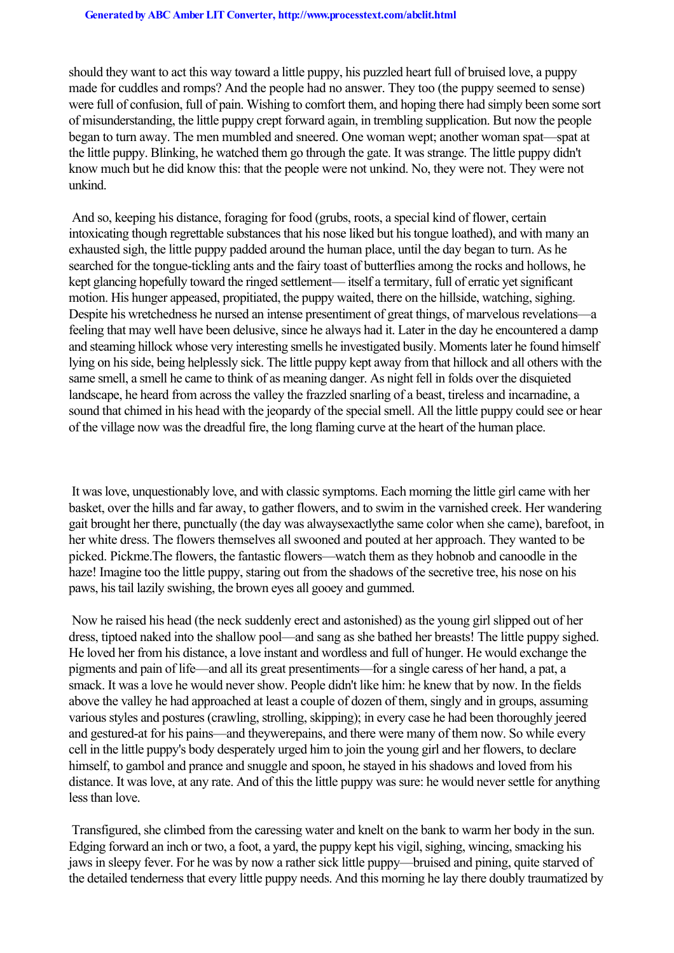should they want to act this way toward a little puppy, his puzzled heart full of bruised love, a puppy made for cuddles and romps? And the people had no answer. They too (the puppy seemed to sense) were full of confusion, full of pain. Wishing to comfort them, and hoping there had simply been some sort of misunderstanding, the little puppy crept forward again, in trembling supplication. But now the people began to turn away. The men mumbled and sneered. One woman wept; another woman spat—spat at the little puppy. Blinking, he watched them go through the gate. It was strange. The little puppy didn't know much but he did know this: that the people were not unkind. No, they were not. They were not unkind.

 And so, keeping his distance, foraging for food (grubs, roots, a special kind of flower, certain intoxicating though regrettable substances that his nose liked but his tongue loathed), and with many an exhausted sigh, the little puppy padded around the human place, until the day began to turn. As he searched for the tongue-tickling ants and the fairy toast of butterflies among the rocks and hollows, he kept glancing hopefully toward the ringed settlement— itself a termitary, full of erratic yet significant motion. His hunger appeased, propitiated, the puppy waited, there on the hillside, watching, sighing. Despite his wretchedness he nursed an intense presentiment of great things, of marvelous revelations—a feeling that may well have been delusive, since he always had it. Later in the day he encountered a damp and steaming hillock whose very interesting smells he investigated busily. Moments later he found himself lying on his side, being helplessly sick. The little puppy kept away from that hillock and all others with the same smell, a smell he came to think of as meaning danger. As night fell in folds over the disquieted landscape, he heard from across the valley the frazzled snarling of a beast, tireless and incarnadine, a sound that chimed in his head with the jeopardy of the special smell. All the little puppy could see or hear of the village now was the dreadful fire, the long flaming curve at the heart of the human place.

 It was love, unquestionably love, and with classic symptoms. Each morning the little girl came with her basket, over the hills and far away, to gather flowers, and to swim in the varnished creek. Her wandering gait brought her there, punctually (the day was alwaysexactlythe same color when she came), barefoot, in her white dress. The flowers themselves all swooned and pouted at her approach. They wanted to be picked. Pickme.The flowers, the fantastic flowers—watch them as they hobnob and canoodle in the haze! Imagine too the little puppy, staring out from the shadows of the secretive tree, his nose on his paws, his tail lazily swishing, the brown eyes all gooey and gummed.

 Now he raised his head (the neck suddenly erect and astonished) as the young girl slipped out of her dress, tiptoed naked into the shallow pool—and sang as she bathed her breasts! The little puppy sighed. He loved her from his distance, a love instant and wordless and full of hunger. He would exchange the pigments and pain of life—and all its great presentiments—for a single caress of her hand, a pat, a smack. It was a love he would never show. People didn't like him: he knew that by now. In the fields above the valley he had approached at least a couple of dozen of them, singly and in groups, assuming various styles and postures (crawling, strolling, skipping); in every case he had been thoroughly jeered and gestured-at for his pains—and theywerepains, and there were many of them now. So while every cell in the little puppy's body desperately urged him to join the young girl and her flowers, to declare himself, to gambol and prance and snuggle and spoon, he stayed in his shadows and loved from his distance. It was love, at any rate. And of this the little puppy was sure: he would never settle for anything less than love.

 Transfigured, she climbed from the caressing water and knelt on the bank to warm her body in the sun. Edging forward an inch or two, a foot, a yard, the puppy kept his vigil, sighing, wincing, smacking his jaws in sleepy fever. For he was by now a rather sick little puppy—bruised and pining, quite starved of the detailed tenderness that every little puppy needs. And this morning he lay there doubly traumatized by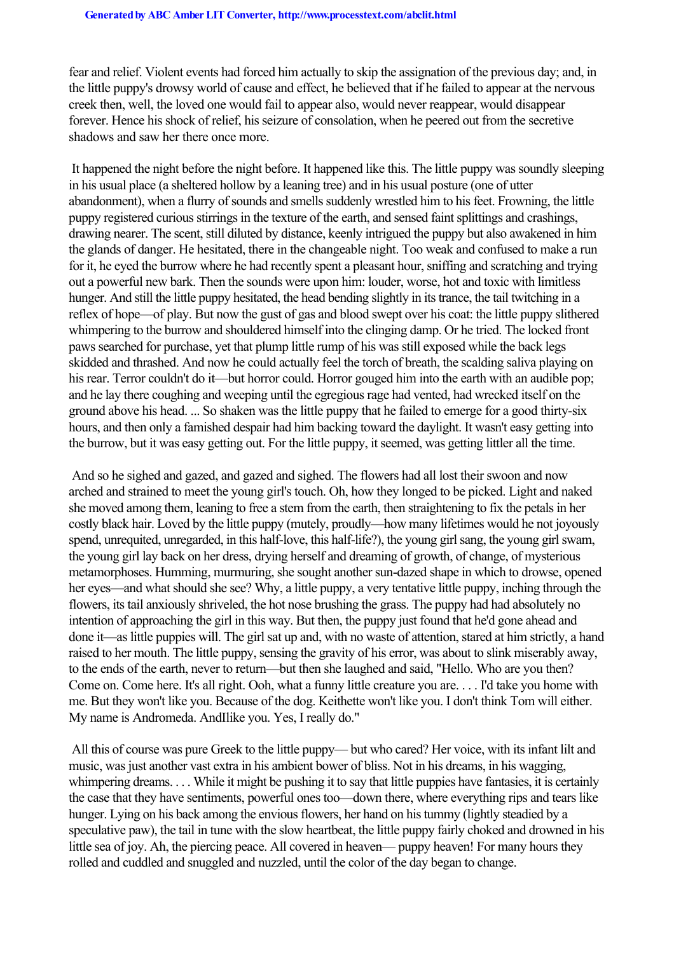fear and relief. Violent events had forced him actually to skip the assignation of the previous day; and, in the little puppy's drowsy world of cause and effect, he believed that if he failed to appear at the nervous creek then, well, the loved one would fail to appear also, would never reappear, would disappear forever. Hence his shock of relief, his seizure of consolation, when he peered out from the secretive shadows and saw her there once more.

 It happened the night before the night before. It happened like this. The little puppy was soundly sleeping in his usual place (a sheltered hollow by a leaning tree) and in his usual posture (one of utter abandonment), when a flurry of sounds and smells suddenly wrestled him to his feet. Frowning, the little puppy registered curious stirrings in the texture of the earth, and sensed faint splittings and crashings, drawing nearer. The scent, still diluted by distance, keenly intrigued the puppy but also awakened in him the glands of danger. He hesitated, there in the changeable night. Too weak and confused to make a run for it, he eyed the burrow where he had recently spent a pleasant hour, sniffing and scratching and trying out a powerful new bark. Then the sounds were upon him: louder, worse, hot and toxic with limitless hunger. And still the little puppy hesitated, the head bending slightly in its trance, the tail twitching in a reflex of hope—of play. But now the gust of gas and blood swept over his coat: the little puppy slithered whimpering to the burrow and shouldered himself into the clinging damp. Or he tried. The locked front paws searched for purchase, yet that plump little rump of his was still exposed while the back legs skidded and thrashed. And now he could actually feel the torch of breath, the scalding saliva playing on his rear. Terror couldn't do it—but horror could. Horror gouged him into the earth with an audible pop; and he lay there coughing and weeping until the egregious rage had vented, had wrecked itself on the ground above his head. ... So shaken was the little puppy that he failed to emerge for a good thirty-six hours, and then only a famished despair had him backing toward the daylight. It wasn't easy getting into the burrow, but it was easy getting out. For the little puppy, it seemed, was getting littler all the time.

 And so he sighed and gazed, and gazed and sighed. The flowers had all lost their swoon and now arched and strained to meet the young girl's touch. Oh, how they longed to be picked. Light and naked she moved among them, leaning to free a stem from the earth, then straightening to fix the petals in her costly black hair. Loved by the little puppy (mutely, proudly—how many lifetimes would he not joyously spend, unrequited, unregarded, in this half-love, this half-life?), the young girl sang, the young girl swam, the young girl lay back on her dress, drying herself and dreaming of growth, of change, of mysterious metamorphoses. Humming, murmuring, she sought another sun-dazed shape in which to drowse, opened her eyes—and what should she see? Why, a little puppy, a very tentative little puppy, inching through the flowers, its tail anxiously shriveled, the hot nose brushing the grass. The puppy had had absolutely no intention of approaching the girl in this way. But then, the puppy just found that he'd gone ahead and done it—as little puppies will. The girl sat up and, with no waste of attention, stared at him strictly, a hand raised to her mouth. The little puppy, sensing the gravity of his error, was about to slink miserably away, to the ends of the earth, never to return—but then she laughed and said, "Hello. Who are you then? Come on. Come here. It's all right. Ooh, what a funny little creature you are. . . . I'd take you home with me. But they won't like you. Because of the dog. Keithette won't like you. I don't think Tom will either. My name is Andromeda. AndIlike you. Yes, I really do."

 All this of course was pure Greek to the little puppy— but who cared? Her voice, with its infant lilt and music, was just another vast extra in his ambient bower of bliss. Not in his dreams, in his wagging, whimpering dreams. . . . While it might be pushing it to say that little puppies have fantasies, it is certainly the case that they have sentiments, powerful ones too—down there, where everything rips and tears like hunger. Lying on his back among the envious flowers, her hand on his tummy (lightly steadied by a speculative paw), the tail in tune with the slow heartbeat, the little puppy fairly choked and drowned in his little sea of joy. Ah, the piercing peace. All covered in heaven— puppy heaven! For many hours they rolled and cuddled and snuggled and nuzzled, until the color of the day began to change.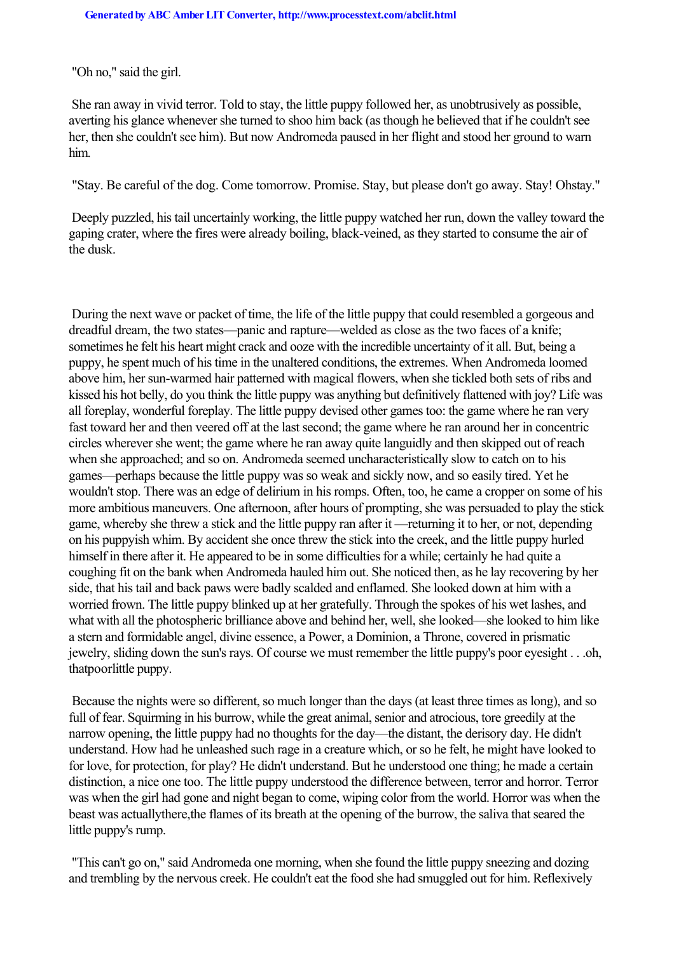"Oh no," said the girl.

 She ran away in vivid terror. Told to stay, the little puppy followed her, as unobtrusively as possible, averting his glance whenever she turned to shoo him back (as though he believed that if he couldn't see her, then she couldn't see him). But now Andromeda paused in her flight and stood her ground to warn him.

"Stay. Be careful of the dog. Come tomorrow. Promise. Stay, but please don't go away. Stay! Ohstay."

Deeply puzzled, his tail uncertainly working, the little puppy watched her run, down the valley toward the gaping crater, where the fires were already boiling, black-veined, as they started to consume the air of the dusk.

 During the next wave or packet of time, the life of the little puppy that could resembled a gorgeous and dreadful dream, the two states—panic and rapture—welded as close as the two faces of a knife; sometimes he felt his heart might crack and ooze with the incredible uncertainty of it all. But, being a puppy, he spent much of his time in the unaltered conditions, the extremes. When Andromeda loomed above him, her sun-warmed hair patterned with magical flowers, when she tickled both sets of ribs and kissed his hot belly, do you think the little puppy was anything but definitively flattened with joy? Life was all foreplay, wonderful foreplay. The little puppy devised other games too: the game where he ran very fast toward her and then veered off at the last second; the game where he ran around her in concentric circles wherever she went; the game where he ran away quite languidly and then skipped out of reach when she approached; and so on. Andromeda seemed uncharacteristically slow to catch on to his games—perhaps because the little puppy was so weak and sickly now, and so easily tired. Yet he wouldn't stop. There was an edge of delirium in his romps. Often, too, he came a cropper on some of his more ambitious maneuvers. One afternoon, after hours of prompting, she was persuaded to play the stick game, whereby she threw a stick and the little puppy ran after it —returning it to her, or not, depending on his puppyish whim. By accident she once threw the stick into the creek, and the little puppy hurled himself in there after it. He appeared to be in some difficulties for a while; certainly he had quite a coughing fit on the bank when Andromeda hauled him out. She noticed then, as he lay recovering by her side, that his tail and back paws were badly scalded and enflamed. She looked down at him with a worried frown. The little puppy blinked up at her gratefully. Through the spokes of his wet lashes, and what with all the photospheric brilliance above and behind her, well, she looked—she looked to him like a stern and formidable angel, divine essence, a Power, a Dominion, a Throne, covered in prismatic jewelry, sliding down the sun's rays. Of course we must remember the little puppy's poor eyesight . . .oh, thatpoorlittle puppy.

 Because the nights were so different, so much longer than the days (at least three times as long), and so full of fear. Squirming in his burrow, while the great animal, senior and atrocious, tore greedily at the narrow opening, the little puppy had no thoughts for the day—the distant, the derisory day. He didn't understand. How had he unleashed such rage in a creature which, or so he felt, he might have looked to for love, for protection, for play? He didn't understand. But he understood one thing; he made a certain distinction, a nice one too. The little puppy understood the difference between, terror and horror. Terror was when the girl had gone and night began to come, wiping color from the world. Horror was when the beast was actuallythere,the flames of its breath at the opening of the burrow, the saliva that seared the little puppy's rump.

 "This can't go on," said Andromeda one morning, when she found the little puppy sneezing and dozing and trembling by the nervous creek. He couldn't eat the food she had smuggled out for him. Reflexively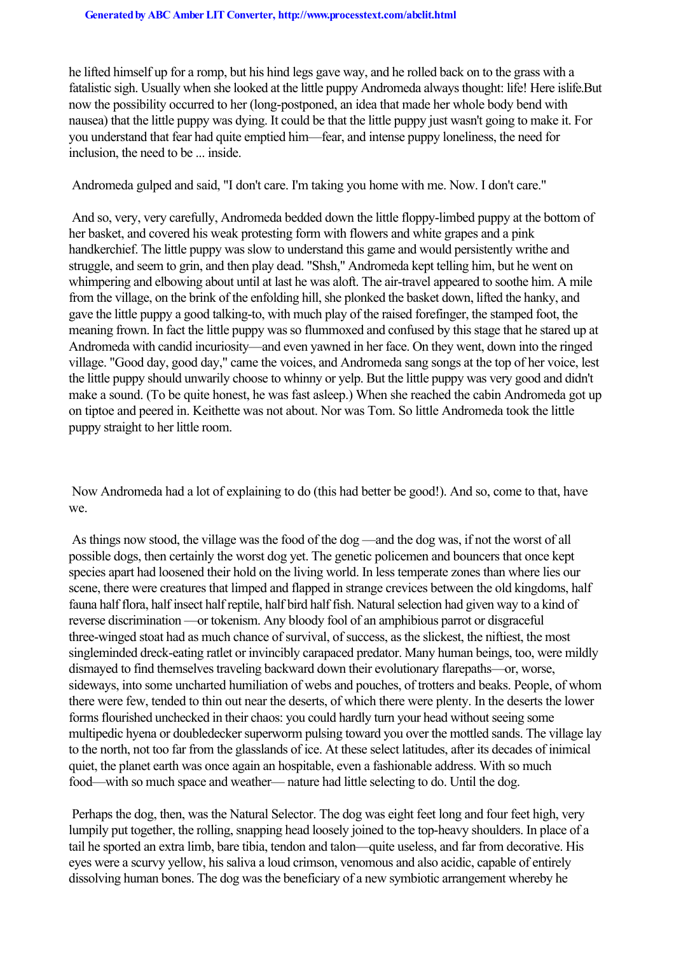he lifted himself up for a romp, but his hind legs gave way, and he rolled back on to the grass with a fatalistic sigh. Usually when she looked at the little puppy Andromeda always thought: life! Here islife.But now the possibility occurred to her (long-postponed, an idea that made her whole body bend with nausea) that the little puppy was dying. It could be that the little puppy just wasn't going to make it. For you understand that fear had quite emptied him—fear, and intense puppy loneliness, the need for inclusion, the need to be ... inside.

Andromeda gulped and said, "I don't care. I'm taking you home with me. Now. I don't care."

 And so, very, very carefully, Andromeda bedded down the little floppy-limbed puppy at the bottom of her basket, and covered his weak protesting form with flowers and white grapes and a pink handkerchief. The little puppy was slow to understand this game and would persistently writhe and struggle, and seem to grin, and then play dead. "Shsh," Andromeda kept telling him, but he went on whimpering and elbowing about until at last he was aloft. The air-travel appeared to soothe him. A mile from the village, on the brink of the enfolding hill, she plonked the basket down, lifted the hanky, and gave the little puppy a good talking-to, with much play of the raised forefinger, the stamped foot, the meaning frown. In fact the little puppy was so flummoxed and confused by this stage that he stared up at Andromeda with candid incuriosity—and even yawned in her face. On they went, down into the ringed village. "Good day, good day," came the voices, and Andromeda sang songs at the top of her voice, lest the little puppy should unwarily choose to whinny or yelp. But the little puppy was very good and didn't make a sound. (To be quite honest, he was fast asleep.) When she reached the cabin Andromeda got up on tiptoe and peered in. Keithette was not about. Nor was Tom. So little Andromeda took the little puppy straight to her little room.

 Now Andromeda had a lot of explaining to do (this had better be good!). And so, come to that, have we.

 As things now stood, the village was the food of the dog —and the dog was, if not the worst of all possible dogs, then certainly the worst dog yet. The genetic policemen and bouncers that once kept species apart had loosened their hold on the living world. In less temperate zones than where lies our scene, there were creatures that limped and flapped in strange crevices between the old kingdoms, half fauna half flora, half insect half reptile, half bird half fish. Natural selection had given way to a kind of reverse discrimination —or tokenism. Any bloody fool of an amphibious parrot or disgraceful three-winged stoat had as much chance of survival, of success, as the slickest, the niftiest, the most singleminded dreck-eating ratlet or invincibly carapaced predator. Many human beings, too, were mildly dismayed to find themselves traveling backward down their evolutionary flarepaths—or, worse, sideways, into some uncharted humiliation of webs and pouches, of trotters and beaks. People, of whom there were few, tended to thin out near the deserts, of which there were plenty. In the deserts the lower forms flourished unchecked in their chaos: you could hardly turn your head without seeing some multipedic hyena or doubledecker superworm pulsing toward you over the mottled sands. The village lay to the north, not too far from the glasslands of ice. At these select latitudes, after its decades of inimical quiet, the planet earth was once again an hospitable, even a fashionable address. With so much food—with so much space and weather— nature had little selecting to do. Until the dog.

 Perhaps the dog, then, was the Natural Selector. The dog was eight feet long and four feet high, very lumpily put together, the rolling, snapping head loosely joined to the top-heavy shoulders. In place of a tail he sported an extra limb, bare tibia, tendon and talon—quite useless, and far from decorative. His eyes were a scurvy yellow, his saliva a loud crimson, venomous and also acidic, capable of entirely dissolving human bones. The dog was the beneficiary of a new symbiotic arrangement whereby he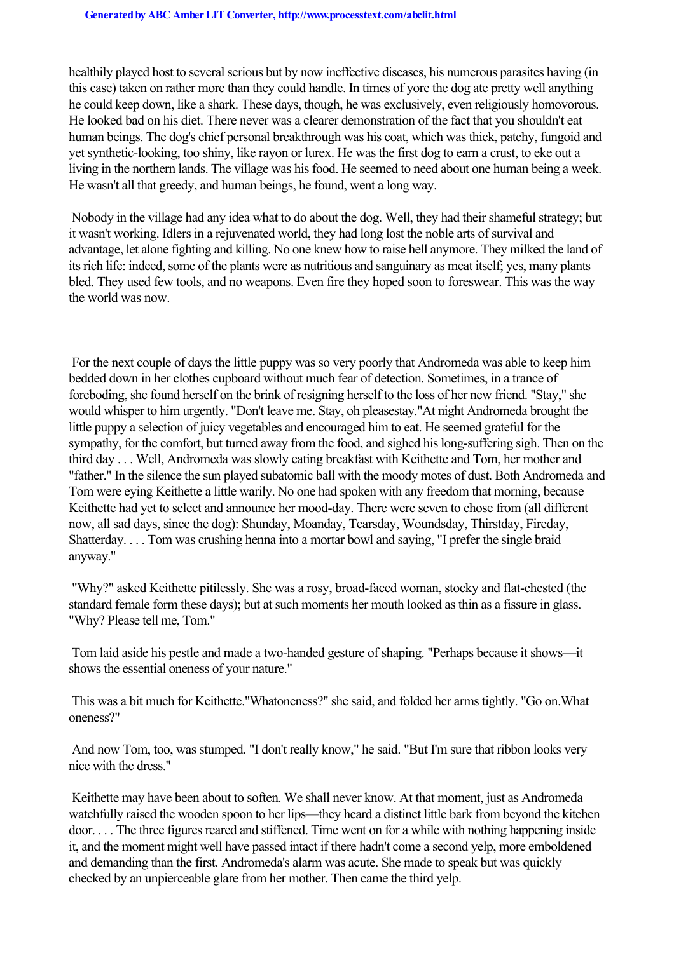healthily played host to several serious but by now ineffective diseases, his numerous parasites having (in this case) taken on rather more than they could handle. In times of yore the dog ate pretty well anything he could keep down, like a shark. These days, though, he was exclusively, even religiously homovorous. He looked bad on his diet. There never was a clearer demonstration of the fact that you shouldn't eat human beings. The dog's chief personal breakthrough was his coat, which was thick, patchy, fungoid and yet synthetic-looking, too shiny, like rayon or lurex. He was the first dog to earn a crust, to eke out a living in the northern lands. The village was his food. He seemed to need about one human being a week. He wasn't all that greedy, and human beings, he found, went a long way.

 Nobody in the village had any idea what to do about the dog. Well, they had their shameful strategy; but it wasn't working. Idlers in a rejuvenated world, they had long lost the noble arts of survival and advantage, let alone fighting and killing. No one knew how to raise hell anymore. They milked the land of its rich life: indeed, some of the plants were as nutritious and sanguinary as meat itself; yes, many plants bled. They used few tools, and no weapons. Even fire they hoped soon to foreswear. This was the way the world was now.

 For the next couple of days the little puppy was so very poorly that Andromeda was able to keep him bedded down in her clothes cupboard without much fear of detection. Sometimes, in a trance of foreboding, she found herself on the brink of resigning herself to the loss of her new friend. "Stay," she would whisper to him urgently. "Don't leave me. Stay, oh pleasestay."At night Andromeda brought the little puppy a selection of juicy vegetables and encouraged him to eat. He seemed grateful for the sympathy, for the comfort, but turned away from the food, and sighed his long-suffering sigh. Then on the third day . . . Well, Andromeda was slowly eating breakfast with Keithette and Tom, her mother and "father." In the silence the sun played subatomic ball with the moody motes of dust. Both Andromeda and Tom were eying Keithette a little warily. No one had spoken with any freedom that morning, because Keithette had yet to select and announce her mood-day. There were seven to chose from (all different now, all sad days, since the dog): Shunday, Moanday, Tearsday, Woundsday, Thirstday, Fireday, Shatterday. . . . Tom was crushing henna into a mortar bowl and saying, "I prefer the single braid anyway."

 "Why?" asked Keithette pitilessly. She was a rosy, broad-faced woman, stocky and flat-chested (the standard female form these days); but at such moments her mouth looked as thin as a fissure in glass. "Why? Please tell me, Tom."

 Tom laid aside his pestle and made a two-handed gesture of shaping. "Perhaps because it shows—it shows the essential oneness of your nature."

 This was a bit much for Keithette."Whatoneness?" she said, and folded her arms tightly. "Go on.What oneness?"

 And now Tom, too, was stumped. "I don't really know," he said. "But I'm sure that ribbon looks very nice with the dress."

 Keithette may have been about to soften. We shall never know. At that moment, just as Andromeda watchfully raised the wooden spoon to her lips—they heard a distinct little bark from beyond the kitchen door. . . . The three figures reared and stiffened. Time went on for a while with nothing happening inside it, and the moment might well have passed intact if there hadn't come a second yelp, more emboldened and demanding than the first. Andromeda's alarm was acute. She made to speak but was quickly checked by an unpierceable glare from her mother. Then came the third yelp.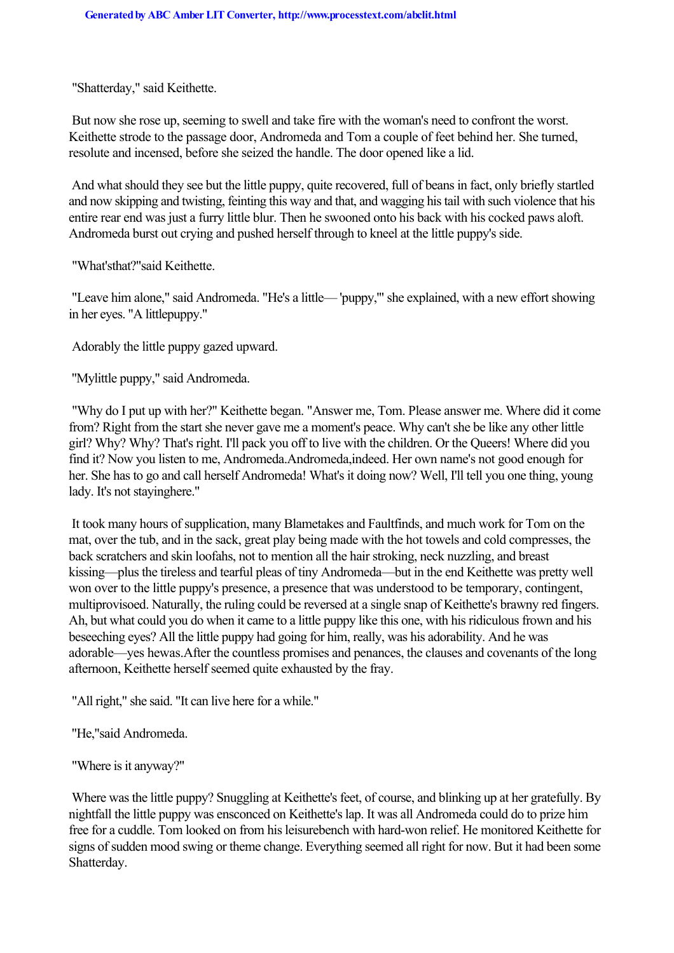"Shatterday," said Keithette.

 But now she rose up, seeming to swell and take fire with the woman's need to confront the worst. Keithette strode to the passage door, Andromeda and Tom a couple of feet behind her. She turned, resolute and incensed, before she seized the handle. The door opened like a lid.

 And what should they see but the little puppy, quite recovered, full of beans in fact, only briefly startled and now skipping and twisting, feinting this way and that, and wagging his tail with such violence that his entire rear end was just a furry little blur. Then he swooned onto his back with his cocked paws aloft. Andromeda burst out crying and pushed herself through to kneel at the little puppy's side.

"What'sthat?"said Keithette.

 "Leave him alone," said Andromeda. "He's a little— 'puppy,'" she explained, with a new effort showing in her eyes. "A littlepuppy."

Adorably the little puppy gazed upward.

"Mylittle puppy," said Andromeda.

 "Why do I put up with her?" Keithette began. "Answer me, Tom. Please answer me. Where did it come from? Right from the start she never gave me a moment's peace. Why can't she be like any other little girl? Why? Why? That's right. I'll pack you off to live with the children. Or the Queers! Where did you find it? Now you listen to me, Andromeda.Andromeda,indeed. Her own name's not good enough for her. She has to go and call herself Andromeda! What's it doing now? Well, I'll tell you one thing, young lady. It's not stayinghere."

 It took many hours of supplication, many Blametakes and Faultfinds, and much work for Tom on the mat, over the tub, and in the sack, great play being made with the hot towels and cold compresses, the back scratchers and skin loofahs, not to mention all the hair stroking, neck nuzzling, and breast kissing—plus the tireless and tearful pleas of tiny Andromeda—but in the end Keithette was pretty well won over to the little puppy's presence, a presence that was understood to be temporary, contingent, multiprovisoed. Naturally, the ruling could be reversed at a single snap of Keithette's brawny red fingers. Ah, but what could you do when it came to a little puppy like this one, with his ridiculous frown and his beseeching eyes? All the little puppy had going for him, really, was his adorability. And he was adorable—yes hewas.After the countless promises and penances, the clauses and covenants of the long afternoon, Keithette herself seemed quite exhausted by the fray.

"All right," she said. "It can live here for a while."

"He,"said Andromeda.

"Where is it anyway?"

 Where was the little puppy? Snuggling at Keithette's feet, of course, and blinking up at her gratefully. By nightfall the little puppy was ensconced on Keithette's lap. It was all Andromeda could do to prize him free for a cuddle. Tom looked on from his leisurebench with hard-won relief. He monitored Keithette for signs of sudden mood swing or theme change. Everything seemed all right for now. But it had been some Shatterday.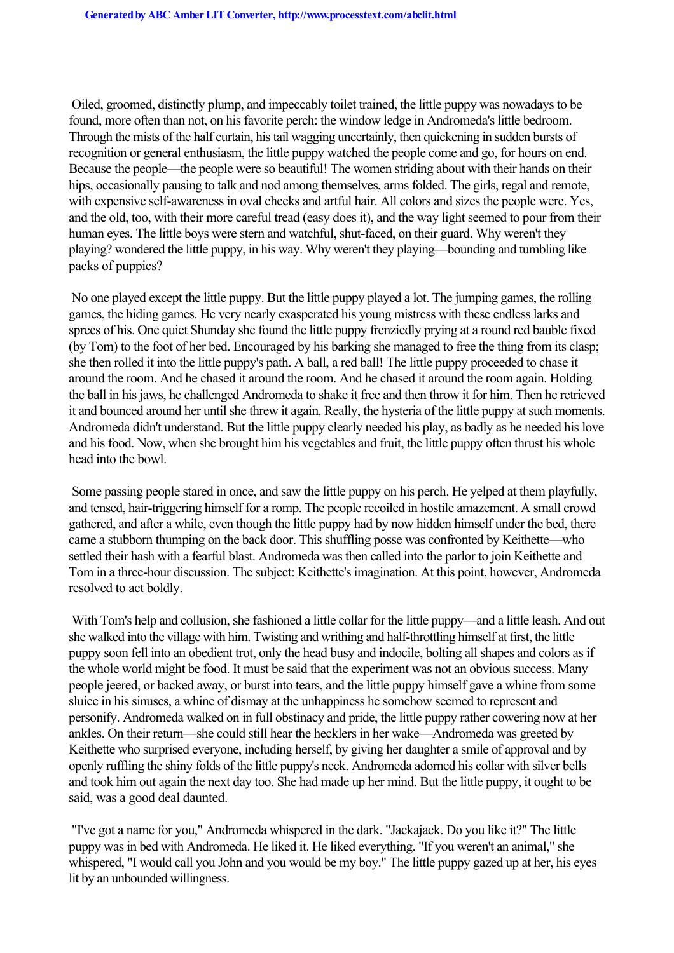Oiled, groomed, distinctly plump, and impeccably toilet trained, the little puppy was nowadays to be found, more often than not, on his favorite perch: the window ledge in Andromeda's little bedroom. Through the mists of the half curtain, his tail wagging uncertainly, then quickening in sudden bursts of recognition or general enthusiasm, the little puppy watched the people come and go, for hours on end. Because the people—the people were so beautiful! The women striding about with their hands on their hips, occasionally pausing to talk and nod among themselves, arms folded. The girls, regal and remote, with expensive self-awareness in oval cheeks and artful hair. All colors and sizes the people were. Yes, and the old, too, with their more careful tread (easy does it), and the way light seemed to pour from their human eyes. The little boys were stern and watchful, shut-faced, on their guard. Why weren't they playing? wondered the little puppy, in his way. Why weren't they playing—bounding and tumbling like packs of puppies?

 No one played except the little puppy. But the little puppy played a lot. The jumping games, the rolling games, the hiding games. He very nearly exasperated his young mistress with these endless larks and sprees of his. One quiet Shunday she found the little puppy frenziedly prying at a round red bauble fixed (by Tom) to the foot of her bed. Encouraged by his barking she managed to free the thing from its clasp; she then rolled it into the little puppy's path. A ball, a red ball! The little puppy proceeded to chase it around the room. And he chased it around the room. And he chased it around the room again. Holding the ball in his jaws, he challenged Andromeda to shake it free and then throw it for him. Then he retrieved it and bounced around her until she threw it again. Really, the hysteria of the little puppy at such moments. Andromeda didn't understand. But the little puppy clearly needed his play, as badly as he needed his love and his food. Now, when she brought him his vegetables and fruit, the little puppy often thrust his whole head into the bowl.

 Some passing people stared in once, and saw the little puppy on his perch. He yelped at them playfully, and tensed, hair-triggering himself for a romp. The people recoiled in hostile amazement. A small crowd gathered, and after a while, even though the little puppy had by now hidden himself under the bed, there came a stubborn thumping on the back door. This shuffling posse was confronted by Keithette—who settled their hash with a fearful blast. Andromeda was then called into the parlor to join Keithette and Tom in a three-hour discussion. The subject: Keithette's imagination. At this point, however, Andromeda resolved to act boldly.

 With Tom's help and collusion, she fashioned a little collar for the little puppy—and a little leash. And out she walked into the village with him. Twisting and writhing and half-throttling himself at first, the little puppy soon fell into an obedient trot, only the head busy and indocile, bolting all shapes and colors as if the whole world might be food. It must be said that the experiment was not an obvious success. Many people jeered, or backed away, or burst into tears, and the little puppy himself gave a whine from some sluice in his sinuses, a whine of dismay at the unhappiness he somehow seemed to represent and personify. Andromeda walked on in full obstinacy and pride, the little puppy rather cowering now at her ankles. On their return—she could still hear the hecklers in her wake—Andromeda was greeted by Keithette who surprised everyone, including herself, by giving her daughter a smile of approval and by openly ruffling the shiny folds of the little puppy's neck. Andromeda adorned his collar with silver bells and took him out again the next day too. She had made up her mind. But the little puppy, it ought to be said, was a good deal daunted.

 "I've got a name for you," Andromeda whispered in the dark. "Jackajack. Do you like it?" The little puppy was in bed with Andromeda. He liked it. He liked everything. "If you weren't an animal," she whispered, "I would call you John and you would be my boy." The little puppy gazed up at her, his eyes lit by an unbounded willingness.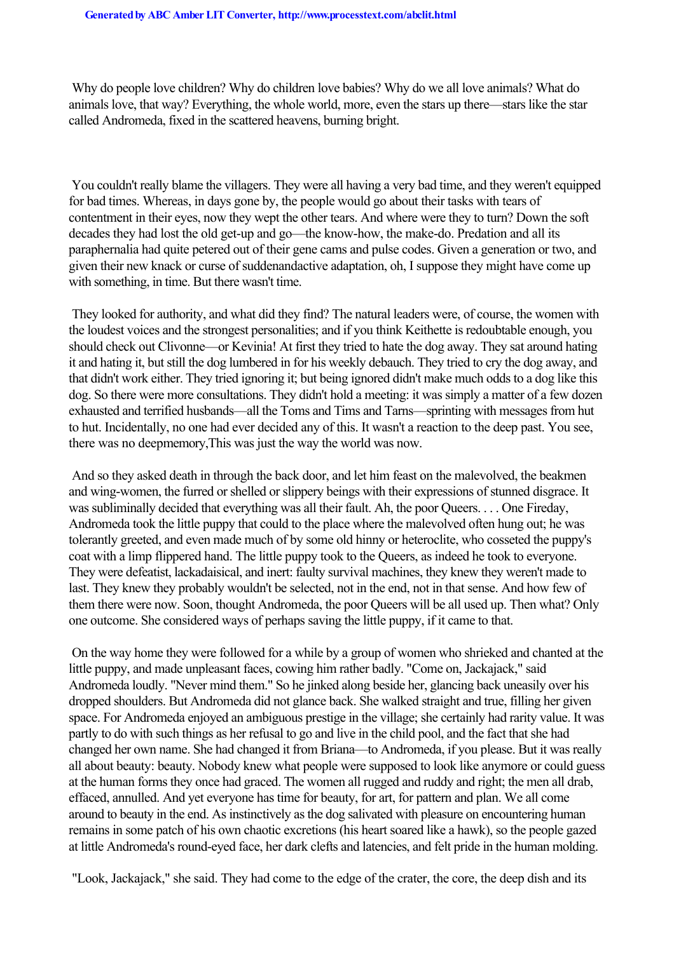Why do people love children? Why do children love babies? Why do we all love animals? What do animals love, that way? Everything, the whole world, more, even the stars up there—stars like the star called Andromeda, fixed in the scattered heavens, burning bright.

 You couldn't really blame the villagers. They were all having a very bad time, and they weren't equipped for bad times. Whereas, in days gone by, the people would go about their tasks with tears of contentment in their eyes, now they wept the other tears. And where were they to turn? Down the soft decades they had lost the old get-up and go—the know-how, the make-do. Predation and all its paraphernalia had quite petered out of their gene cams and pulse codes. Given a generation or two, and given their new knack or curse of suddenandactive adaptation, oh, I suppose they might have come up with something, in time. But there wasn't time.

 They looked for authority, and what did they find? The natural leaders were, of course, the women with the loudest voices and the strongest personalities; and if you think Keithette is redoubtable enough, you should check out Clivonne—or Kevinia! At first they tried to hate the dog away. They sat around hating it and hating it, but still the dog lumbered in for his weekly debauch. They tried to cry the dog away, and that didn't work either. They tried ignoring it; but being ignored didn't make much odds to a dog like this dog. So there were more consultations. They didn't hold a meeting: it was simply a matter of a few dozen exhausted and terrified husbands—all the Toms and Tims and Tarns—sprinting with messages from hut to hut. Incidentally, no one had ever decided any of this. It wasn't a reaction to the deep past. You see, there was no deepmemory,This was just the way the world was now.

 And so they asked death in through the back door, and let him feast on the malevolved, the beakmen and wing-women, the furred or shelled or slippery beings with their expressions of stunned disgrace. It was subliminally decided that everything was all their fault. Ah, the poor Queers. . . . One Fireday, Andromeda took the little puppy that could to the place where the malevolved often hung out; he was tolerantly greeted, and even made much of by some old hinny or heteroclite, who cosseted the puppy's coat with a limp flippered hand. The little puppy took to the Queers, as indeed he took to everyone. They were defeatist, lackadaisical, and inert: faulty survival machines, they knew they weren't made to last. They knew they probably wouldn't be selected, not in the end, not in that sense. And how few of them there were now. Soon, thought Andromeda, the poor Queers will be all used up. Then what? Only one outcome. She considered ways of perhaps saving the little puppy, if it came to that.

 On the way home they were followed for a while by a group of women who shrieked and chanted at the little puppy, and made unpleasant faces, cowing him rather badly. "Come on, Jackajack," said Andromeda loudly. "Never mind them." So he jinked along beside her, glancing back uneasily over his dropped shoulders. But Andromeda did not glance back. She walked straight and true, filling her given space. For Andromeda enjoyed an ambiguous prestige in the village; she certainly had rarity value. It was partly to do with such things as her refusal to go and live in the child pool, and the fact that she had changed her own name. She had changed it from Briana—to Andromeda, if you please. But it was really all about beauty: beauty. Nobody knew what people were supposed to look like anymore or could guess at the human forms they once had graced. The women all rugged and ruddy and right; the men all drab, effaced, annulled. And yet everyone has time for beauty, for art, for pattern and plan. We all come around to beauty in the end. As instinctively as the dog salivated with pleasure on encountering human remains in some patch of his own chaotic excretions (his heart soared like a hawk), so the people gazed at little Andromeda's round-eyed face, her dark clefts and latencies, and felt pride in the human molding.

"Look, Jackajack," she said. They had come to the edge of the crater, the core, the deep dish and its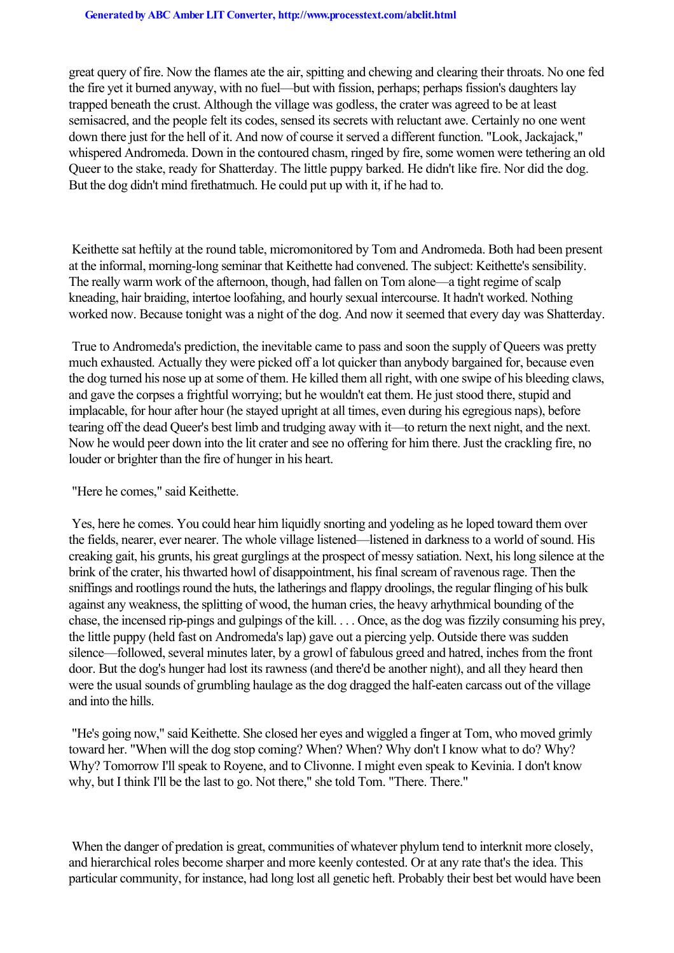great query of fire. Now the flames ate the air, spitting and chewing and clearing their throats. No one fed the fire yet it burned anyway, with no fuel—but with fission, perhaps; perhaps fission's daughters lay trapped beneath the crust. Although the village was godless, the crater was agreed to be at least semisacred, and the people felt its codes, sensed its secrets with reluctant awe. Certainly no one went down there just for the hell of it. And now of course it served a different function. "Look, Jackajack," whispered Andromeda. Down in the contoured chasm, ringed by fire, some women were tethering an old Queer to the stake, ready for Shatterday. The little puppy barked. He didn't like fire. Nor did the dog. But the dog didn't mind firethatmuch. He could put up with it, if he had to.

 Keithette sat heftily at the round table, micromonitored by Tom and Andromeda. Both had been present at the informal, morning-long seminar that Keithette had convened. The subject: Keithette's sensibility. The really warm work of the afternoon, though, had fallen on Tom alone—a tight regime of scalp kneading, hair braiding, intertoe loofahing, and hourly sexual intercourse. It hadn't worked. Nothing worked now. Because tonight was a night of the dog. And now it seemed that every day was Shatterday.

 True to Andromeda's prediction, the inevitable came to pass and soon the supply of Queers was pretty much exhausted. Actually they were picked off a lot quicker than anybody bargained for, because even the dog turned his nose up at some of them. He killed them all right, with one swipe of his bleeding claws, and gave the corpses a frightful worrying; but he wouldn't eat them. He just stood there, stupid and implacable, for hour after hour (he stayed upright at all times, even during his egregious naps), before tearing off the dead Queer's best limb and trudging away with it—to return the next night, and the next. Now he would peer down into the lit crater and see no offering for him there. Just the crackling fire, no louder or brighter than the fire of hunger in his heart.

"Here he comes," said Keithette.

 Yes, here he comes. You could hear him liquidly snorting and yodeling as he loped toward them over the fields, nearer, ever nearer. The whole village listened—listened in darkness to a world of sound. His creaking gait, his grunts, his great gurglings at the prospect of messy satiation. Next, his long silence at the brink of the crater, his thwarted howl of disappointment, his final scream of ravenous rage. Then the sniffings and rootlings round the huts, the latherings and flappy droolings, the regular flinging of his bulk against any weakness, the splitting of wood, the human cries, the heavy arhythmical bounding of the chase, the incensed rip-pings and gulpings of the kill. . . . Once, as the dog was fizzily consuming his prey, the little puppy (held fast on Andromeda's lap) gave out a piercing yelp. Outside there was sudden silence—followed, several minutes later, by a growl of fabulous greed and hatred, inches from the front door. But the dog's hunger had lost its rawness (and there'd be another night), and all they heard then were the usual sounds of grumbling haulage as the dog dragged the half-eaten carcass out of the village and into the hills.

 "He's going now," said Keithette. She closed her eyes and wiggled a finger at Tom, who moved grimly toward her. "When will the dog stop coming? When? When? Why don't I know what to do? Why? Why? Tomorrow I'll speak to Royene, and to Clivonne. I might even speak to Kevinia. I don't know why, but I think I'll be the last to go. Not there," she told Tom. "There. There."

When the danger of predation is great, communities of whatever phylum tend to interknit more closely, and hierarchical roles become sharper and more keenly contested. Or at any rate that's the idea. This particular community, for instance, had long lost all genetic heft. Probably their best bet would have been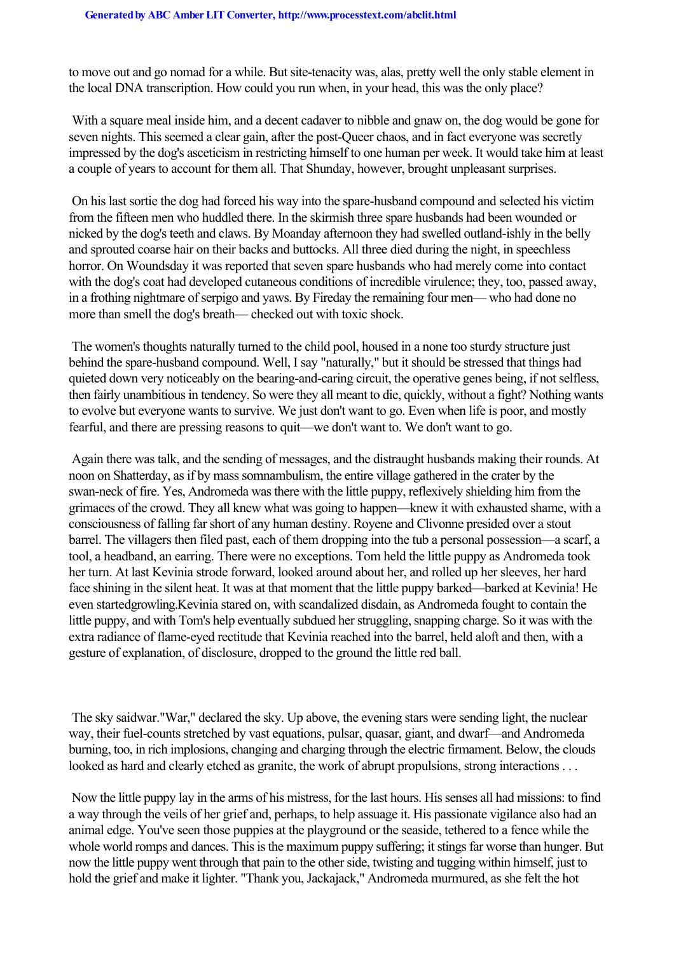to move out and go nomad for a while. But site-tenacity was, alas, pretty well the only stable element in the local DNA transcription. How could you run when, in your head, this was the only place?

With a square meal inside him, and a decent cadaver to nibble and gnaw on, the dog would be gone for seven nights. This seemed a clear gain, after the post-Queer chaos, and in fact everyone was secretly impressed by the dog's asceticism in restricting himself to one human per week. It would take him at least a couple of years to account for them all. That Shunday, however, brought unpleasant surprises.

 On his last sortie the dog had forced his way into the spare-husband compound and selected his victim from the fifteen men who huddled there. In the skirmish three spare husbands had been wounded or nicked by the dog's teeth and claws. By Moanday afternoon they had swelled outland-ishly in the belly and sprouted coarse hair on their backs and buttocks. All three died during the night, in speechless horror. On Woundsday it was reported that seven spare husbands who had merely come into contact with the dog's coat had developed cutaneous conditions of incredible virulence; they, too, passed away, in a frothing nightmare of serpigo and yaws. By Fireday the remaining four men— who had done no more than smell the dog's breath— checked out with toxic shock.

 The women's thoughts naturally turned to the child pool, housed in a none too sturdy structure just behind the spare-husband compound. Well, I say "naturally," but it should be stressed that things had quieted down very noticeably on the bearing-and-caring circuit, the operative genes being, if not selfless, then fairly unambitious in tendency. So were they all meant to die, quickly, without a fight? Nothing wants to evolve but everyone wants to survive. We just don't want to go. Even when life is poor, and mostly fearful, and there are pressing reasons to quit—we don't want to. We don't want to go.

 Again there was talk, and the sending of messages, and the distraught husbands making their rounds. At noon on Shatterday, as if by mass somnambulism, the entire village gathered in the crater by the swan-neck of fire. Yes, Andromeda was there with the little puppy, reflexively shielding him from the grimaces of the crowd. They all knew what was going to happen—knew it with exhausted shame, with a consciousness of falling far short of any human destiny. Royene and Clivonne presided over a stout barrel. The villagers then filed past, each of them dropping into the tub a personal possession—a scarf, a tool, a headband, an earring. There were no exceptions. Tom held the little puppy as Andromeda took her turn. At last Kevinia strode forward, looked around about her, and rolled up her sleeves, her hard face shining in the silent heat. It was at that moment that the little puppy barked—barked at Kevinia! He even startedgrowling.Kevinia stared on, with scandalized disdain, as Andromeda fought to contain the little puppy, and with Tom's help eventually subdued her struggling, snapping charge. So it was with the extra radiance of flame-eyed rectitude that Kevinia reached into the barrel, held aloft and then, with a gesture of explanation, of disclosure, dropped to the ground the little red ball.

 The sky saidwar."War," declared the sky. Up above, the evening stars were sending light, the nuclear way, their fuel-counts stretched by vast equations, pulsar, quasar, giant, and dwarf—and Andromeda burning, too, in rich implosions, changing and charging through the electric firmament. Below, the clouds looked as hard and clearly etched as granite, the work of abrupt propulsions, strong interactions . . .

 Now the little puppy lay in the arms of his mistress, for the last hours. His senses all had missions: to find a way through the veils of her grief and, perhaps, to help assuage it. His passionate vigilance also had an animal edge. You've seen those puppies at the playground or the seaside, tethered to a fence while the whole world romps and dances. This is the maximum puppy suffering; it stings far worse than hunger. But now the little puppy went through that pain to the other side, twisting and tugging within himself, just to hold the grief and make it lighter. "Thank you, Jackajack," Andromeda murmured, as she felt the hot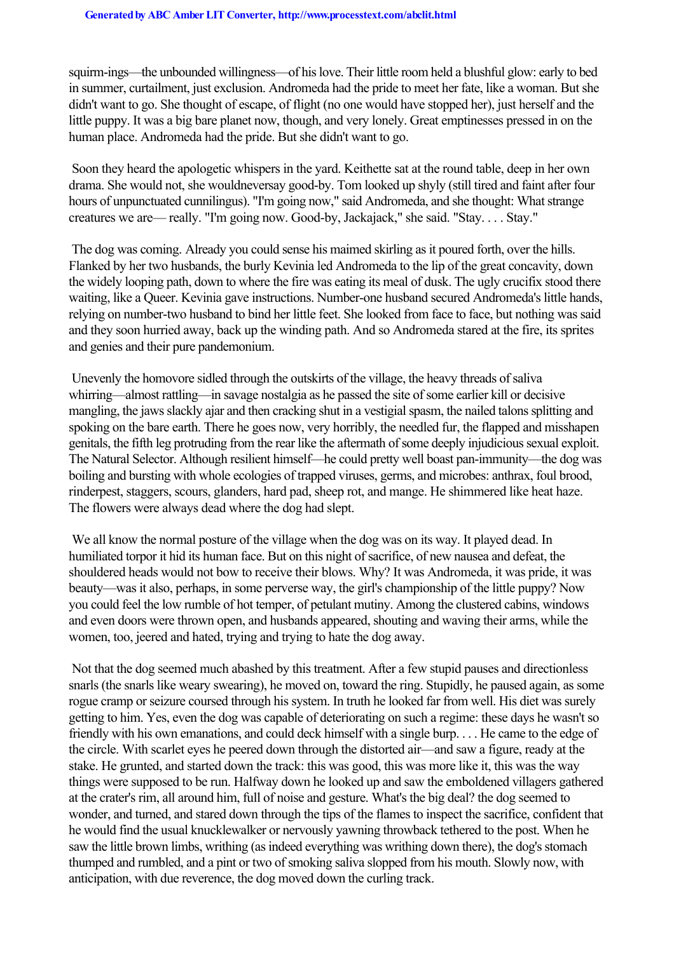squirm-ings—the unbounded willingness—of his love. Their little room held a blushful glow: early to bed in summer, curtailment, just exclusion. Andromeda had the pride to meet her fate, like a woman. But she didn't want to go. She thought of escape, of flight (no one would have stopped her), just herself and the little puppy. It was a big bare planet now, though, and very lonely. Great emptinesses pressed in on the human place. Andromeda had the pride. But she didn't want to go.

 Soon they heard the apologetic whispers in the yard. Keithette sat at the round table, deep in her own drama. She would not, she wouldneversay good-by. Tom looked up shyly (still tired and faint after four hours of unpunctuated cunnilingus). "I'm going now," said Andromeda, and she thought: What strange creatures we are— really. "I'm going now. Good-by, Jackajack," she said. "Stay. . . . Stay."

 The dog was coming. Already you could sense his maimed skirling as it poured forth, over the hills. Flanked by her two husbands, the burly Kevinia led Andromeda to the lip of the great concavity, down the widely looping path, down to where the fire was eating its meal of dusk. The ugly crucifix stood there waiting, like a Queer. Kevinia gave instructions. Number-one husband secured Andromeda's little hands, relying on number-two husband to bind her little feet. She looked from face to face, but nothing was said and they soon hurried away, back up the winding path. And so Andromeda stared at the fire, its sprites and genies and their pure pandemonium.

 Unevenly the homovore sidled through the outskirts of the village, the heavy threads of saliva whirring—almost rattling—in savage nostalgia as he passed the site of some earlier kill or decisive mangling, the jaws slackly ajar and then cracking shut in a vestigial spasm, the nailed talons splitting and spoking on the bare earth. There he goes now, very horribly, the needled fur, the flapped and misshapen genitals, the fifth leg protruding from the rear like the aftermath of some deeply injudicious sexual exploit. The Natural Selector. Although resilient himself—he could pretty well boast pan-immunity—the dog was boiling and bursting with whole ecologies of trapped viruses, germs, and microbes: anthrax, foul brood, rinderpest, staggers, scours, glanders, hard pad, sheep rot, and mange. He shimmered like heat haze. The flowers were always dead where the dog had slept.

We all know the normal posture of the village when the dog was on its way. It played dead. In humiliated torpor it hid its human face. But on this night of sacrifice, of new nausea and defeat, the shouldered heads would not bow to receive their blows. Why? It was Andromeda, it was pride, it was beauty—was it also, perhaps, in some perverse way, the girl's championship of the little puppy? Now you could feel the low rumble of hot temper, of petulant mutiny. Among the clustered cabins, windows and even doors were thrown open, and husbands appeared, shouting and waving their arms, while the women, too, jeered and hated, trying and trying to hate the dog away.

 Not that the dog seemed much abashed by this treatment. After a few stupid pauses and directionless snarls (the snarls like weary swearing), he moved on, toward the ring. Stupidly, he paused again, as some rogue cramp or seizure coursed through his system. In truth he looked far from well. His diet was surely getting to him. Yes, even the dog was capable of deteriorating on such a regime: these days he wasn't so friendly with his own emanations, and could deck himself with a single burp. . . . He came to the edge of the circle. With scarlet eyes he peered down through the distorted air—and saw a figure, ready at the stake. He grunted, and started down the track: this was good, this was more like it, this was the way things were supposed to be run. Halfway down he looked up and saw the emboldened villagers gathered at the crater's rim, all around him, full of noise and gesture. What's the big deal? the dog seemed to wonder, and turned, and stared down through the tips of the flames to inspect the sacrifice, confident that he would find the usual knucklewalker or nervously yawning throwback tethered to the post. When he saw the little brown limbs, writhing (as indeed everything was writhing down there), the dog's stomach thumped and rumbled, and a pint or two of smoking saliva slopped from his mouth. Slowly now, with anticipation, with due reverence, the dog moved down the curling track.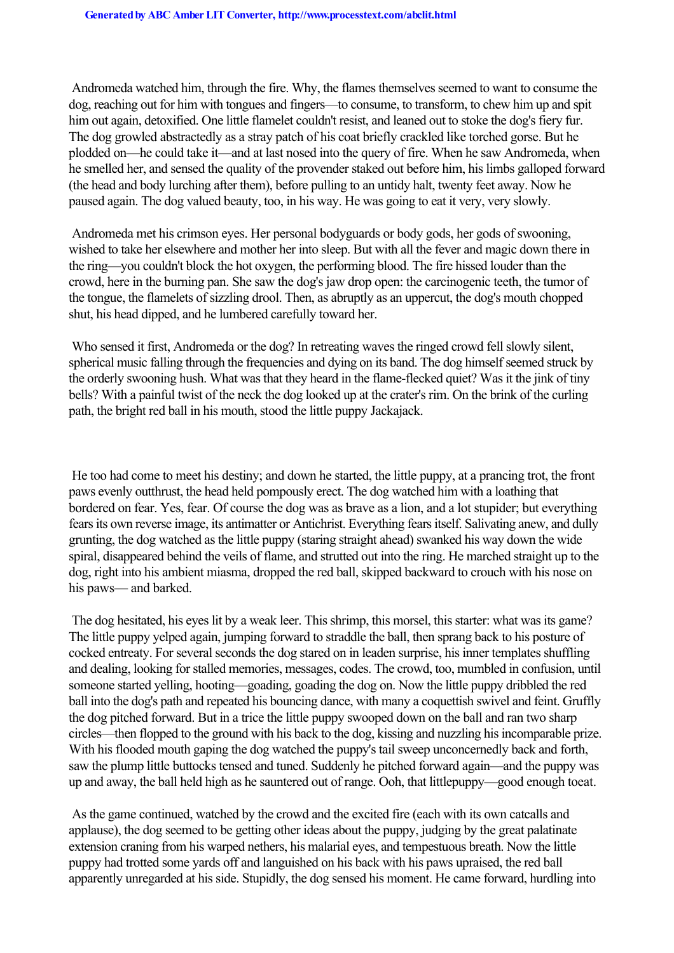Andromeda watched him, through the fire. Why, the flames themselves seemed to want to consume the dog, reaching out for him with tongues and fingers—to consume, to transform, to chew him up and spit him out again, detoxified. One little flamelet couldn't resist, and leaned out to stoke the dog's fiery fur. The dog growled abstractedly as a stray patch of his coat briefly crackled like torched gorse. But he plodded on—he could take it—and at last nosed into the query of fire. When he saw Andromeda, when he smelled her, and sensed the quality of the provender staked out before him, his limbs galloped forward (the head and body lurching after them), before pulling to an untidy halt, twenty feet away. Now he paused again. The dog valued beauty, too, in his way. He was going to eat it very, very slowly.

 Andromeda met his crimson eyes. Her personal bodyguards or body gods, her gods of swooning, wished to take her elsewhere and mother her into sleep. But with all the fever and magic down there in the ring—you couldn't block the hot oxygen, the performing blood. The fire hissed louder than the crowd, here in the burning pan. She saw the dog's jaw drop open: the carcinogenic teeth, the tumor of the tongue, the flamelets of sizzling drool. Then, as abruptly as an uppercut, the dog's mouth chopped shut, his head dipped, and he lumbered carefully toward her.

Who sensed it first, Andromeda or the dog? In retreating waves the ringed crowd fell slowly silent, spherical music falling through the frequencies and dying on its band. The dog himself seemed struck by the orderly swooning hush. What was that they heard in the flame-flecked quiet? Was it the jink of tiny bells? With a painful twist of the neck the dog looked up at the crater's rim. On the brink of the curling path, the bright red ball in his mouth, stood the little puppy Jackajack.

 He too had come to meet his destiny; and down he started, the little puppy, at a prancing trot, the front paws evenly outthrust, the head held pompously erect. The dog watched him with a loathing that bordered on fear. Yes, fear. Of course the dog was as brave as a lion, and a lot stupider; but everything fears its own reverse image, its antimatter or Antichrist. Everything fears itself. Salivating anew, and dully grunting, the dog watched as the little puppy (staring straight ahead) swanked his way down the wide spiral, disappeared behind the veils of flame, and strutted out into the ring. He marched straight up to the dog, right into his ambient miasma, dropped the red ball, skipped backward to crouch with his nose on his paws— and barked.

 The dog hesitated, his eyes lit by a weak leer. This shrimp, this morsel, this starter: what was its game? The little puppy yelped again, jumping forward to straddle the ball, then sprang back to his posture of cocked entreaty. For several seconds the dog stared on in leaden surprise, his inner templates shuffling and dealing, looking for stalled memories, messages, codes. The crowd, too, mumbled in confusion, until someone started yelling, hooting—goading, goading the dog on. Now the little puppy dribbled the red ball into the dog's path and repeated his bouncing dance, with many a coquettish swivel and feint. Gruffly the dog pitched forward. But in a trice the little puppy swooped down on the ball and ran two sharp circles—then flopped to the ground with his back to the dog, kissing and nuzzling his incomparable prize. With his flooded mouth gaping the dog watched the puppy's tail sweep unconcernedly back and forth, saw the plump little buttocks tensed and tuned. Suddenly he pitched forward again—and the puppy was up and away, the ball held high as he sauntered out of range. Ooh, that littlepuppy—good enough toeat.

 As the game continued, watched by the crowd and the excited fire (each with its own catcalls and applause), the dog seemed to be getting other ideas about the puppy, judging by the great palatinate extension craning from his warped nethers, his malarial eyes, and tempestuous breath. Now the little puppy had trotted some yards off and languished on his back with his paws upraised, the red ball apparently unregarded at his side. Stupidly, the dog sensed his moment. He came forward, hurdling into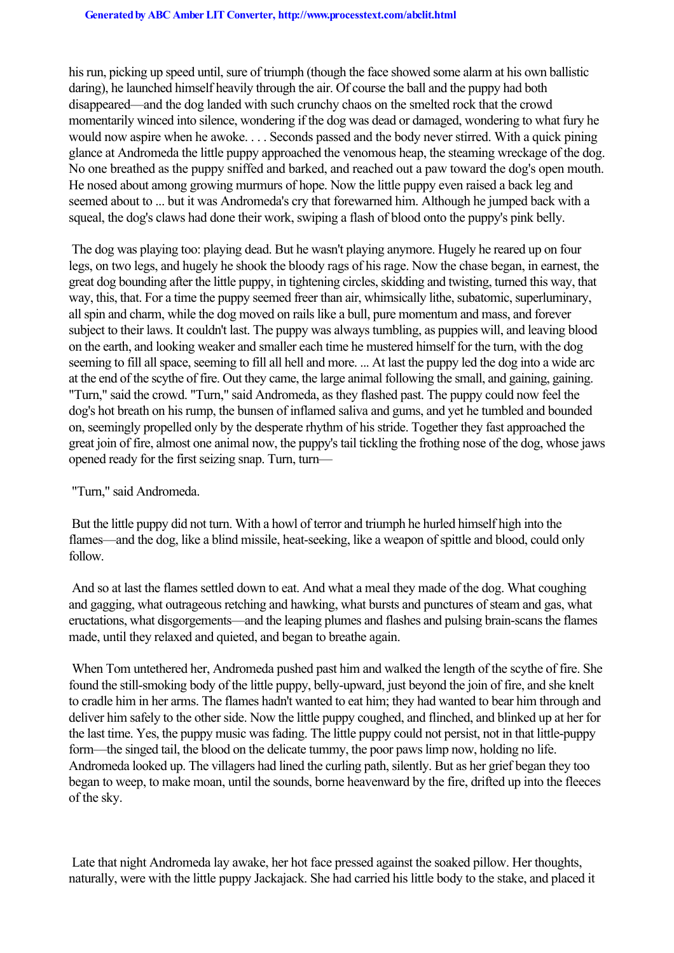his run, picking up speed until, sure of triumph (though the face showed some alarm at his own ballistic daring), he launched himself heavily through the air. Of course the ball and the puppy had both disappeared—and the dog landed with such crunchy chaos on the smelted rock that the crowd momentarily winced into silence, wondering if the dog was dead or damaged, wondering to what fury he would now aspire when he awoke. . . . Seconds passed and the body never stirred. With a quick pining glance at Andromeda the little puppy approached the venomous heap, the steaming wreckage of the dog. No one breathed as the puppy sniffed and barked, and reached out a paw toward the dog's open mouth. He nosed about among growing murmurs of hope. Now the little puppy even raised a back leg and seemed about to ... but it was Andromeda's cry that forewarned him. Although he jumped back with a squeal, the dog's claws had done their work, swiping a flash of blood onto the puppy's pink belly.

 The dog was playing too: playing dead. But he wasn't playing anymore. Hugely he reared up on four legs, on two legs, and hugely he shook the bloody rags of his rage. Now the chase began, in earnest, the great dog bounding after the little puppy, in tightening circles, skidding and twisting, turned this way, that way, this, that. For a time the puppy seemed freer than air, whimsically lithe, subatomic, superluminary, all spin and charm, while the dog moved on rails like a bull, pure momentum and mass, and forever subject to their laws. It couldn't last. The puppy was always tumbling, as puppies will, and leaving blood on the earth, and looking weaker and smaller each time he mustered himself for the turn, with the dog seeming to fill all space, seeming to fill all hell and more. ... At last the puppy led the dog into a wide arc at the end of the scythe of fire. Out they came, the large animal following the small, and gaining, gaining. "Turn," said the crowd. "Turn," said Andromeda, as they flashed past. The puppy could now feel the dog's hot breath on his rump, the bunsen of inflamed saliva and gums, and yet he tumbled and bounded on, seemingly propelled only by the desperate rhythm of his stride. Together they fast approached the great join of fire, almost one animal now, the puppy's tail tickling the frothing nose of the dog, whose jaws opened ready for the first seizing snap. Turn, turn—

### "Turn," said Andromeda.

 But the little puppy did not turn. With a howl of terror and triumph he hurled himself high into the flames—and the dog, like a blind missile, heat-seeking, like a weapon of spittle and blood, could only follow.

 And so at last the flames settled down to eat. And what a meal they made of the dog. What coughing and gagging, what outrageous retching and hawking, what bursts and punctures of steam and gas, what eructations, what disgorgements—and the leaping plumes and flashes and pulsing brain-scans the flames made, until they relaxed and quieted, and began to breathe again.

 When Tom untethered her, Andromeda pushed past him and walked the length of the scythe of fire. She found the still-smoking body of the little puppy, belly-upward, just beyond the join of fire, and she knelt to cradle him in her arms. The flames hadn't wanted to eat him; they had wanted to bear him through and deliver him safely to the other side. Now the little puppy coughed, and flinched, and blinked up at her for the last time. Yes, the puppy music was fading. The little puppy could not persist, not in that little-puppy form—the singed tail, the blood on the delicate tummy, the poor paws limp now, holding no life. Andromeda looked up. The villagers had lined the curling path, silently. But as her grief began they too began to weep, to make moan, until the sounds, borne heavenward by the fire, drifted up into the fleeces of the sky.

 Late that night Andromeda lay awake, her hot face pressed against the soaked pillow. Her thoughts, naturally, were with the little puppy Jackajack. She had carried his little body to the stake, and placed it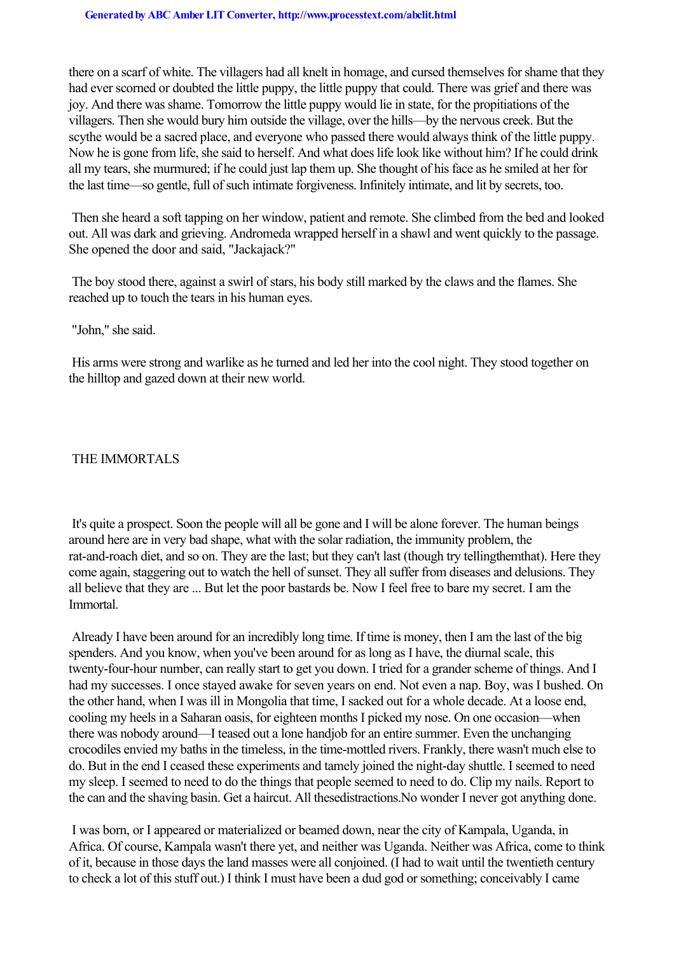there on a scarf of white. The villagers had all knelt in homage, and cursed themselves for shame that they had ever scorned or doubted the little puppy, the little puppy that could. There was grief and there was joy. And there was shame. Tomorrow the little puppy would lie in state, for the propitiations of the villagers. Then she would bury him outside the village, over the hills—by the nervous creek. But the scythe would be a sacred place, and everyone who passed there would always think of the little puppy. Now he is gone from life, she said to herself. And what does life look like without him? If he could drink all my tears, she murmured; if he could just lap them up. She thought of his face as he smiled at her for the last time—so gentle, full of such intimate forgiveness. Infinitely intimate, and lit by secrets, too.

 Then she heard a soft tapping on her window, patient and remote. She climbed from the bed and looked out. All was dark and grieving. Andromeda wrapped herself in a shawl and went quickly to the passage. She opened the door and said, "Jackajack?"

 The boy stood there, against a swirl of stars, his body still marked by the claws and the flames. She reached up to touch the tears in his human eyes.

"John," she said.

 His arms were strong and warlike as he turned and led her into the cool night. They stood together on the hilltop and gazed down at their new world.

THE IMMORTALS

 It's quite a prospect. Soon the people will all be gone and I will be alone forever. The human beings around here are in very bad shape, what with the solar radiation, the immunity problem, the rat-and-roach diet, and so on. They are the last; but they can't last (though try tellingthemthat). Here they come again, staggering out to watch the hell of sunset. They all suffer from diseases and delusions. They all believe that they are ... But let the poor bastards be. Now I feel free to bare my secret. I am the Immortal.

 Already I have been around for an incredibly long time. If time is money, then I am the last of the big spenders. And you know, when you've been around for as long as I have, the diurnal scale, this twenty-four-hour number, can really start to get you down. I tried for a grander scheme of things. And I had my successes. I once stayed awake for seven years on end. Not even a nap. Boy, was I bushed. On the other hand, when I was ill in Mongolia that time, I sacked out for a whole decade. At a loose end, cooling my heels in a Saharan oasis, for eighteen months I picked my nose. On one occasion—when there was nobody around—I teased out a lone handjob for an entire summer. Even the unchanging crocodiles envied my baths in the timeless, in the time-mottled rivers. Frankly, there wasn't much else to do. But in the end I ceased these experiments and tamely joined the night-day shuttle. I seemed to need my sleep. I seemed to need to do the things that people seemed to need to do. Clip my nails. Report to the can and the shaving basin. Get a haircut. All thesedistractions.No wonder I never got anything done.

 I was born, or I appeared or materialized or beamed down, near the city of Kampala, Uganda, in Africa. Of course, Kampala wasn't there yet, and neither was Uganda. Neither was Africa, come to think of it, because in those days the land masses were all conjoined. (I had to wait until the twentieth century to check a lot of this stuff out.) I think I must have been a dud god or something; conceivably I came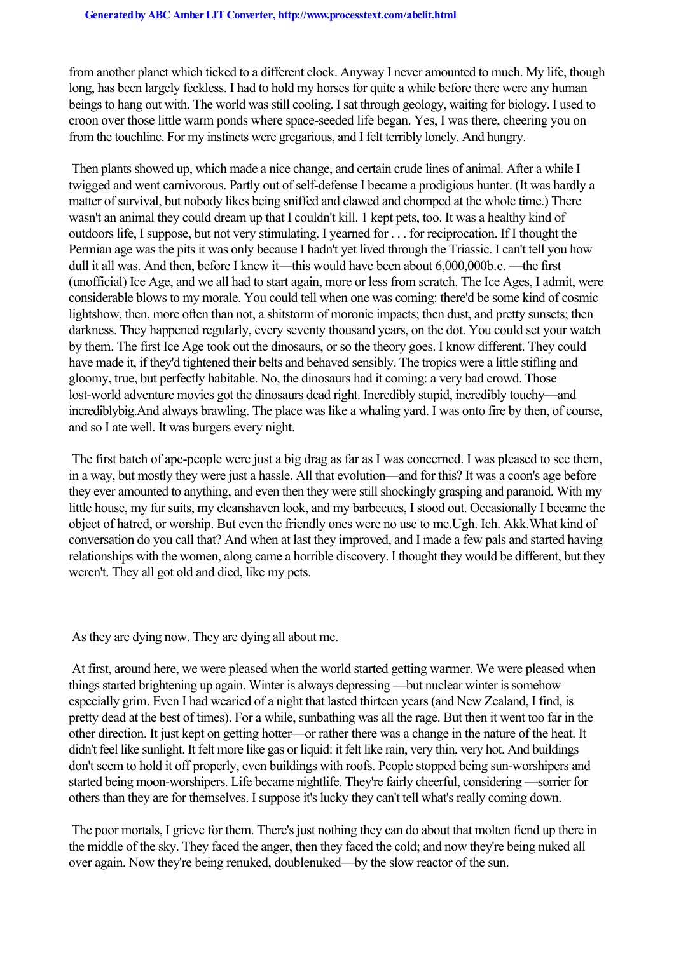from another planet which ticked to a different clock. Anyway I never amounted to much. My life, though long, has been largely feckless. I had to hold my horses for quite a while before there were any human beings to hang out with. The world was still cooling. I sat through geology, waiting for biology. I used to croon over those little warm ponds where space-seeded life began. Yes, I was there, cheering you on from the touchline. For my instincts were gregarious, and I felt terribly lonely. And hungry.

 Then plants showed up, which made a nice change, and certain crude lines of animal. After a while I twigged and went carnivorous. Partly out of self-defense I became a prodigious hunter. (It was hardly a matter of survival, but nobody likes being sniffed and clawed and chomped at the whole time.) There wasn't an animal they could dream up that I couldn't kill. 1 kept pets, too. It was a healthy kind of outdoors life, I suppose, but not very stimulating. I yearned for . . . for reciprocation. If I thought the Permian age was the pits it was only because I hadn't yet lived through the Triassic. I can't tell you how dull it all was. And then, before I knew it—this would have been about 6,000,000b.c. —the first (unofficial) Ice Age, and we all had to start again, more or less from scratch. The Ice Ages, I admit, were considerable blows to my morale. You could tell when one was coming: there'd be some kind of cosmic lightshow, then, more often than not, a shitstorm of moronic impacts; then dust, and pretty sunsets; then darkness. They happened regularly, every seventy thousand years, on the dot. You could set your watch by them. The first Ice Age took out the dinosaurs, or so the theory goes. I know different. They could have made it, if they'd tightened their belts and behaved sensibly. The tropics were a little stifling and gloomy, true, but perfectly habitable. No, the dinosaurs had it coming: a very bad crowd. Those lost-world adventure movies got the dinosaurs dead right. Incredibly stupid, incredibly touchy—and incrediblybig.And always brawling. The place was like a whaling yard. I was onto fire by then, of course, and so I ate well. It was burgers every night.

 The first batch of ape-people were just a big drag as far as I was concerned. I was pleased to see them, in a way, but mostly they were just a hassle. All that evolution—and for this? It was a coon's age before they ever amounted to anything, and even then they were still shockingly grasping and paranoid. With my little house, my fur suits, my cleanshaven look, and my barbecues, I stood out. Occasionally I became the object of hatred, or worship. But even the friendly ones were no use to me.Ugh. Ich. Akk.What kind of conversation do you call that? And when at last they improved, and I made a few pals and started having relationships with the women, along came a horrible discovery. I thought they would be different, but they weren't. They all got old and died, like my pets.

As they are dying now. They are dying all about me.

 At first, around here, we were pleased when the world started getting warmer. We were pleased when things started brightening up again. Winter is always depressing —but nuclear winter is somehow especially grim. Even I had wearied of a night that lasted thirteen years (and New Zealand, I find, is pretty dead at the best of times). For a while, sunbathing was all the rage. But then it went too far in the other direction. It just kept on getting hotter—or rather there was a change in the nature of the heat. It didn't feel like sunlight. It felt more like gas or liquid: it felt like rain, very thin, very hot. And buildings don't seem to hold it off properly, even buildings with roofs. People stopped being sun-worshipers and started being moon-worshipers. Life became nightlife. They're fairly cheerful, considering —sorrier for others than they are for themselves. I suppose it's lucky they can't tell what's really coming down.

 The poor mortals, I grieve for them. There's just nothing they can do about that molten fiend up there in the middle of the sky. They faced the anger, then they faced the cold; and now they're being nuked all over again. Now they're being renuked, doublenuked—by the slow reactor of the sun.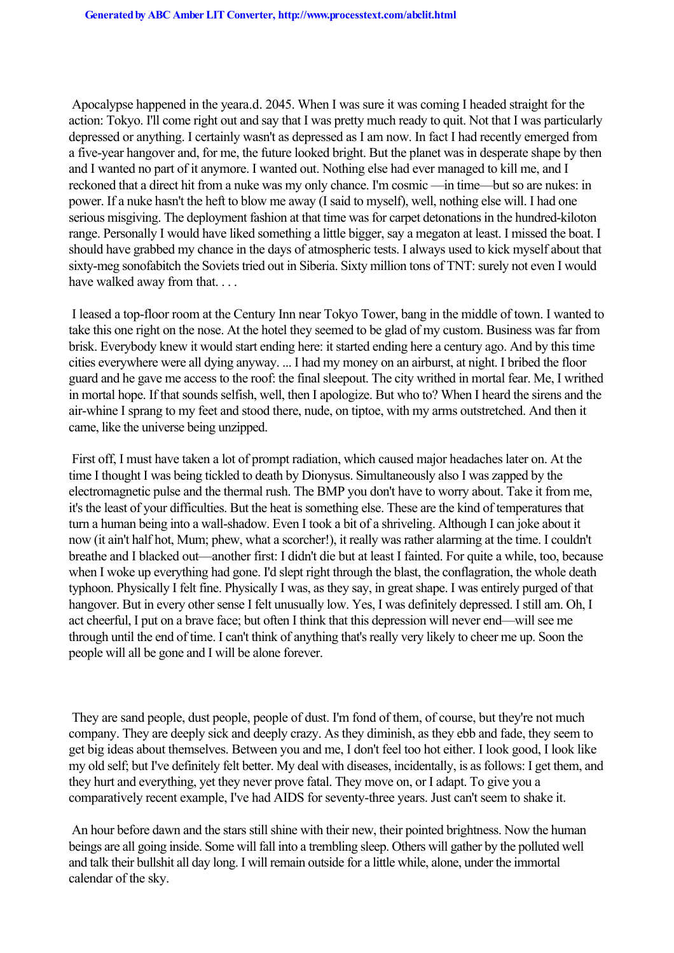Apocalypse happened in the yeara.d. 2045. When I was sure it was coming I headed straight for the action: Tokyo. I'll come right out and say that I was pretty much ready to quit. Not that I was particularly depressed or anything. I certainly wasn't as depressed as I am now. In fact I had recently emerged from a five-year hangover and, for me, the future looked bright. But the planet was in desperate shape by then and I wanted no part of it anymore. I wanted out. Nothing else had ever managed to kill me, and I reckoned that a direct hit from a nuke was my only chance. I'm cosmic —in time—but so are nukes: in power. If a nuke hasn't the heft to blow me away (I said to myself), well, nothing else will. I had one serious misgiving. The deployment fashion at that time was for carpet detonations in the hundred-kiloton range. Personally I would have liked something a little bigger, say a megaton at least. I missed the boat. I should have grabbed my chance in the days of atmospheric tests. I always used to kick myself about that sixty-meg sonofabitch the Soviets tried out in Siberia. Sixty million tons of TNT: surely not even I would have walked away from that....

 I leased a top-floor room at the Century Inn near Tokyo Tower, bang in the middle of town. I wanted to take this one right on the nose. At the hotel they seemed to be glad of my custom. Business was far from brisk. Everybody knew it would start ending here: it started ending here a century ago. And by this time cities everywhere were all dying anyway. ... I had my money on an airburst, at night. I bribed the floor guard and he gave me access to the roof: the final sleepout. The city writhed in mortal fear. Me, I writhed in mortal hope. If that sounds selfish, well, then I apologize. But who to? When I heard the sirens and the air-whine I sprang to my feet and stood there, nude, on tiptoe, with my arms outstretched. And then it came, like the universe being unzipped.

 First off, I must have taken a lot of prompt radiation, which caused major headaches later on. At the time I thought I was being tickled to death by Dionysus. Simultaneously also I was zapped by the electromagnetic pulse and the thermal rush. The BMP you don't have to worry about. Take it from me, it's the least of your difficulties. But the heat is something else. These are the kind of temperatures that turn a human being into a wall-shadow. Even I took a bit of a shriveling. Although I can joke about it now (it ain't half hot, Mum; phew, what a scorcher!), it really was rather alarming at the time. I couldn't breathe and I blacked out—another first: I didn't die but at least I fainted. For quite a while, too, because when I woke up everything had gone. I'd slept right through the blast, the conflagration, the whole death typhoon. Physically I felt fine. Physically I was, as they say, in great shape. I was entirely purged of that hangover. But in every other sense I felt unusually low. Yes, I was definitely depressed. I still am. Oh, I act cheerful, I put on a brave face; but often I think that this depression will never end—will see me through until the end of time. I can't think of anything that's really very likely to cheer me up. Soon the people will all be gone and I will be alone forever.

 They are sand people, dust people, people of dust. I'm fond of them, of course, but they're not much company. They are deeply sick and deeply crazy. As they diminish, as they ebb and fade, they seem to get big ideas about themselves. Between you and me, I don't feel too hot either. I look good, I look like my old self; but I've definitely felt better. My deal with diseases, incidentally, is as follows: I get them, and they hurt and everything, yet they never prove fatal. They move on, or I adapt. To give you a comparatively recent example, I've had AIDS for seventy-three years. Just can't seem to shake it.

 An hour before dawn and the stars still shine with their new, their pointed brightness. Now the human beings are all going inside. Some will fall into a trembling sleep. Others will gather by the polluted well and talk their bullshit all day long. I will remain outside for a little while, alone, under the immortal calendar of the sky.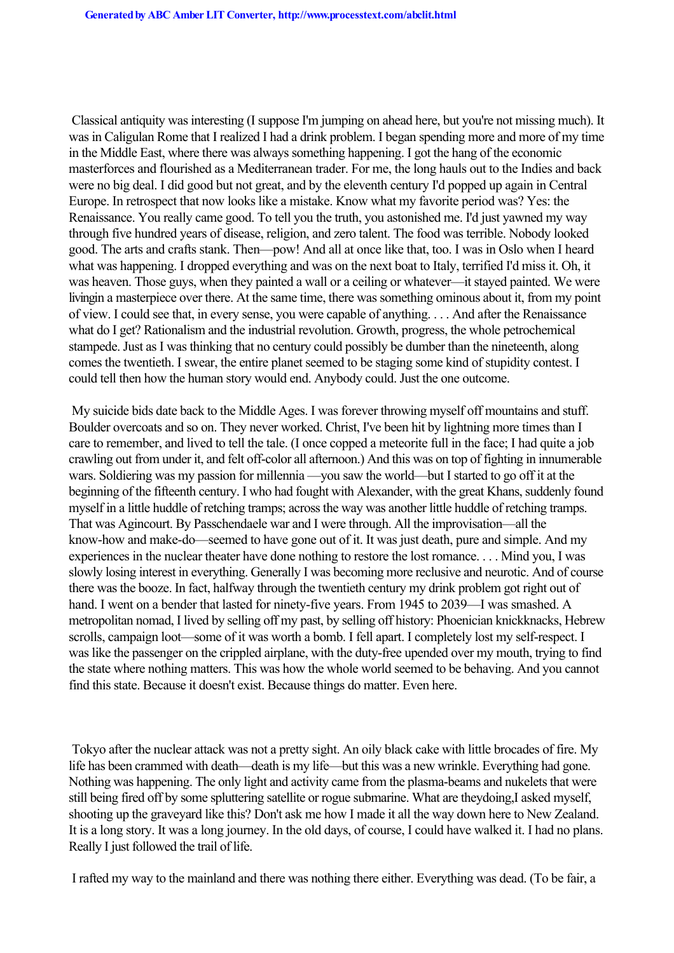Classical antiquity was interesting (I suppose I'm jumping on ahead here, but you're not missing much). It was in Caligulan Rome that I realized I had a drink problem. I began spending more and more of my time in the Middle East, where there was always something happening. I got the hang of the economic masterforces and flourished as a Mediterranean trader. For me, the long hauls out to the Indies and back were no big deal. I did good but not great, and by the eleventh century I'd popped up again in Central Europe. In retrospect that now looks like a mistake. Know what my favorite period was? Yes: the Renaissance. You really came good. To tell you the truth, you astonished me. I'd just yawned my way through five hundred years of disease, religion, and zero talent. The food was terrible. Nobody looked good. The arts and crafts stank. Then—pow! And all at once like that, too. I was in Oslo when I heard what was happening. I dropped everything and was on the next boat to Italy, terrified I'd miss it. Oh, it was heaven. Those guys, when they painted a wall or a ceiling or whatever—it stayed painted. We were livingin a masterpiece over there. At the same time, there was something ominous about it, from my point of view. I could see that, in every sense, you were capable of anything. . . . And after the Renaissance what do I get? Rationalism and the industrial revolution. Growth, progress, the whole petrochemical stampede. Just as I was thinking that no century could possibly be dumber than the nineteenth, along comes the twentieth. I swear, the entire planet seemed to be staging some kind of stupidity contest. I could tell then how the human story would end. Anybody could. Just the one outcome.

 My suicide bids date back to the Middle Ages. I was forever throwing myself off mountains and stuff. Boulder overcoats and so on. They never worked. Christ, I've been hit by lightning more times than I care to remember, and lived to tell the tale. (I once copped a meteorite full in the face; I had quite a job crawling out from under it, and felt off-color all afternoon.) And this was on top of fighting in innumerable wars. Soldiering was my passion for millennia —you saw the world—but I started to go off it at the beginning of the fifteenth century. I who had fought with Alexander, with the great Khans, suddenly found myself in a little huddle of retching tramps; across the way was another little huddle of retching tramps. That was Agincourt. By Passchendaele war and I were through. All the improvisation—all the know-how and make-do—seemed to have gone out of it. It was just death, pure and simple. And my experiences in the nuclear theater have done nothing to restore the lost romance. . . . Mind you, I was slowly losing interest in everything. Generally I was becoming more reclusive and neurotic. And of course there was the booze. In fact, halfway through the twentieth century my drink problem got right out of hand. I went on a bender that lasted for ninety-five years. From 1945 to 2039—I was smashed. A metropolitan nomad, I lived by selling off my past, by selling off history: Phoenician knickknacks, Hebrew scrolls, campaign loot—some of it was worth a bomb. I fell apart. I completely lost my self-respect. I was like the passenger on the crippled airplane, with the duty-free upended over my mouth, trying to find the state where nothing matters. This was how the whole world seemed to be behaving. And you cannot find this state. Because it doesn't exist. Because things do matter. Even here.

 Tokyo after the nuclear attack was not a pretty sight. An oily black cake with little brocades of fire. My life has been crammed with death—death is my life—but this was a new wrinkle. Everything had gone. Nothing was happening. The only light and activity came from the plasma-beams and nukelets that were still being fired off by some spluttering satellite or rogue submarine. What are theydoing,I asked myself, shooting up the graveyard like this? Don't ask me how I made it all the way down here to New Zealand. It is a long story. It was a long journey. In the old days, of course, I could have walked it. I had no plans. Really I just followed the trail of life.

I rafted my way to the mainland and there was nothing there either. Everything was dead. (To be fair, a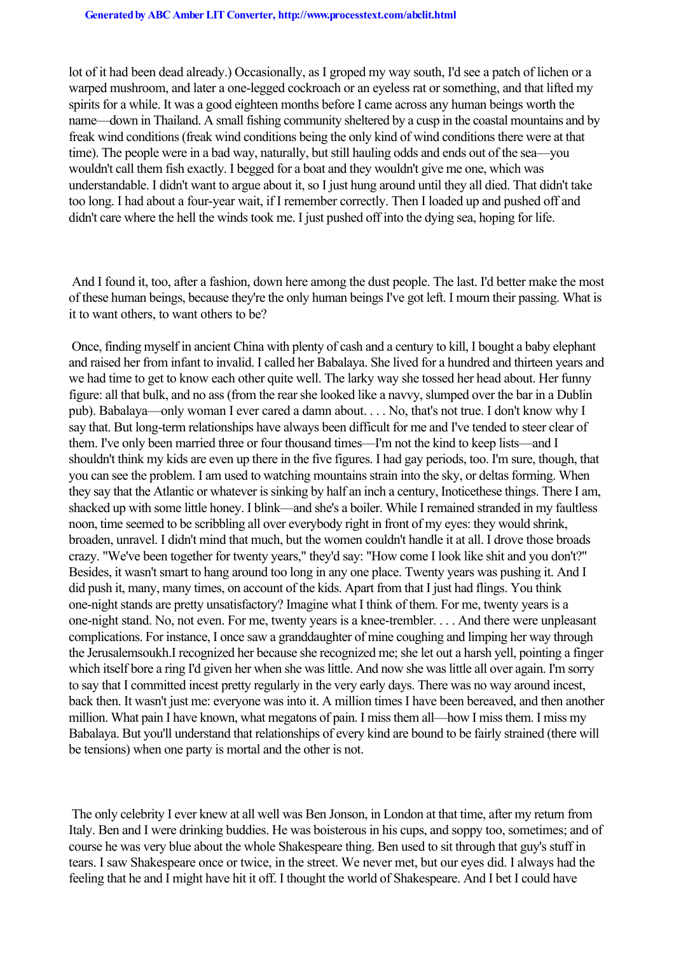lot of it had been dead already.) Occasionally, as I groped my way south, I'd see a patch of lichen or a warped mushroom, and later a one-legged cockroach or an eyeless rat or something, and that lifted my spirits for a while. It was a good eighteen months before I came across any human beings worth the name—down in Thailand. A small fishing community sheltered by a cusp in the coastal mountains and by freak wind conditions (freak wind conditions being the only kind of wind conditions there were at that time). The people were in a bad way, naturally, but still hauling odds and ends out of the sea—you wouldn't call them fish exactly. I begged for a boat and they wouldn't give me one, which was understandable. I didn't want to argue about it, so I just hung around until they all died. That didn't take too long. I had about a four-year wait, if I remember correctly. Then I loaded up and pushed off and didn't care where the hell the winds took me. I just pushed off into the dying sea, hoping for life.

 And I found it, too, after a fashion, down here among the dust people. The last. I'd better make the most of these human beings, because they're the only human beings I've got left. I mourn their passing. What is it to want others, to want others to be?

 Once, finding myself in ancient China with plenty of cash and a century to kill, I bought a baby elephant and raised her from infant to invalid. I called her Babalaya. She lived for a hundred and thirteen years and we had time to get to know each other quite well. The larky way she tossed her head about. Her funny figure: all that bulk, and no ass (from the rear she looked like a navvy, slumped over the bar in a Dublin pub). Babalaya—only woman I ever cared a damn about. . . . No, that's not true. I don't know why I say that. But long-term relationships have always been difficult for me and I've tended to steer clear of them. I've only been married three or four thousand times—I'm not the kind to keep lists—and I shouldn't think my kids are even up there in the five figures. I had gay periods, too. I'm sure, though, that you can see the problem. I am used to watching mountains strain into the sky, or deltas forming. When they say that the Atlantic or whatever is sinking by half an inch a century, Inoticethese things. There I am, shacked up with some little honey. I blink—and she's a boiler. While I remained stranded in my faultless noon, time seemed to be scribbling all over everybody right in front of my eyes: they would shrink, broaden, unravel. I didn't mind that much, but the women couldn't handle it at all. I drove those broads crazy. "We've been together for twenty years," they'd say: "How come I look like shit and you don't?" Besides, it wasn't smart to hang around too long in any one place. Twenty years was pushing it. And I did push it, many, many times, on account of the kids. Apart from that I just had flings. You think one-night stands are pretty unsatisfactory? Imagine what I think of them. For me, twenty years is a one-night stand. No, not even. For me, twenty years is a knee-trembler. . . . And there were unpleasant complications. For instance, I once saw a granddaughter of mine coughing and limping her way through the Jerusalemsoukh.I recognized her because she recognized me; she let out a harsh yell, pointing a finger which itself bore a ring I'd given her when she was little. And now she was little all over again. I'm sorry to say that I committed incest pretty regularly in the very early days. There was no way around incest, back then. It wasn't just me: everyone was into it. A million times I have been bereaved, and then another million. What pain I have known, what megatons of pain. I miss them all—how I miss them. I miss my Babalaya. But you'll understand that relationships of every kind are bound to be fairly strained (there will be tensions) when one party is mortal and the other is not.

 The only celebrity I ever knew at all well was Ben Jonson, in London at that time, after my return from Italy. Ben and I were drinking buddies. He was boisterous in his cups, and soppy too, sometimes; and of course he was very blue about the whole Shakespeare thing. Ben used to sit through that guy's stuff in tears. I saw Shakespeare once or twice, in the street. We never met, but our eyes did. I always had the feeling that he and I might have hit it off. I thought the world of Shakespeare. And I bet I could have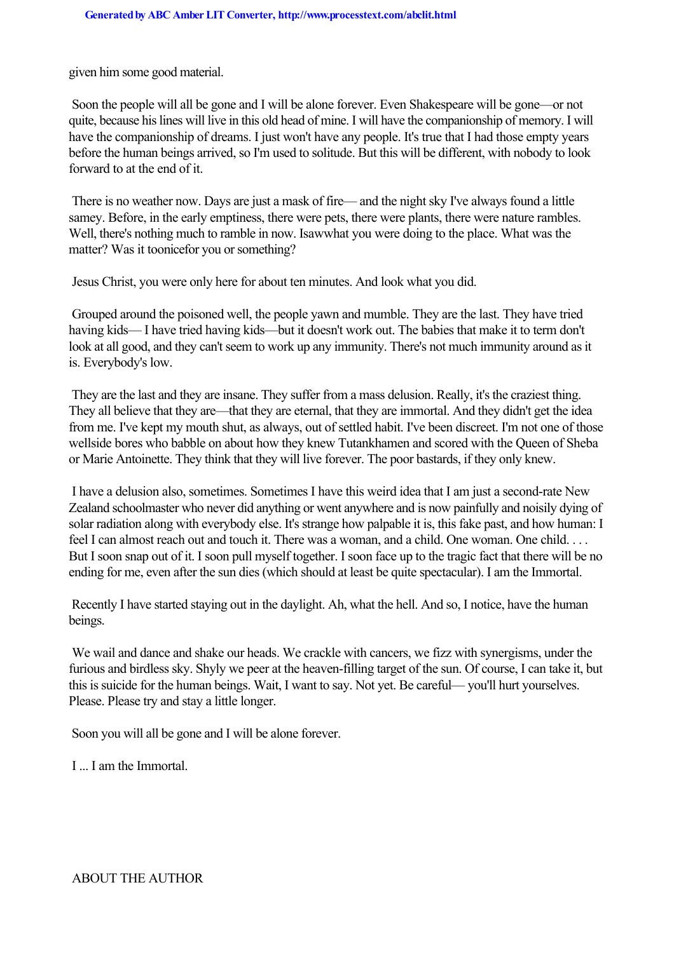given him some good material.

 Soon the people will all be gone and I will be alone forever. Even Shakespeare will be gone—or not quite, because his lines will live in this old head of mine. I will have the companionship of memory. I will have the companionship of dreams. I just won't have any people. It's true that I had those empty years before the human beings arrived, so I'm used to solitude. But this will be different, with nobody to look forward to at the end of it.

 There is no weather now. Days are just a mask of fire— and the night sky I've always found a little samey. Before, in the early emptiness, there were pets, there were plants, there were nature rambles. Well, there's nothing much to ramble in now. Isawwhat you were doing to the place. What was the matter? Was it toonicefor you or something?

Jesus Christ, you were only here for about ten minutes. And look what you did.

 Grouped around the poisoned well, the people yawn and mumble. They are the last. They have tried having kids— I have tried having kids—but it doesn't work out. The babies that make it to term don't look at all good, and they can't seem to work up any immunity. There's not much immunity around as it is. Everybody's low.

 They are the last and they are insane. They suffer from a mass delusion. Really, it's the craziest thing. They all believe that they are—that they are eternal, that they are immortal. And they didn't get the idea from me. I've kept my mouth shut, as always, out of settled habit. I've been discreet. I'm not one of those wellside bores who babble on about how they knew Tutankhamen and scored with the Queen of Sheba or Marie Antoinette. They think that they will live forever. The poor bastards, if they only knew.

 I have a delusion also, sometimes. Sometimes I have this weird idea that I am just a second-rate New Zealand schoolmaster who never did anything or went anywhere and is now painfully and noisily dying of solar radiation along with everybody else. It's strange how palpable it is, this fake past, and how human: I feel I can almost reach out and touch it. There was a woman, and a child. One woman. One child. . . . But I soon snap out of it. I soon pull myself together. I soon face up to the tragic fact that there will be no ending for me, even after the sun dies (which should at least be quite spectacular). I am the Immortal.

 Recently I have started staying out in the daylight. Ah, what the hell. And so, I notice, have the human beings.

We wail and dance and shake our heads. We crackle with cancers, we fizz with synergisms, under the furious and birdless sky. Shyly we peer at the heaven-filling target of the sun. Of course, I can take it, but this is suicide for the human beings. Wait, I want to say. Not yet. Be careful— you'll hurt yourselves. Please. Please try and stay a little longer.

Soon you will all be gone and I will be alone forever.

I I am the Immortal

ABOUT THE AUTHOR